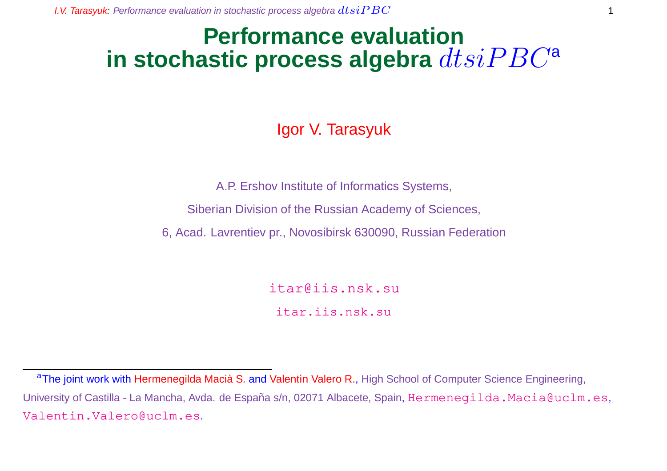# **Performance evaluation** in stochastic process algebra  $dtsiPBC^a$

## Igor V. Tarasyuk

A.P. Ershov Institute of Informatics Systems,

Siberian Division of the Russian Academy of Sciences,

6, Acad. Lavrentiev pr., Novosibirsk 630090, Russian Federation

itar@iis.nsk.su

itar.iis.nsk.su

aThe joint work with Hermenegilda Macià S. and Valentín Valero R., High School of Computer Science Engineering, University of Castilla - La Mancha, Avda. de España s/n, 02071 Albacete, Spain, Hermenegilda.Macia@uclm.es, Valentin.Valero@uclm.es.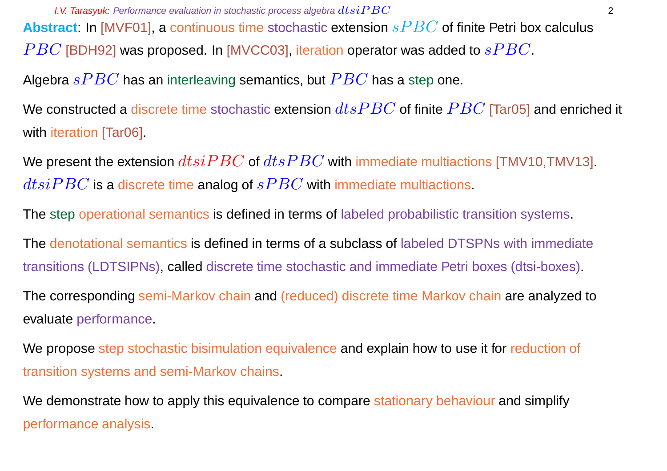**I.V. Tarasyuk:** Performance evaluation in stochastic process algebra  $dtsiPBC$  2 **Abstract:** In [MVF01], a continuous time stochastic extension  $sPBC$  of finite Petri box calculus  $PBC$  [BDH92] was proposed. In [MVCC03], iteration operator was added to  $sPBC$ . Algebra  $sPBC$  has an interleaving semantics, but  $PBC$  has a step one.

We constructed a discrete time stochastic extension  $dtsPBC$  of finite  $PBC$  [Tar05] and enriched it with iteration [Tar06].

We present the extension  $dtsiPBC$  of  $dtsPBC$  with immediate multiactions [TMV10,TMV13].  $dtsiPBC$  is a discrete time analog of  $sPBC$  with immediate multiactions.

The step operational semantics is defined in terms of labeled probabilistic transition systems.

The denotational semantics is defined in terms of a subclass of labeled DTSPNs with immediate transitions (LDTSIPNs), called discrete time stochastic and immediate Petri boxes (dtsi-boxes).

The corresponding semi-Markov chain and (reduced) discrete time Markov chain are analyzed to evaluate performance.

We propose step stochastic bisimulation equivalence and explain how to use it for reduction of transition systems and semi-Markov chains.

We demonstrate how to apply this equivalence to compare stationary behaviour and simplify performance analysis.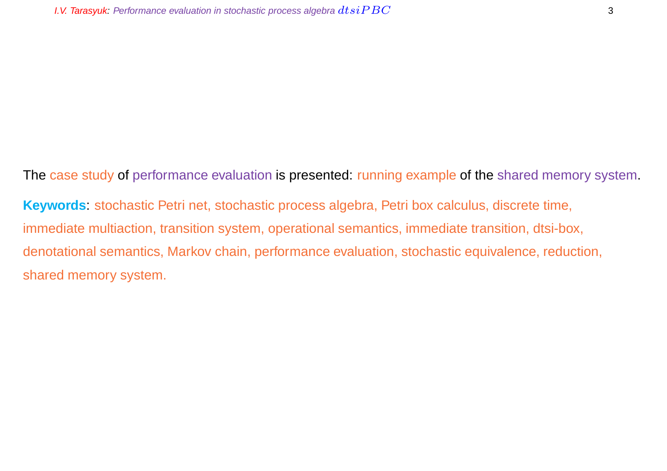The case study of performance evaluation is presented: running example of the shared memory system. **Keywords**: stochastic Petri net, stochastic process algebra, Petri box calculus, discrete time, immediate multiaction, transition system, operational semantics, immediate transition, dtsi-box, denotational semantics, Markov chain, performance evaluation, stochastic equivalence, reduction, shared memory system.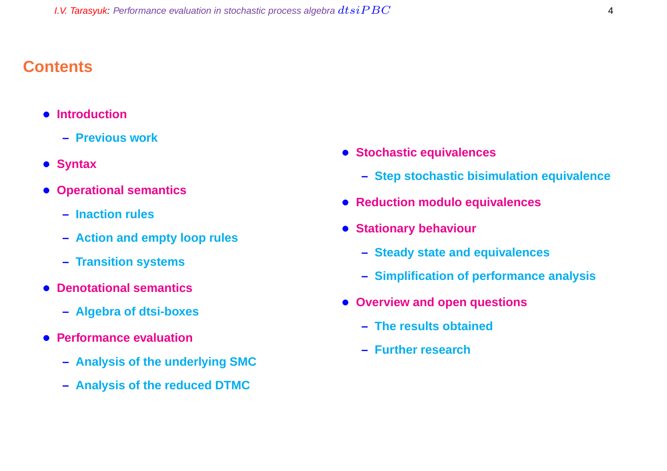### **Contents**

- **Introduction**
	- **– Previous work**
- **Syntax**
- **Operational semantics**
	- **– Inaction rules**
	- **– Action and empty loop rules**
	- **– Transition systems**
- **Denotational semantics**
	- **– Algebra of dtsi-boxes**
- **Performance evaluation**
	- **– Analysis of the underlying SMC**
	- **– Analysis of the reduced DTMC**
- **Stochastic equivalences**
	- **– Step stochastic bisimulation equivalence**
- **Reduction modulo equivalences**
- **Stationary behaviour**
	- **– Steady state and equivalences**
	- **– Simplification of performance analysis**
- **Overview and open questions**
	- **– The results obtained**
	- **– Further research**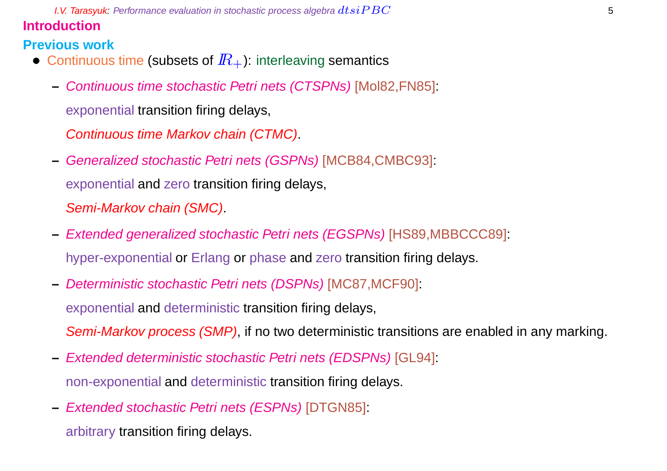**I.V. Tarasyuk:** Performance evaluation in stochastic process algebra  $dtsiPBC$  55  $-$  5  $-$  5  $-$  5  $-$  5  $-$  5  $-$  5  $-$  5  $-$  5  $-$  5  $-$  5  $-$  5  $-$  5  $-$  5  $-$  5  $-$  5  $-$  5  $-$  5  $-$  5  $-$  5  $-$  5  $-$  5  $-$  5  $-$  5  $-$ **Introduction**

### **Previous work**

- Continuous time (subsets of  $I\!R_{+}$ ): interleaving semantics
	- **–** Continuous time stochastic Petri nets (CTSPNs) [Mol82,FN85]: exponential transition firing delays,

Continuous time Markov chain (CTMC).

- **–** Generalized stochastic Petri nets (GSPNs) [MCB84,CMBC93]: exponential and zero transition firing delays, Semi-Markov chain (SMC).
- **–** Extended generalized stochastic Petri nets (EGSPNs) [HS89,MBBCCC89]: hyper-exponential or Erlang or phase and zero transition firing delays.
- **–** Deterministic stochastic Petri nets (DSPNs) [MC87,MCF90]: exponential and deterministic transition firing delays, Semi-Markov process (SMP), if no two deterministic transitions are enabled in any marking.
- **–** Extended deterministic stochastic Petri nets (EDSPNs) [GL94]: non-exponential and deterministic transition firing delays.
- **–** Extended stochastic Petri nets (ESPNs) [DTGN85]:

arbitrary transition firing delays.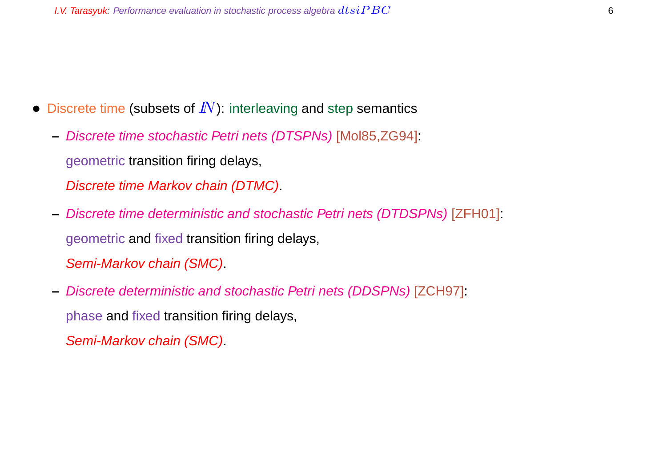- Discrete time (subsets of  $I\!N$ ): interleaving and step semantics
	- **–** Discrete time stochastic Petri nets (DTSPNs) [Mol85,ZG94]: geometric transition firing delays,

Discrete time Markov chain (DTMC).

- **–** Discrete time deterministic and stochastic Petri nets (DTDSPNs) [ZFH01]: geometric and fixed transition firing delays, Semi-Markov chain (SMC).
- **–** Discrete deterministic and stochastic Petri nets (DDSPNs) [ZCH97]: phase and fixed transition firing delays,

Semi-Markov chain (SMC).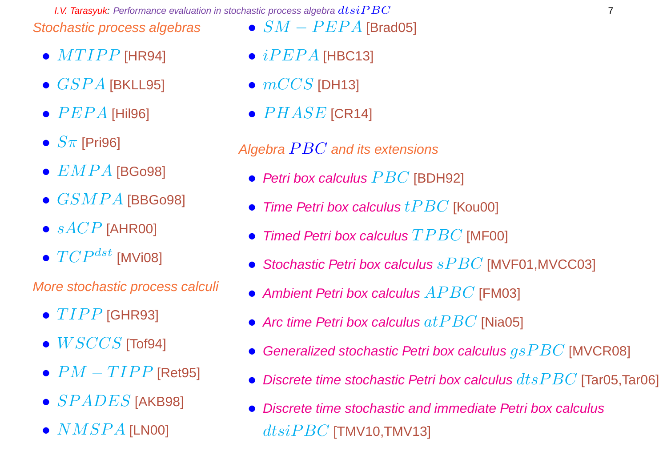**I.V. Tarasyuk:** Performance evaluation in stochastic process algebra  $dtsiPBC$  7 Stochastic process algebras •  $SM - PEPA$  [Brad05]

- $\bullet$   $MTIPP$  [HR94]
- $\bullet$   $GSPA$  [BKLL95]
- $\bullet$   $PEPA$  [Hil96]
- $S_{\pi}$  [Pri96]
- $\bullet$   $EMPA$  [BGo98]
- $\bullet$   $GSMPA$  [BBGo98]
- $sACP$  [AHR00]
- $\bullet$   $TCP^{dst}$  [MVi08]

More stochastic process calculi

- $\bullet$   $TIPP$  [GHR93]
- $\bullet$   $WSCCS$  [Tof94]
- $PM TIPP$  [Ret95]
- $\bullet$   $SPADES$  [AKB98]
- $\bullet$   $NMSPA$  [LN00]
- $iPEPA$  [HBC13]
- $\bullet$   $mCCS$  [DH13]
- $\bullet$   $PHASE$  [CR14]

## Algebra  $PBC$  and its extensions

- Petri box calculus  $PBC$  [BDH92]
- Time Petri box calculus  $tPBC$  [Kou00]
- Timed Petri box calculus  $TPBC$  [MF00]
- Stochastic Petri box calculus  $sPBC$  [MVF01, MVCC03]
- Ambient Petri box calculus  $APBC$  [FM03]
- Arc time Petri box calculus  $at PBC$  [Nia05]
- Generalized stochastic Petri box calculus  $qsPBC$  [MVCR08]
- Discrete time stochastic Petri box calculus  $dtsPBC$  [Tar05,Tar06]
- Discrete time stochastic and immediate Petri box calculus  $dtsiPBC$  [TMV10,TMV13]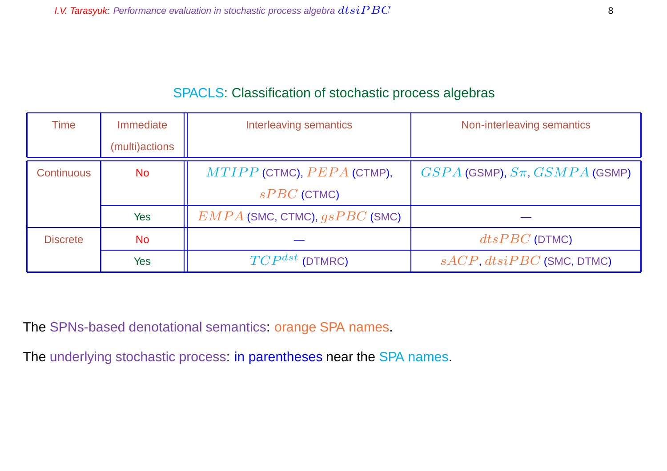## SPACLS: Classification of stochastic process algebras

| Time              | Immediate      | Interleaving semantics            | Non-interleaving semantics             |
|-------------------|----------------|-----------------------------------|----------------------------------------|
|                   | (multi)actions |                                   |                                        |
| <b>Continuous</b> | <b>No</b>      | $MTIPP$ (CTMC), $PEPA$ (CTMP),    | $GSPA$ (GSMP), $S\pi$ , $GSMPA$ (GSMP) |
|                   |                | $sPBC$ (CTMC)                     |                                        |
|                   | Yes            | $EMPA$ (SMC, CTMC), $gsPBC$ (SMC) |                                        |
| <b>Discrete</b>   | No             |                                   | $dtsPBC$ (DTMC)                        |
|                   | Yes            | $TCP^{dst}$ (DTMRC)               | $sACP, distPBC$ (SMC, DTMC)            |

The SPNs-based denotational semantics: orange SPA names.

The underlying stochastic process: in parentheses near the SPA names.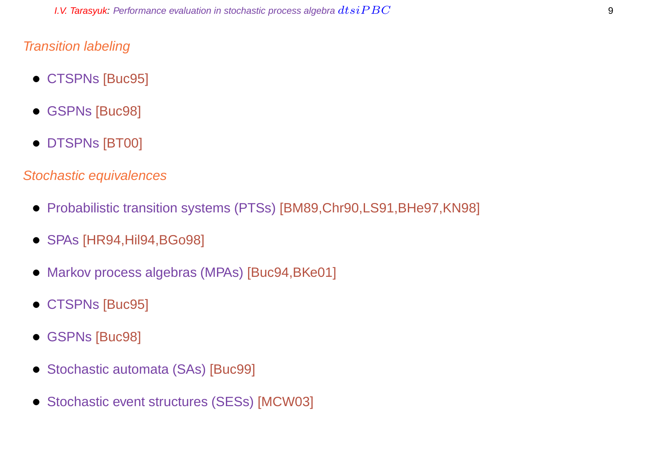#### Transition labeling

- CTSPNs [Buc95]
- GSPNs [Buc98]
- DTSPNs [BT00]

#### Stochastic equivalences

- Probabilistic transition systems (PTSs) [BM89,Chr90,LS91,BHe97,KN98]
- SPAs [HR94,Hil94,BGo98]
- Markov process algebras (MPAs) [Buc94,BKe01]
- CTSPNs [Buc95]
- GSPNs [Buc98]
- Stochastic automata (SAs) [Buc99]
- Stochastic event structures (SESs) [MCW03]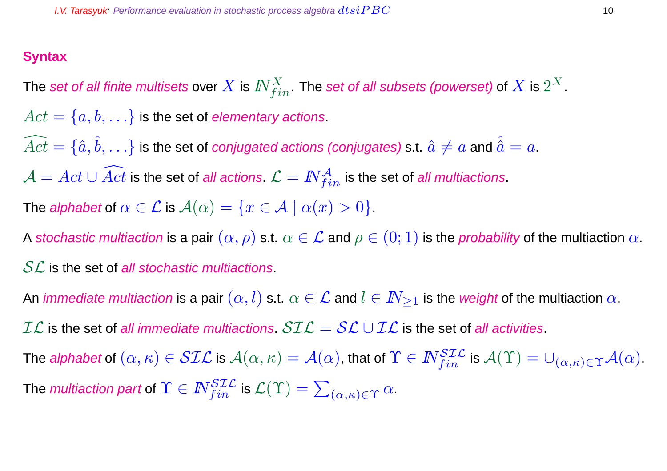#### **Syntax**

The set of all finite multisets over  $X$  is  $I\!\!N_{fin}^X.$  The set of all subsets (powerset) of  $X$  is  $2^X.$  $Act = \{a, b, \ldots\}$  is the set of elementary actions.  $\widehat{Act} = \{\hat a, \hat b, \ldots\}$  is the set of *conjugated actions (conjugates)* s.t.  $\hat a \neq a$  and  $\hat{\hat a} = a.$  $\mathcal{A} = Act \cup \widehat{Act}$  is the set of *all actions.*  $\mathcal{L} = \textit{IN}_{fin}^{\mathcal{A}}$  *is the set of all multiactions.* The alphabet of  $\alpha \in \mathcal{L}$  is  $\mathcal{A}(\alpha) = \{x \in \mathcal{A} \mid \alpha(x) > 0\}.$ 

A stochastic multiaction is a pair  $(\alpha, \rho)$  s.t.  $\alpha \in \mathcal{L}$  and  $\rho \in (0, 1)$  is the probability of the multiaction  $\alpha$ .

 $SL$  is the set of all stochastic multiactions.

An *immediate multiaction* is a pair  $(\alpha, l)$  s.t.  $\alpha \in \mathcal{L}$  and  $l \in I\!N_{\geq 1}$  is the *weight* of the multiaction  $\alpha$ .

 $\mathcal{IL}$  is the set of all immediate multiactions.  $\mathcal{SIL} = \mathcal{SL} \cup \mathcal{IL}$  is the set of all activities.

The *alphabet* of  $(\alpha,\kappa)\in \mathcal{SIL}$  is  $\mathcal{A}(\alpha,\kappa)=\mathcal{A}(\alpha)$ , that of  $\Upsilon\in \mathit{N}_{fin}^{\mathcal{SIL}}$  is  $\mathcal{A}(\Upsilon)=\cup_{(\alpha,\kappa)\in\Upsilon}\mathcal{A}(\alpha).$ The *multiaction part* of  $\Upsilon \in I\!\!N_{fin}^{\mathcal{SLL}}$  is  $\mathcal{L}(\Upsilon) = \sum_{(\alpha,\kappa) \in \Upsilon} \alpha.$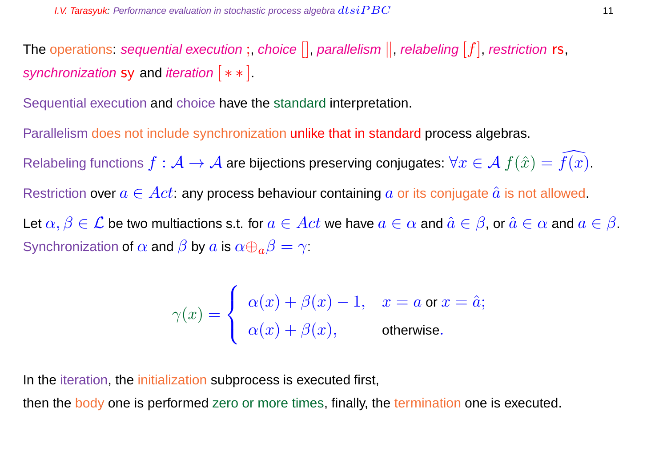The operations: sequential execution;, choice  $[]$ , parallelism  $||$ , relabeling  $[f]$ , restriction rs, synchronization sy and iteration  $[**]$ .

Sequential execution and choice have the standard interpretation.

Parallelism does not include synchronization unlike that in standard process algebras.

Relabeling functions  $f : \mathcal{A} \to \mathcal{A}$  are bijections preserving conjugates:  $\forall x \in \mathcal{A}$   $f(\hat{x}) = f(x)$ .

Restriction over  $a \in Act$ : any process behaviour containing a or its conjugate  $\hat{a}$  is not allowed.

Let  $\alpha, \beta \in \mathcal{L}$  be two multiactions s.t. for  $a \in Act$  we have  $a \in \alpha$  and  $\hat{a} \in \beta$ , or  $\hat{a} \in \alpha$  and  $a \in \beta$ . Synchronization of  $\alpha$  and  $\beta$  by  $a$  is  $\alpha \oplus_{a} \beta = \gamma$ :

$$
\gamma(x) = \begin{cases} \alpha(x) + \beta(x) - 1, & x = a \text{ or } x = \hat{a}; \\ \alpha(x) + \beta(x), & \text{otherwise}. \end{cases}
$$

In the iteration, the initialization subprocess is executed first,

then the body one is performed zero or more times, finally, the termination one is executed.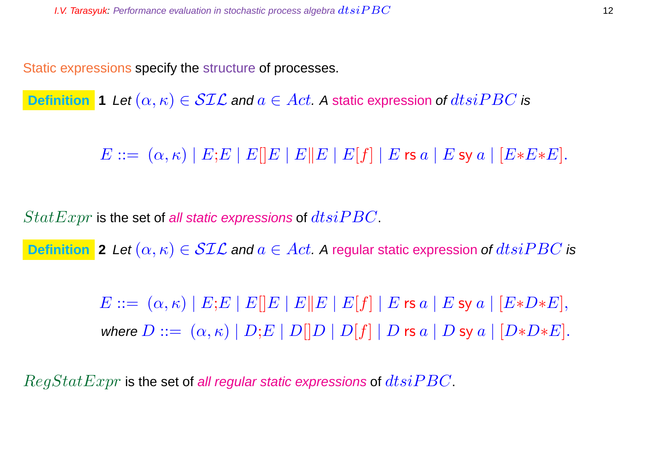Static expressions specify the structure of processes.

**Definition 1** Let  $(\alpha, \kappa) \in \mathcal{SIL}$  and  $a \in Act$ . A static expression of  $dtsiPBC$  is

 $E ::= (\alpha, \kappa) | E; E | E | E | E | E | E | E | f | E \text{ is a} | E \text{ sy a} | [E * E * E].$ 

 $StatExpr$  is the set of all static expressions of  $dtsiPBC$ .

**Definition** 2 Let  $(\alpha, \kappa) \in \mathcal{SIL}$  and  $a \in Act$ . A regular static expression of  $dtsiPBC$  is

 $E ::= (\alpha, \kappa) | E; E | E | E | E | E | E | E | f | | E$  rs  $a | E$  sy  $a | [E*D*E],$ where  $D ::= (\alpha, \kappa) | D; E | D[|D | D[f] | D$  rs  $a | D$  sy  $a | [D*D*E].$ 

 $RegStatexpr$  is the set of all regular static expressions of  $dtsiPBC$ .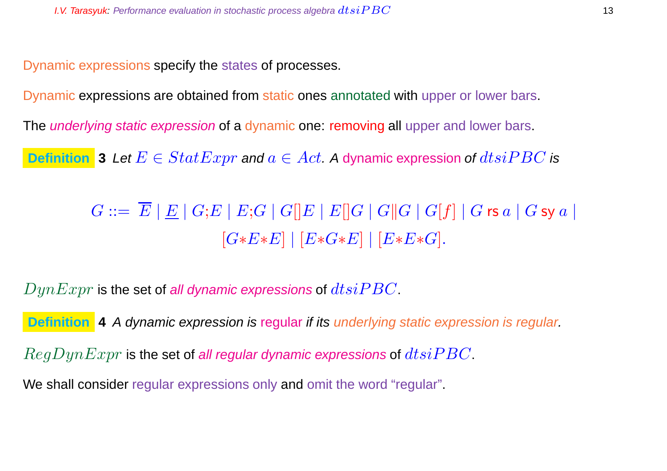Dynamic expressions specify the states of processes.

Dynamic expressions are obtained from static ones annotated with upper or lower bars.

The *underlying static expression* of a dynamic one: removing all upper and lower bars.

**Definition** 3 Let  $E \in StatExpr$  and  $a \in Act$ . A dynamic expression of  $dtsiPBC$  is

 $G ::= \overline{E} |E| G; E |E; G |G|E |E|G |G|G |G|f |G$ rs a | G sy a |  $[G*E*E] | [E*G*E] | [E*E*G].$ 

 $DynExpr$  is the set of all dynamic expressions of  $dtsiPBC$ .

**Definition** 4 A dynamic expression is regular if its underlying static expression is regular.

 $RegDynExpr$  is the set of all regular dynamic expressions of  $dtsiPBC$ .

We shall consider regular expressions only and omit the word "regular".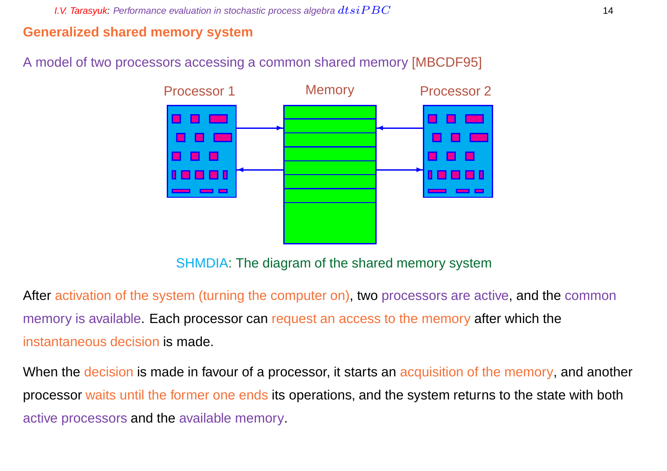#### **Generalized shared memory system**

#### A model of two processors accessing a common shared memory [MBCDF95]



SHMDIA: The diagram of the shared memory system

After activation of the system (turning the computer on), two processors are active, and the common memory is available. Each processor can request an access to the memory after which the instantaneous decision is made.

When the decision is made in favour of a processor, it starts an acquisition of the memory, and another processor waits until the former one ends its operations, and the system returns to the state with both active processors and the available memory.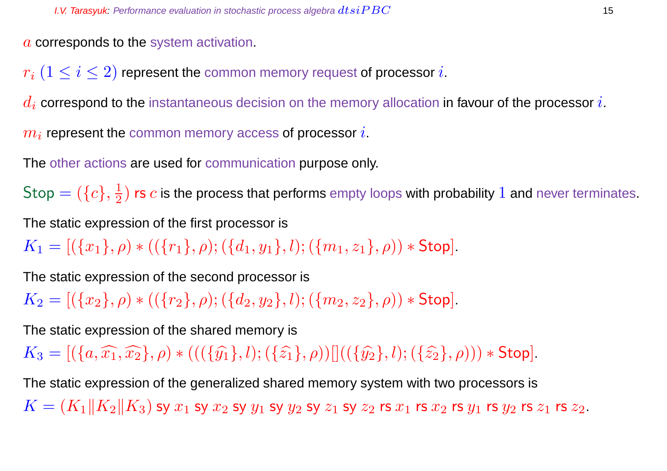a corresponds to the system activation.

 $r_i$   $(1 \leq i \leq 2)$  represent the common memory request of processor i.

 $d_i$  correspond to the instantaneous decision on the memory allocation in favour of the processor i.

 $m_i$  represent the common memory access of processor  $i.$ 

The other actions are used for communication purpose only.

 $\mathsf{Stop} = (\{c\}, \frac{1}{2})$  $\frac{1}{2})$  rs  $c$  is the process that performs empty loops with probability  $1$  and never terminates.

The static expression of the first processor is

 $K_1 = [(\{x_1\}, \rho) * ((\{r_1\}, \rho); (\{d_1, y_1\}, l); (\{m_1, z_1\}, \rho)) * Stop].$ 

The static expression of the second processor is

 $K_2 = [(\{x_2\}, \rho) * ((\{r_2\}, \rho); (\{d_2, y_2\}, l); (\{m_2, z_2\}, \rho)) * Stop].$ 

The static expression of the shared memory is

 $K_3 = [(\{a,\widehat{x_1},\widehat{x_2}\},\rho) * (((\{\widehat{y_1}\},l);(\{\widehat{z_1}\},\rho))|)((\{\widehat{y_2}\},l);(\{\widehat{z_2}\},\rho))) * Stop].$ 

The static expression of the generalized shared memory system with two processors is  $K = (K_1||K_2||K_3)$  sy  $x_1$  sy  $x_2$  sy  $y_1$  sy  $y_2$  sy  $z_1$  sy  $z_2$  rs  $x_1$  rs  $x_2$  rs  $y_1$  rs  $y_2$  rs  $z_1$  rs  $z_2$ .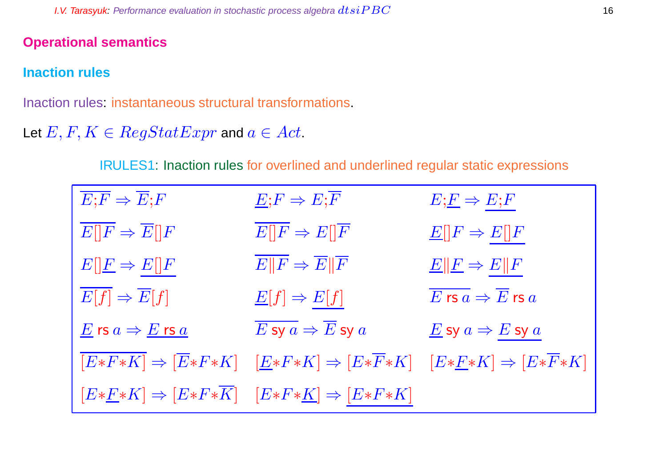#### **Operational semantics**

## **Inaction rules**

Inaction rules: instantaneous structural transformations.

## Let  $E, F, K \in RegStatExpr$  and  $a \in Act$ .

IRULES1: Inaction rules for overlined and underlined regular static expressions

| $\overline{E;F} \Rightarrow \overline{E};$                                 | $E; F \Rightarrow E; \overline{F}$                                                                                                                         | $E;E\Rightarrow E;F$                                    |
|----------------------------------------------------------------------------|------------------------------------------------------------------------------------------------------------------------------------------------------------|---------------------------------------------------------|
| $\overline{E[\]F} \Rightarrow \overline{E[\]F}$                            | $E[]F \Rightarrow E[]F$                                                                                                                                    | $\underline{E}[[F \Rightarrow E][F$                     |
| $E[\underline{F} \Rightarrow E[\overline{F}]$                              | $\overline{E  F} \Rightarrow \overline{E  F}$                                                                                                              | $\underline{E}$    $\underline{F} \Rightarrow E$    $F$ |
| $\overline{E[f]} \Rightarrow \overline{E}[f]$                              | $\underline{E}[f] \Rightarrow E[f]$                                                                                                                        | $\overline{E}$ rs $a \Rightarrow \overline{E}$ rs $a$   |
| $\underline{E}$ rs $a \Rightarrow \underline{E}$ rs $\underline{a}$        | $\overline{E \texttt{sy} a} \Rightarrow \overline{E} \texttt{sy} a$                                                                                        | $\underline{E}$ sy $a \Rightarrow E$ sy $a$             |
|                                                                            | $[E*F*K] \Rightarrow [\overline{E}*F*K] \quad [\underline{E}*F*K] \Rightarrow [E*\overline{F}*K] \quad [E*\underline{F}*K] \Rightarrow [E*\overline{F}*K]$ |                                                         |
| $[E*F*K] \Rightarrow [E*F*\overline{K}] \quad [E*F*K] \Rightarrow [E*F*K]$ |                                                                                                                                                            |                                                         |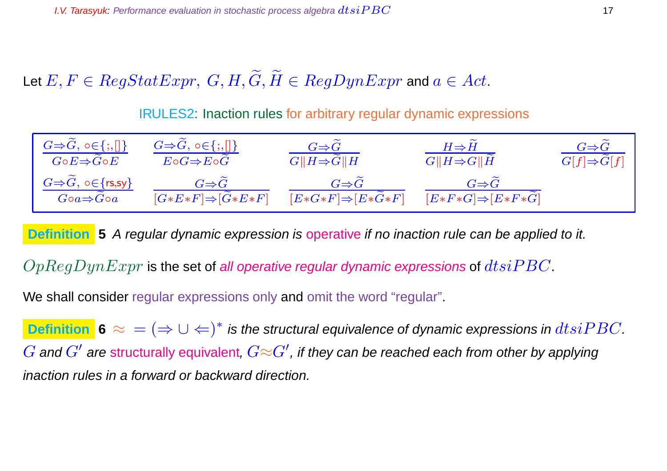# Let  $E, F \in RegStatexpr$ ,  $G, H, \widetilde{G}, \widetilde{H} \in RegDynExpr$  and  $a \in Act$ .

IRULES2: Inaction rules for arbitrary regular dynamic expressions



**Definition** 5 A regular dynamic expression is operative if no inaction rule can be applied to it.

 $OpReqDynExpr$  is the set of all operative regular dynamic expressions of  $dtsiPBC$ .

We shall consider regular expressions only and omit the word "regular".

**Definition**  $\mathbf{6} \approx$  =  $(⇒ ∪ ←)^*$  is the structural equivalence of dynamic expressions in  $dtsiPBC$ .  $G$  and  $G'$  are structurally equivalent,  $G{\approx}G'$ , if they can be reached each from other by applying inaction rules in a forward or backward direction.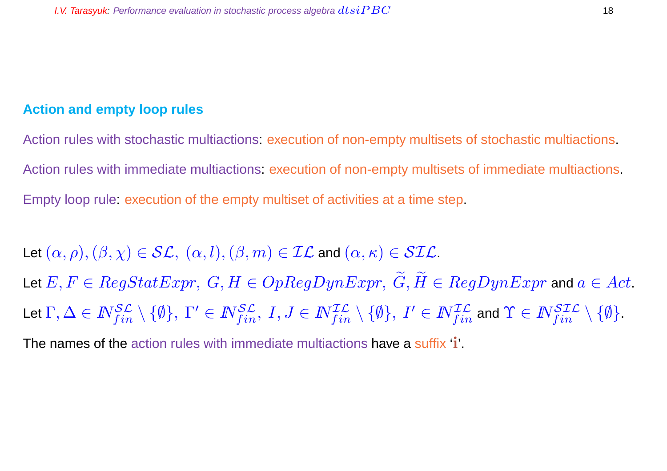#### **Action and empty loop rules**

Action rules with stochastic multiactions: execution of non-empty multisets of stochastic multiactions. Action rules with immediate multiactions: execution of non-empty multisets of immediate multiactions. Empty loop rule: execution of the empty multiset of activities at a time step.

Let  $(\alpha, \rho),(\beta, \chi) \in \mathcal{SL}, (\alpha, l),(\beta, m) \in \mathcal{IL}$  and  $(\alpha, \kappa) \in \mathcal{SIL}$ . Let  $E, F \in RegStatexpr$ ,  $G, H \in OpRegDynError$ ,  $\widetilde{G}, \widetilde{H} \in RegDynExpr$  and  $a \in Act$ . Let  $\Gamma,\Delta\in I\!\!N_{fin}^{\mathcal{SL}}\setminus\{\emptyset\},\ \Gamma'\in I\!\!N_{fin}^{\mathcal{SL}},\ I,J\in I\!\!N_{fin}^{\mathcal{IL}}\setminus\{\emptyset\},\ I'\in I\!\!N_{fin}^{\mathcal{IL}}$  and  $\Upsilon\in I\!\!N_{fin}^{\mathcal{SL}}\setminus\{\emptyset\}.$ 

The names of the action rules with immediate multiactions have a suffix 'i'.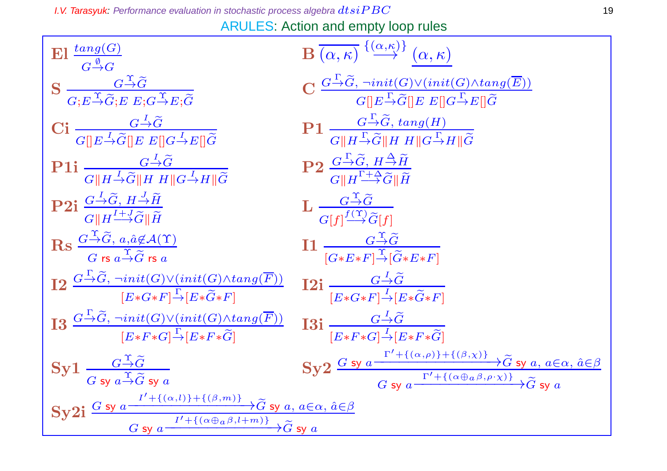**I.V. Tarasyuk:** Performance evaluation in stochastic process algebra  $dtsiPBC$  19

ARULES: Action and empty loop rules

| $\mathbf{E}$ l $\frac{\tan g(G)}{G \stackrel{\emptyset}{\rightarrow} G}$                                                                                                                                       | $\overline{\mathbf{B}\left(\alpha,\kappa\right)}\stackrel{\{\alpha,\kappa\}}{\longrightarrow}\left(\alpha,\kappa\right)$                                                                                                                                                   |
|----------------------------------------------------------------------------------------------------------------------------------------------------------------------------------------------------------------|----------------------------------------------------------------------------------------------------------------------------------------------------------------------------------------------------------------------------------------------------------------------------|
| $\mathbf{S} \xrightarrow[G \to \mathcal{G}]{} \overline{G \to \mathcal{G}} \overline{G \to \mathcal{E} \to G \to \mathcal{E} \colon \mathcal{G}}$                                                              | $\frac{G \stackrel{\Gamma}{\rightarrow} \widetilde{G}, \, \neg init(G) \vee (init(G) \wedge tang(\overline{E}))}{G \parallel E \stackrel{\Gamma}{\rightarrow} \widetilde{G} \parallel E \, E \parallel G \stackrel{\Gamma}{\rightarrow} E \parallel \widetilde{G}}$        |
| Ci $\frac{G \stackrel{I}{\rightarrow} \widetilde{G}}{G \parallel E \stackrel{I}{\rightarrow} \widetilde{G} \parallel E}$ $E \parallel G \stackrel{I}{\rightarrow} E \parallel \widetilde{G}$                   | $P1 \frac{G \xrightarrow{\Gamma} \widetilde{G}, \, \tan g(H)}{G \  H \xrightarrow{\Gamma} \widetilde{G} \  H \, H \  G \xrightarrow{\Gamma} H \  \widetilde{G}}$                                                                                                           |
| <b>P1i</b> $\frac{G \rightarrow \widetilde{G}}{G \parallel H \rightarrow \widetilde{G} \parallel H \parallel H \parallel G \rightarrow H \parallel \widetilde{G}}$                                             | $P2 \frac{G^{\perp} \tilde{G}, H^{\Delta} \tilde{H}}{G \parallel H^{\frac{\Gamma + \Delta}{1} \tilde{G} \parallel \tilde{H}}}$                                                                                                                                             |
| <b>P2i</b> $\frac{G \rightarrow \widetilde{G}, H \rightarrow \widetilde{H}}{G \parallel H \stackrel{I+J}{\longrightarrow} \widetilde{G} \parallel \widetilde{H}}$                                              | $\mathbf{L} \frac{G \stackrel{\mathrm{T}}{\rightarrow} \widetilde{G}}{G[f]^{\frac{f(\mathrm{T})}{2}} \widetilde{G}[f]}$                                                                                                                                                    |
| $\operatorname{Rs} \frac{G \stackrel{\Upsilon}{\rightarrow} \widetilde{G}, a, \hat{a} \notin \mathcal{A}(\Upsilon)}{G \operatorname{rs} a \stackrel{\Upsilon}{\rightarrow} \widetilde{G} \operatorname{rs} a}$ | $\prod \frac{G \stackrel{\text{T}}{\rightarrow} \widetilde{G}}{[G*E*F] \stackrel{\text{T}}{\rightarrow} [\widetilde{G}*E*F]}$                                                                                                                                              |
| $\frac{1}{2} \frac{G \stackrel{\Gamma}{\rightarrow} \widetilde{G}, \, \neg init(G) \vee (init(G) \wedge tang(F))}{[E * G * F] \stackrel{\Gamma}{\rightarrow} [E * \widetilde{G} * F]}$                         | <b>12i</b> $\frac{G \rightarrow \widetilde{G}}{[E * G * F] \rightarrow [E * \widetilde{G} * F]}$                                                                                                                                                                           |
| $13 \frac{G \rightarrow \widetilde{G}, \neg init(G) \vee (init(G) \wedge tang(\overline{F}))}{[E * F * G] \rightarrow [E * F * \widetilde{G}]}$                                                                | I3i $\frac{G \rightarrow G}{[E* F* G] \rightarrow [E* F* \widetilde{G}]}$                                                                                                                                                                                                  |
| $Syl \frac{G \rightarrow G}{\sigma \sin \frac{\Upsilon}{\sigma} \widetilde{G} S V \widetilde{G}}$                                                                                                              | Sy2 $\frac{G \text{ sy } a \xrightarrow{\Gamma' + \{(\alpha, \rho)\} + \{(\beta, \chi)\}} \widetilde{G} \text{ sy } a, a \in \alpha, \hat{a} \in \beta}{G \text{ sy } a \xrightarrow{\Gamma' + \{(\alpha \oplus a \beta, \rho \cdot \chi)\}} \widetilde{G} \text{ sy } a}$ |
| $\frac{\text{Sy2i}}{G \text{ sy } a} \xrightarrow{I' + \{(\alpha, l)\} + \{(\beta, m)\}} \widetilde{G} \text{ sy } a, a \in \alpha, \hat{a} \in \beta}$                                                        |                                                                                                                                                                                                                                                                            |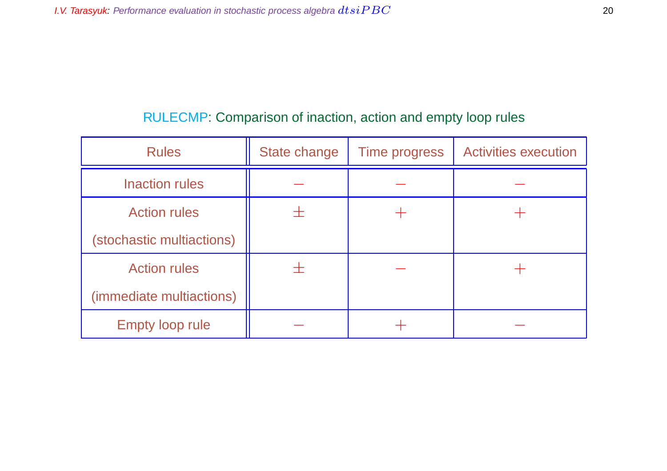## RULECMP: Comparison of inaction, action and empty loop rules

| <b>Rules</b>              | State change | <b>Time progress</b> | <b>Activities execution</b> |
|---------------------------|--------------|----------------------|-----------------------------|
| <b>Inaction rules</b>     |              |                      |                             |
| <b>Action rules</b>       |              |                      |                             |
| (stochastic multiactions) |              |                      |                             |
| <b>Action rules</b>       | ┭            |                      |                             |
| (immediate multiactions)  |              |                      |                             |
| <b>Empty loop rule</b>    |              |                      |                             |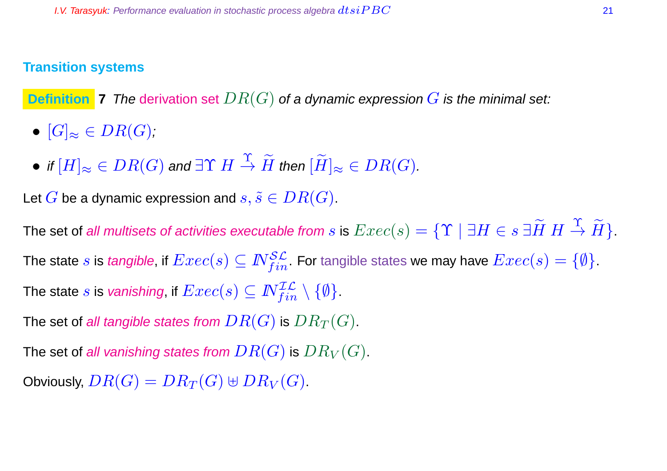#### **Transition systems**

**Definition 7** The derivation set  $DR(G)$  of a dynamic expression G is the minimal set:

- $[G]_{\approx} \in DR(G)$ ;
- $\bullet$  if  $[H]_\approx \in DR(G)$  and  $\exists \Upsilon \ H \stackrel{\Upsilon}{\rightarrow} \widetilde{H}$  then  $[\widetilde{H}]_\approx \in DR(G).$

Let G be a dynamic expression and  $s, \tilde{s} \in DR(G)$ .

The set of all multisets of activities executable from  $s$  is  $Exec(s)=\{{\Upsilon} \mid \exists H\in s\ \exists \widetilde{H}\ H\stackrel{\Upsilon}{\to} \widetilde{H}\}$  . The state  $s$  is *tangible,* if  $Exec(s)\subseteq \mathbb{N}^{\mathcal{SL}}_{fin}.$  For tangible states we may have  $Exec(s)=\{\emptyset\}.$ The state  $s$  is *vanishing*, if  $Exec(s) \subseteq \mathbb{N}^{\mathcal{IL}}_{fin} \setminus \{ \emptyset \}.$ 

The set of all tangible states from  $DR(G)$  is  $DR_T(G)$ .

The set of all vanishing states from  $DR(G)$  is  $DR_V(G)$ .

Obviously,  $DR(G) = DR_T(G) \oplus DR_V(G)$ .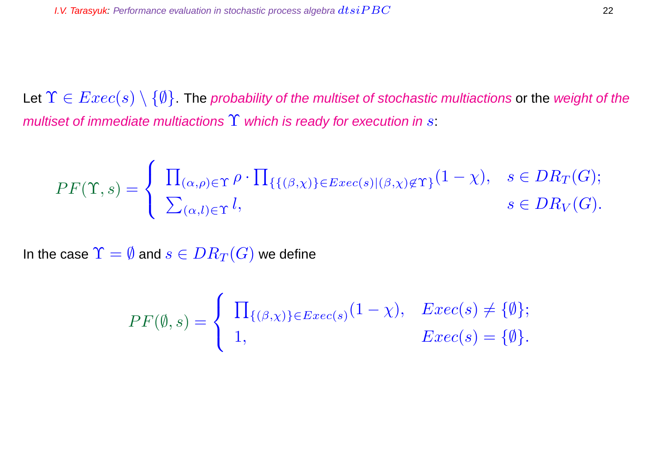Let  $\Upsilon \in \mathit{Exec}(s) \setminus \{\emptyset\}$ . The probability of the multiset of stochastic multiactions or the weight of the multiset of immediate multiactions  $\Upsilon$  which is ready for execution in s:

$$
PF(\Upsilon, s) = \begin{cases} \prod_{(\alpha,\rho) \in \Upsilon} \rho \cdot \prod_{\{ \{ (\beta,\chi) \} \in E \text{vec}(s) | (\beta,\chi) \notin \Upsilon \}} (1-\chi), & s \in DR_T(G); \\ \sum_{(\alpha,l) \in \Upsilon} l, & s \in DR_V(G). \end{cases}
$$

In the case  $\Upsilon = \emptyset$  and  $s \in DR_T(G)$  we define

$$
PF(\emptyset, s) = \begin{cases} \prod_{\{(\beta, \chi)\}\in Exc(s)} (1-\chi), & Exc(s) \neq \{\emptyset\}; \\ 1, & Exc(s) = \{\emptyset\}. \end{cases}
$$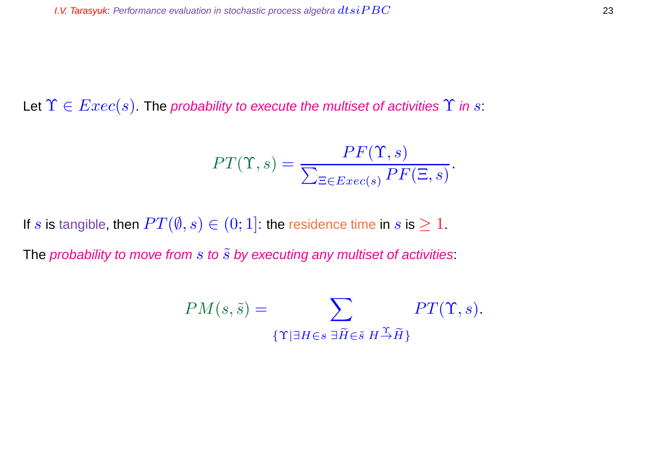Let  $\Upsilon \in Excel(s)$ . The probability to execute the multiset of activities  $\Upsilon$  in s:

$$
PT(\Upsilon, s) = \frac{PF(\Upsilon, s)}{\sum_{\Xi \in Excel(s)} PF(\Xi, s)}.
$$

If s is tangible, then  $PT(\emptyset, s) \in (0, 1]$ : the residence time in s is  $\geq 1$ .

The probability to move from  $s$  to  $\tilde{s}$  by executing any multiset of activities:

$$
PM(s, \tilde{s}) = \sum_{\{\Upsilon \mid \exists H \in s \ \exists \tilde{H} \in \tilde{s} \ H \stackrel{\Upsilon}{\rightarrow} \tilde{H}\}} PT(\Upsilon, s).
$$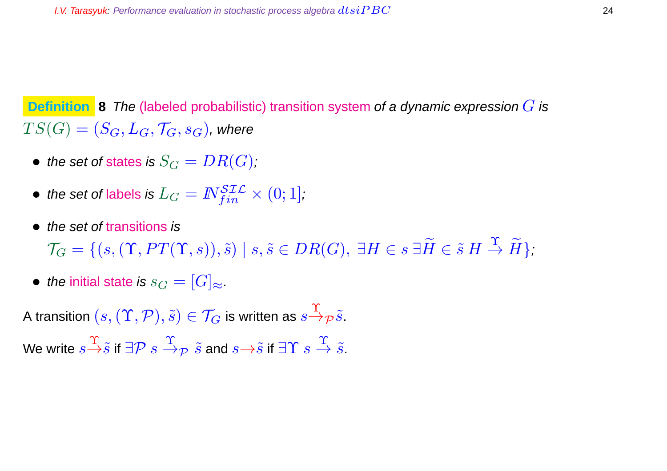**Definition** 8 The (labeled probabilistic) transition system of a dynamic expression G is  $TS(G) = (S_G, L_G, \mathcal{T}_G, s_G)$ , where

- the set of states is  $S_G = DR(G)$ ;
- $\bullet \ \textit{the set of labels is } L_G = I\!\!N_{fin}^{\mathcal{SLL}} \times (0;1],$
- the set of transitions is

 $\mathcal{T}_G = \{ (s,(\Upsilon, PT(\Upsilon,s)), \tilde{s}) \mid s, \tilde{s} \in DR(G), \ \exists H \in s \ \exists \widetilde{H} \in \tilde{s} \ H \stackrel{\Upsilon}{\to} \widetilde{H} \},$ 

• the initial state is  $s_G = [G]_{\approx}$ .

A transition  $(s,(\Upsilon,\mathcal{P}),\tilde{s})\in\mathcal{T}_G$  is written as  $s{\overset{\Upsilon}{\to}}_{\mathcal{P}}\tilde{s}.$ 

We write  $s{\overset{\Upsilon}{\to}}\tilde s$  if  $\exists {\cal P}\ s \overset{\Upsilon}{\to}_{\cal P}\ \tilde s$  and  $s{\overset{\Leftrightarrow}{\to}}\tilde s$  if  $\exists \Upsilon\ s \overset{\Upsilon}{\to}\tilde s.$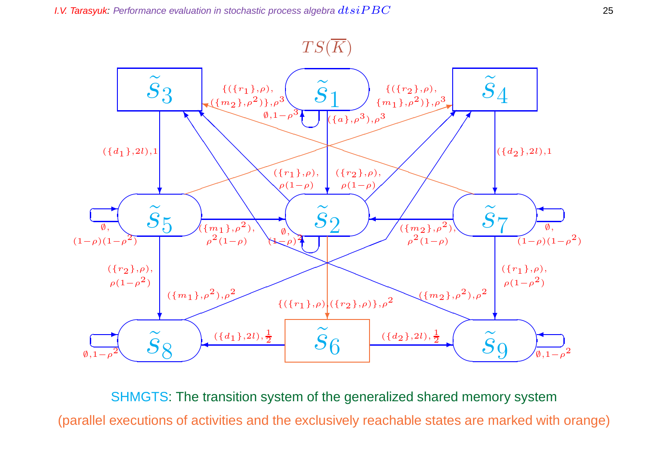



SHMGTS: The transition system of the generalized shared memory system (parallel executions of activities and the exclusively reachable states are marked with orange)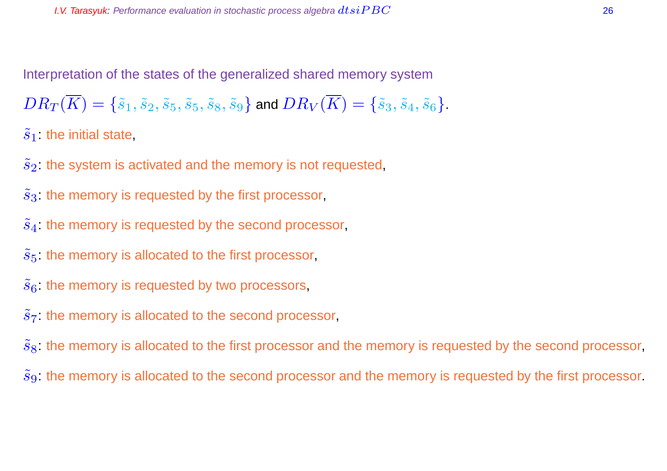Interpretation of the states of the generalized shared memory system

 $DR_T(\overline{K}) = \{\tilde{s}_1, \tilde{s}_2, \tilde{s}_5, \tilde{s}_5, \tilde{s}_8, \tilde{s}_9\}$  and  $DR_V(\overline{K}) = \{\tilde{s}_3, \tilde{s}_4, \tilde{s}_6\}.$ 

 $\tilde{s}_1$ : the initial state,

 $\tilde{s}_2$ : the system is activated and the memory is not requested,

 $\tilde{s}_3$ : the memory is requested by the first processor,

 $\tilde{s}_4$ : the memory is requested by the second processor,

 $\tilde{s}_5$ : the memory is allocated to the first processor,

 $\tilde{s}_6$ : the memory is requested by two processors,

 $s<sub>7</sub>$ : the memory is allocated to the second processor,

 $\tilde{s}_8$ : the memory is allocated to the first processor and the memory is requested by the second processor,

 $\tilde{s}_9$ : the memory is allocated to the second processor and the memory is requested by the first processor.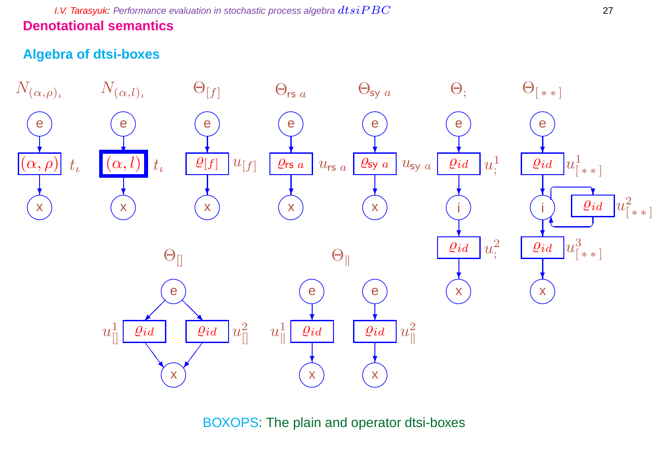**I.V. Tarasyuk:** Performance evaluation in stochastic process algebra  $dtsiPBC$  27 **Denotational semantics**

## **Algebra of dtsi-boxes**



BOXOPS: The plain and operator dtsi-boxes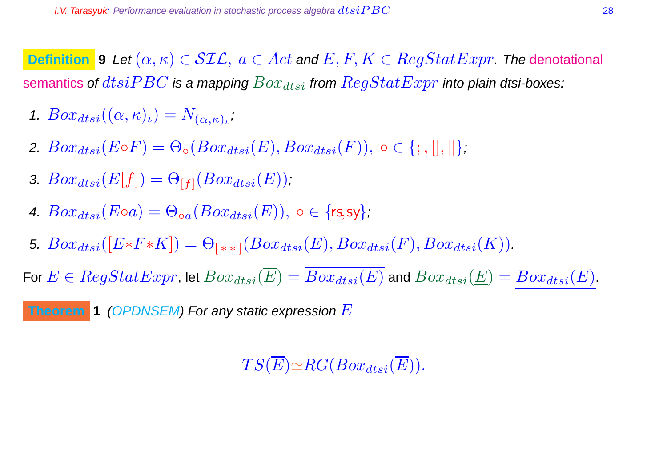**Definition 9** Let  $(\alpha, \kappa) \in \mathcal{SIL}$ ,  $a \in Act$  and  $E, F, K \in RegStatExpr$ . The denotational semantics of  $dtsiPBC$  is a mapping  $Box_{dtsi}$  from  $RegStatExpr$  into plain dtsi-boxes:

- 1.  $Box_{dtsi}((\alpha,\kappa)_{\iota})=N_{(\alpha,\kappa)_{\iota}}$
- 2.  $Box_{dtsi}(E \circ F) = \Theta_{\circ}(Box_{dtsi}(E),Box_{dtsi}(F)), \circ \in \{; , |, ||, ||\}$ ;
- 3.  $Box_{dtsi}(E[f]) = \Theta_{[f]}(Box_{dtsi}(E));$
- 4.  $Box_{dtsi}(E \circ a) = \Theta_{oa}(Box_{dtsi}(E))$ ,  $\circ \in \{rs, sy\}$ ;
- 5.  $Box_{dtsi}([E*F*K]) = \Theta_{(**1}(Box_{dtsi}(E),Box_{dtsi}(F),Box_{dtsi}(K)).$

For  $E \in RegStatexpr$ , let  $Box_{dtsi}(\overline{E}) = Box_{dtsi}(E)$  and  $Box_{dtsi}(\underline{E}) = Box_{dtsi}(E)$ .

**Theorem 1** (OPDNSEM) For any static expression E

 $TS(\overline{E}) \simeq RG(Box_{dtsi}(\overline{E})).$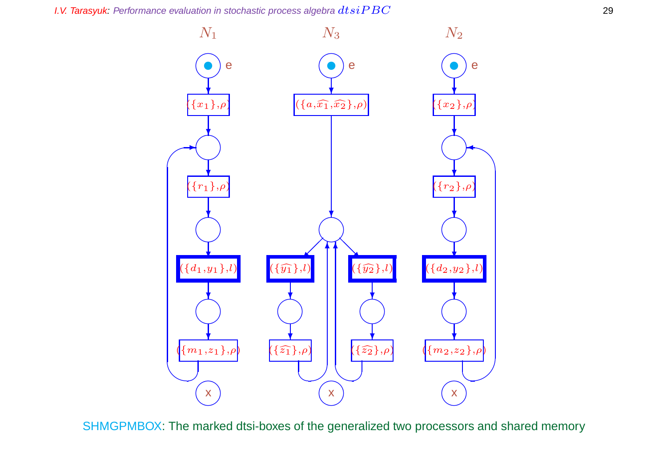**I.V. Tarasyuk:** Performance evaluation in stochastic process algebra  $dtsiPBC$  29



SHMGPMBOX: The marked dtsi-boxes of the generalized two processors and shared memory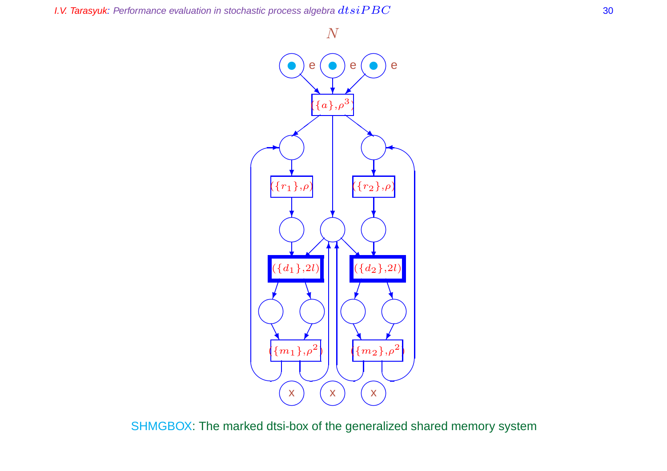



SHMGBOX: The marked dtsi-box of the generalized shared memory system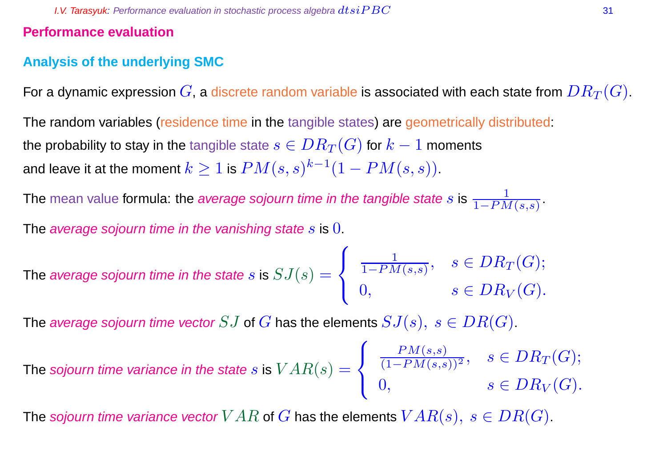#### **Performance evaluation**

## **Analysis of the underlying SMC**

For a dynamic expression  $G$ , a discrete random variable is associated with each state from  $DR_T(G)$ .

The random variables (residence time in the tangible states) are geometrically distributed: the probability to stay in the tangible state  $s \in DR_T(G)$  for  $k-1$  moments and leave it at the moment  $k\geq 1$  is  $PM(s,s)^{k-1}(1-PM(s,s)).$ 

The mean value formula: the *average sojourn time in the tangible state*  $s$  is  $\frac{1}{1-P M(s,s)}.$ 

The average sojourn time in the vanishing state s is  $0$ .

The average sojourn time in the state 
$$
s
$$
 is  $SJ(s) = \begin{cases} \frac{1}{1 - PM(s, s)}, & s \in DR_T(G); \\ 0, & s \in DR_V(G). \end{cases}$ 

The average sojourn time vector SJ of G has the elements  $SJ(s), s \in DR(G)$ .

The sojourn time variance in the state 
$$
s
$$
 is  $VAR(s) = \begin{cases} \frac{PM(s,s)}{(1-PM(s,s))^2}, & s \in DR_T(G); \\ 0, & s \in DR_V(G). \end{cases}$ 

The sojourn time variance vector  $VAR$  of  $G$  has the elements  $VAR(s), s \in DR(G)$ .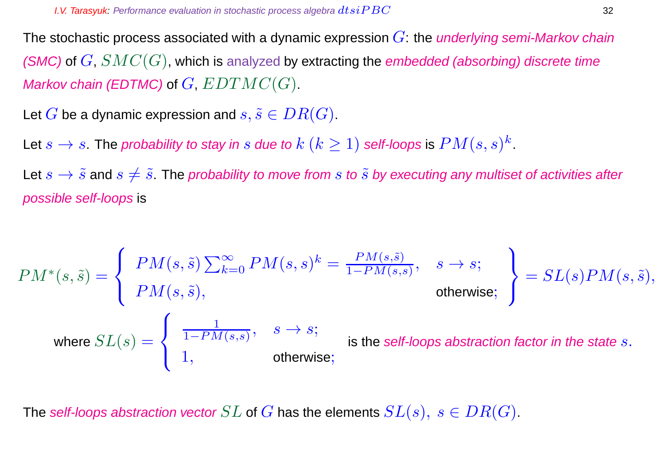The stochastic process associated with a dynamic expression  $G$ : the *underlying semi-Markov chain* (SMC) of  $G$ ,  $SMC(G)$ , which is analyzed by extracting the embedded (absorbing) discrete time Markov chain (EDTMC) of  $G, EDTMC(G)$ .

Let G be a dynamic expression and  $s, \tilde{s} \in DR(G)$ .

Let  $s\to s$  . The probability to stay in  $s$  due to  $k$   $(k\geq 1)$  self-loops is  $PM(s,s)^k$  .

Let  $s \to \tilde{s}$  and  $s \neq \tilde{s}$ . The probability to move from s to  $\tilde{s}$  by executing any multiset of activities after possible self-loops is

$$
PM^*(s, \tilde{s}) = \begin{cases} PM(s, \tilde{s}) \sum_{k=0}^{\infty} PM(s, s)^k = \frac{PM(s, \tilde{s})}{1 - PM(s, s)}, & s \to s; \\ PM(s, \tilde{s}), & \text{otherwise}; \end{cases} = SL(s)PM(s, \tilde{s}),
$$
  
\nwhere  $SL(s) = \begin{cases} \frac{1}{1 - PM(s, s)}, & s \to s; \\ 1, & \text{otherwise}; \end{cases}$  is the self-loops abstraction factor in the state s.

The self-loops abstraction vector  $SL$  of  $G$  has the elements  $SL(s), s \in DR(G)$ .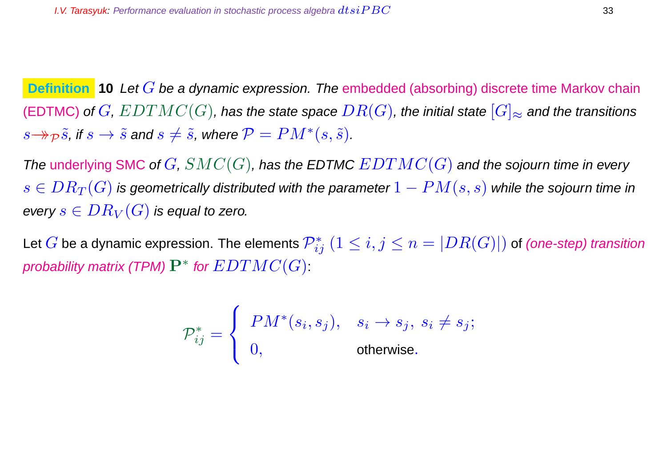**Definition 10** Let G be a dynamic expression. The embedded (absorbing) discrete time Markov chain (EDTMC) of  $G,$   $EDTMC(G)$ , has the state space  $DR(G)$ , the initial state  $[G]_{\approx}$  and the transitions  $s{\to \!\!\rightarrow} \tilde{p}\, \tilde{s}$ , if  $s\to \tilde{s}$  and  $s\neq \tilde{s}$ , where  ${\cal P} = PM^*(s,\tilde{s})$ .

The underlying SMC of  $G, SMC(G)$ , has the EDTMC  $EDTMC(G)$  and the sojourn time in every  $s \in DR_T(G)$  is geometrically distributed with the parameter  $1 - PM(s, s)$  while the sojourn time in every  $s \in DR_V(G)$  is equal to zero.

Let  $G$  be a dynamic expression. The elements  $\mathcal{P}_{ij}^*$   $(1\leq i,j\leq n=|DR(G)|)$  of *(one-step) transition* probability matrix (TPM)  $\mathbf{P}^{*}$  for  $EDTMC(G)$  :

$$
\mathcal{P}_{ij}^* = \left\{ \begin{array}{ll} PM^*(s_i,s_j), & s_i \rightarrow s_j, \ s_i \neq s_j; \\ 0, & \text{otherwise}. \end{array} \right.
$$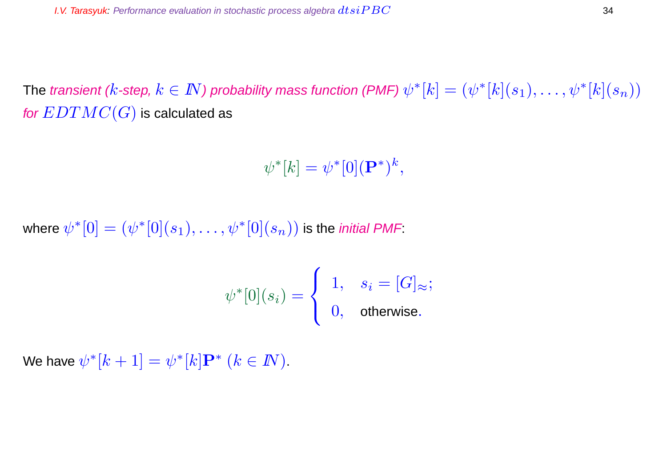The transient ( $k$ -step,  $k\in I\!\!N$ ) probability mass function (PMF)  $\psi^*[k]=(\psi^*[k](s_1),\ldots,\psi^*[k](s_n))$ for  $EDTMC(G)$  is calculated as

 $\psi^*[k] = \psi^*[0](\mathbf{P}^*)^k,$ 

where  $\psi^{\ast}[0]=(\psi^{\ast}[0](s_{1}),\ldots,\psi^{\ast}[0](s_{n}))$  is the *initial PMF*:

$$
\psi^*[0](s_i) = \begin{cases} 1, & s_i = [G]_{\approx}; \\ 0, & \text{otherwise}. \end{cases}
$$

We have  $\psi^*[k+1] = \psi^*[k] \mathbf P^*$   $(k \in I\!\!N)$ .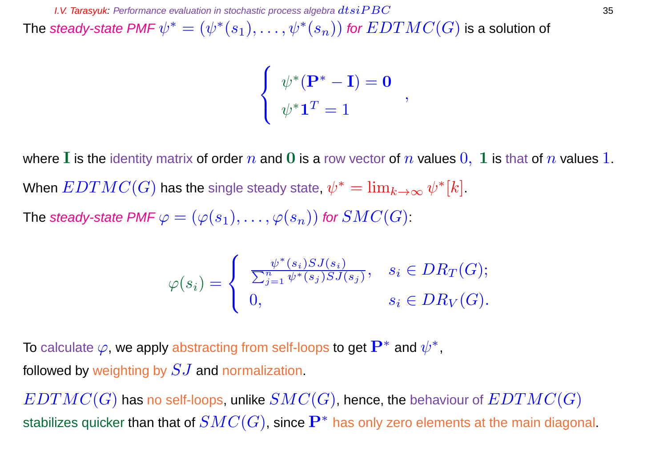The steady-state PMF  $\psi^* = (\psi^*(s_1), \ldots, \psi^*(s_n))$  for  $EDTMC(G)$  is a solution of

$$
\left\{ \begin{array}{l} \psi^*(\mathbf{P}^* - \mathbf{I}) = \mathbf{0} \\ \psi^* \mathbf{1}^T = 1 \end{array} \right.,
$$

where I is the identity matrix of order  $n$  and 0 is a row vector of  $n$  values  $0, 1$  is that of  $n$  values 1. When  $EDTMC(G)$  has the single steady state,  $\psi^*=\lim_{k\rightarrow\infty}\psi^*[k].$ The steady-state PMF  $\varphi = (\varphi(s_1), \ldots, \varphi(s_n))$  for  $SMC(G)$ :

$$
\varphi(s_i) = \begin{cases} \frac{\psi^*(s_i) S J(s_i)}{\sum_{j=1}^n \psi^*(s_j) S J(s_j)}, & s_i \in DR_T(G); \\ 0, & s_i \in DR_V(G). \end{cases}
$$

To calculate  $\varphi$ , we apply abstracting from self-loops to get  $\mathbf{P}^{*}$  and  $\psi^{*}$ , followed by weighting by  $SJ$  and normalization.

 $EDTMC(G)$  has no self-loops, unlike  $SMC(G)$ , hence, the behaviour of  $EDTMC(G)$ stabilizes quicker than that of  $SMC(G)$ , since  $\mathbf{P}^{*}$  has only zero elements at the main diagonal.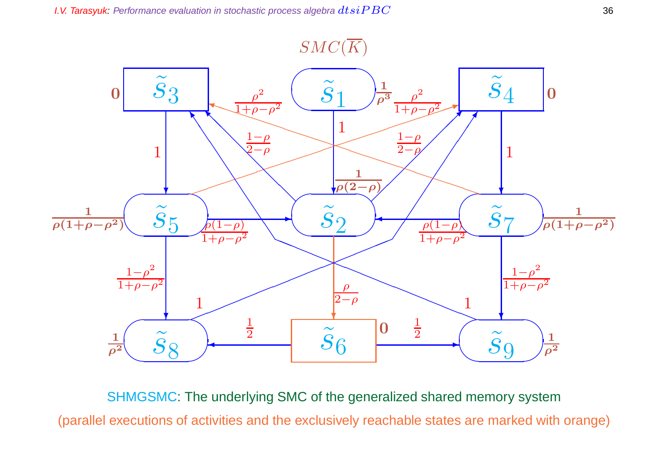# $SMC(\overline{K})$



SHMGSMC: The underlying SMC of the generalized shared memory system (parallel executions of activities and the exclusively reachable states are marked with orange)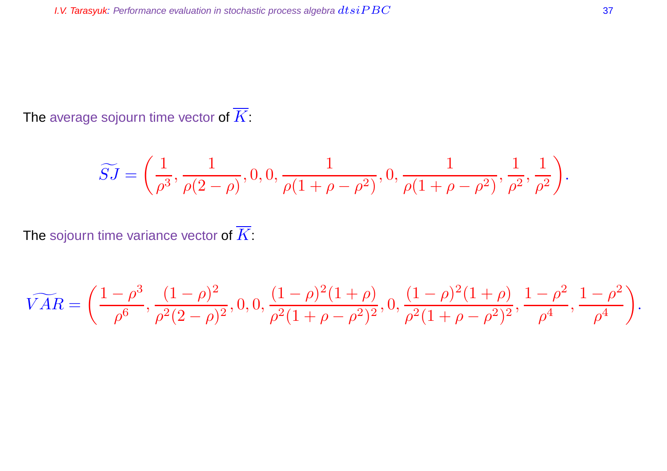The average sojourn time vector of  $\overline{K}$ :

$$
\widetilde{SJ}=\bigg(\frac{1}{\rho^3},\frac{1}{\rho(2-\rho)},0,0,\frac{1}{\rho(1+\rho-\rho^2)},0,\frac{1}{\rho(1+\rho-\rho^2)},\frac{1}{\rho^2},\frac{1}{\rho^2}\bigg).
$$

The sojourn time variance vector of  $\overline{K}$ :

$$
\widetilde{VAR} = \left( \frac{1 - \rho^3}{\rho^6}, \frac{(1 - \rho)^2}{\rho^2 (2 - \rho)^2}, 0, 0, \frac{(1 - \rho)^2 (1 + \rho)}{\rho^2 (1 + \rho - \rho^2)^2}, 0, \frac{(1 - \rho)^2 (1 + \rho)}{\rho^2 (1 + \rho - \rho^2)^2}, \frac{1 - \rho^2}{\rho^4}, \frac{1 - \rho^2}{\rho^4} \right).
$$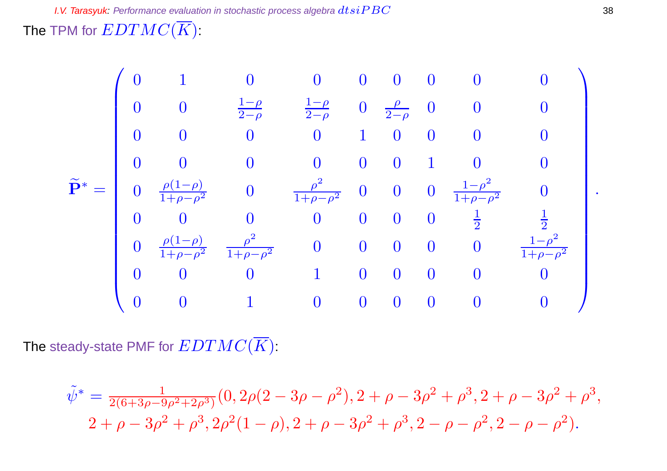The TPM for  $EDTMC(\overline{K})$ :

$$
\widetilde{\mathbf{P}}^* = \begin{pmatrix}\n0 & 1 & 0 & 0 & 0 & 0 & 0 & 0 & 0 \\
0 & 0 & \frac{1-\rho}{2-\rho} & \frac{1-\rho}{2-\rho} & 0 & \frac{\rho}{2-\rho} & 0 & 0 & 0 \\
0 & 0 & 0 & 0 & 1 & 0 & 0 & 0 & 0 \\
0 & 0 & 0 & 0 & 0 & 0 & 1 & 0 & 0 \\
0 & \frac{\rho(1-\rho)}{1+\rho-\rho^2} & 0 & \frac{\rho^2}{1+\rho-\rho^2} & 0 & 0 & 0 & \frac{1-\rho^2}{1+\rho-\rho^2} & 0 \\
0 & 0 & 0 & 0 & 0 & 0 & 0 & \frac{1}{2} & \frac{1}{2} \\
0 & \frac{\rho(1-\rho)}{1+\rho-\rho^2} & \frac{\rho^2}{1+\rho-\rho^2} & 0 & 0 & 0 & 0 & \frac{1-\rho^2}{1+\rho-\rho^2} \\
0 & 0 & 0 & 1 & 0 & 0 & 0 & 0 & 0 \\
0 & 0 & 1 & 0 & 0 & 0 & 0 & 0 & 0\n\end{pmatrix}
$$

The steady-state PMF for  $EDTMC(\overline{K})$ :

$$
\tilde{\psi}^* = \frac{1}{2(6+3\rho-9\rho^2+2\rho^3)} (0, 2\rho(2-3\rho-\rho^2), 2+\rho-3\rho^2+\rho^3, 2+\rho-3\rho^2+\rho^3, \n2+\rho-3\rho^2+\rho^3, 2\rho^2(1-\rho), 2+\rho-3\rho^2+\rho^3, 2-\rho-\rho^2, 2-\rho-\rho^2).
$$

.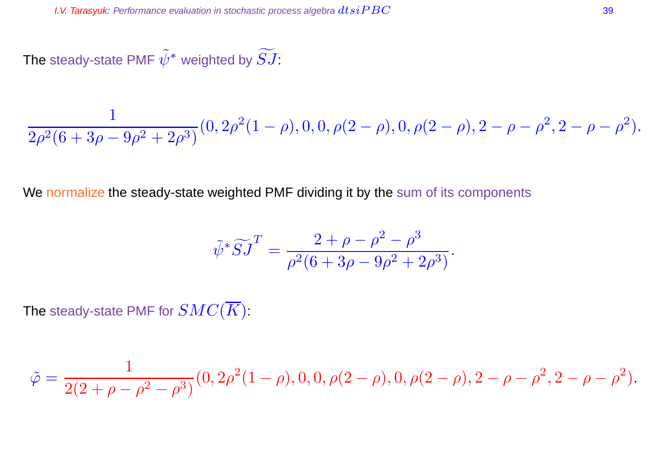The steady-state PMF  $\tilde{\psi}^*$  weighted by  $\widetilde{SJ}$ :

$$
\frac{1}{2\rho^2(6+3\rho-9\rho^2+2\rho^3)}(0, 2\rho^2(1-\rho), 0, 0, \rho(2-\rho), 0, \rho(2-\rho), 2-\rho-\rho^2, 2-\rho-\rho^2).
$$

We normalize the steady-state weighted PMF dividing it by the sum of its components

$$
\tilde{\psi}^* \widetilde{S} \widetilde{J}^T = \frac{2 + \rho - \rho^2 - \rho^3}{\rho^2 (6 + 3\rho - 9\rho^2 + 2\rho^3)}.
$$

The steady-state PMF for  $SMC(\overline{K})$ :

$$
\tilde{\varphi}=\frac{1}{2(2+\rho-\rho^2-\rho^3)}(0,2\rho^2(1-\rho),0,0,\rho(2-\rho),0,\rho(2-\rho),2-\rho-\rho^2,2-\rho-\rho^2).
$$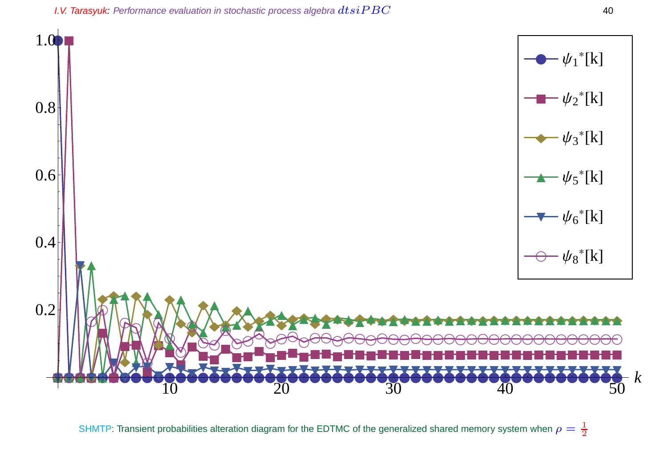**I.V. Tarasyuk:** Performance evaluation in stochastic process algebra  $dtsiPBC$  40



SHMTP: Transient probabilities alteration diagram for the EDTMC of the generalized shared memory system when  $\rho=\frac{1}{2}$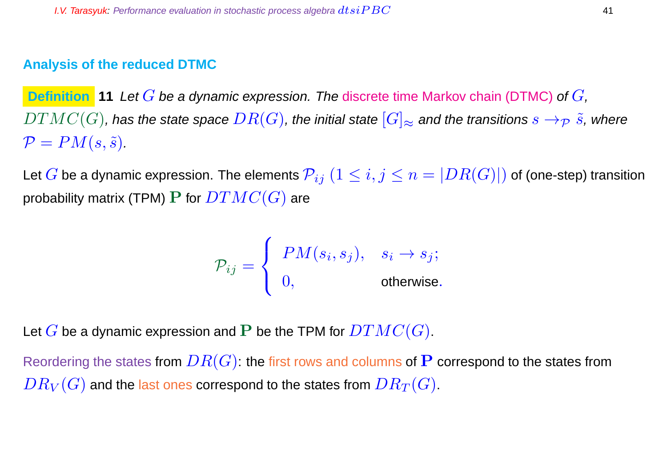# **Analysis of the reduced DTMC**

**Definition 11** Let G be a dynamic expression. The discrete time Markov chain (DTMC) of G,  $DTMC(G)$ , has the state space  $DR(G)$ , the initial state  $[G]_{\approx}$  and the transitions  $s\rightarrow_{\mathcal{P}}\tilde{s}$ , where  $\mathcal{P} = PM(s, \tilde{s}).$ 

Let G be a dynamic expression. The elements  $\mathcal{P}_{ij}$   $(1 \leq i,j \leq n = |DR(G)|)$  of (one-step) transition probability matrix (TPM) P for  $DTMC(G)$  are

$$
\mathcal{P}_{ij} = \left\{ \begin{array}{ll} PM(s_i,s_j), & s_i \rightarrow s_j; \\[1ex] 0, & \text{otherwise.} \end{array} \right.
$$

Let G be a dynamic expression and P be the TPM for  $DTMC(G)$ .

Reordering the states from  $DR(G)$ : the first rows and columns of P correspond to the states from  $DR_V(G)$  and the last ones correspond to the states from  $DR_T(G)$ .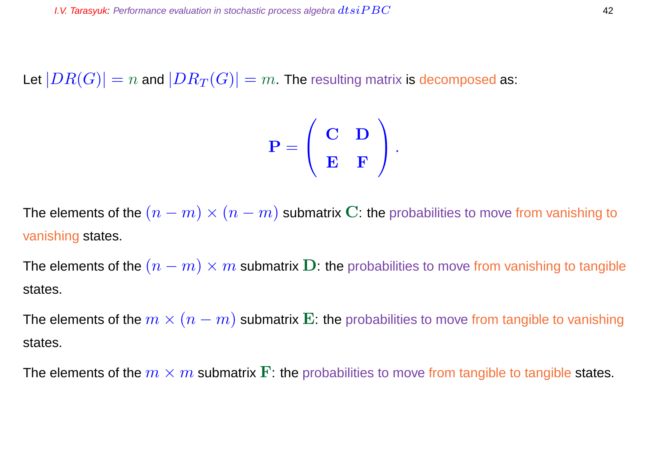Let  $|DR(G)| = n$  and  $|DR_T(G)| = m$ . The resulting matrix is decomposed as:

$$
\mathbf{P} = \left( \begin{array}{cc} \mathbf{C} & \mathbf{D} \\ \mathbf{E} & \mathbf{F} \end{array} \right).
$$

The elements of the  $(n-m) \times (n-m)$  submatrix C: the probabilities to move from vanishing to vanishing states.

The elements of the  $(n-m) \times m$  submatrix D: the probabilities to move from vanishing to tangible states.

The elements of the  $m \times (n - m)$  submatrix E: the probabilities to move from tangible to vanishing states.

The elements of the  $m \times m$  submatrix  $\bf{F}$ : the probabilities to move from tangible to tangible states.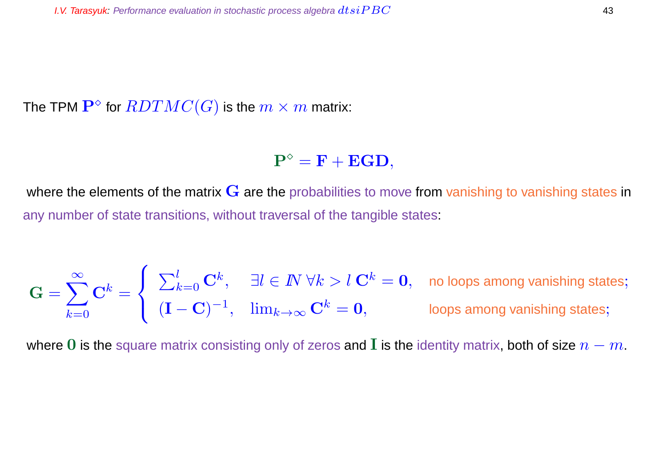The TPM  $\mathbf{P}^\diamond$  for  $\overline{RDTMC}(G)$  is the  $m\times m$  matrix:

 $\mathbf{P}^{\diamond} = \mathbf{F} + \mathbf{EGD},$ 

where the elements of the matrix  $G$  are the probabilities to move from vanishing to vanishing states in any number of state transitions, without traversal of the tangible states:

$$
\mathbf{G} = \sum_{k=0}^{\infty} \mathbf{C}^k = \begin{cases} \sum_{k=0}^{l} \mathbf{C}^k, & \exists l \in I \ \forall k > l \ \mathbf{C}^k = \mathbf{0}, & \text{no loops among vanishing states;} \\ (\mathbf{I} - \mathbf{C})^{-1}, & \lim_{k \to \infty} \mathbf{C}^k = \mathbf{0}, & \text{loops among vanishing states;} \end{cases}
$$

where 0 is the square matrix consisting only of zeros and I is the identity matrix, both of size  $n - m$ .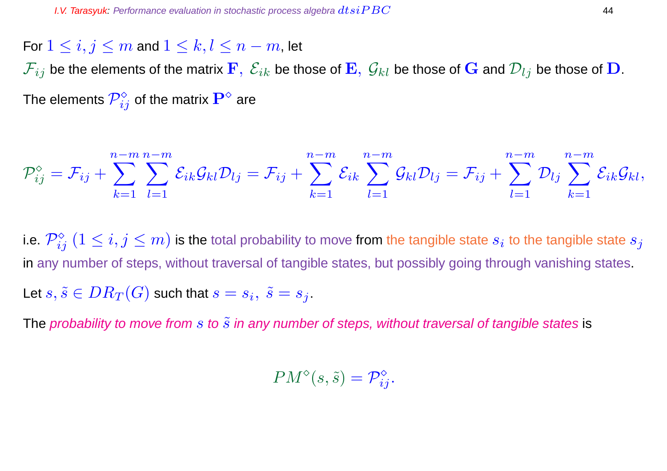For  $1 \leq i, j \leq m$  and  $1 \leq k, l \leq n-m$ , let

 $\mathcal{F}_{ij}$  be the elements of the matrix  $\mathbf{F},\ \mathcal{E}_{ik}$  be those of  $\mathbf{E},\ \mathcal{G}_{kl}$  be those of  $\mathbf{G}$  and  $\mathcal{D}_{lj}$  be those of  $\mathbf{D}.$ The elements  $\mathcal{P}_{ij}^{\diamond}$  of the matrix  $\mathbf{P}^{\diamond}$  are

$$
\mathcal{P}^{\diamond}_{ij}=\mathcal{F}_{ij}+\sum_{k=1}^{n-m}\sum_{l=1}^{n-m}\mathcal{E}_{ik}\mathcal{G}_{kl}\mathcal{D}_{lj}=\mathcal{F}_{ij}+\sum_{k=1}^{n-m}\mathcal{E}_{ik}\sum_{l=1}^{n-m}\mathcal{G}_{kl}\mathcal{D}_{lj}=\mathcal{F}_{ij}+\sum_{l=1}^{n-m}\mathcal{D}_{lj}\sum_{k=1}^{n-m}\mathcal{E}_{ik}\mathcal{G}_{kl},
$$

i.e.  $\mathcal{P}^\diamond_{ij}$   $(1\leq i,j\leq m)$  is the total probability to move from the tangible state  $s_i$  to the tangible state  $s_j$ in any number of steps, without traversal of tangible states, but possibly going through vanishing states. Let  $s,\tilde{s}\in DR_T(G)$  such that  $s=s_i,~\tilde{s}=s_j.$ 

The probability to move from s to  $\tilde{s}$  in any number of steps, without traversal of tangible states is

 $PM^{\diamond}(s, \tilde{s}) = \mathcal{P}_{ij}^{\diamond}.$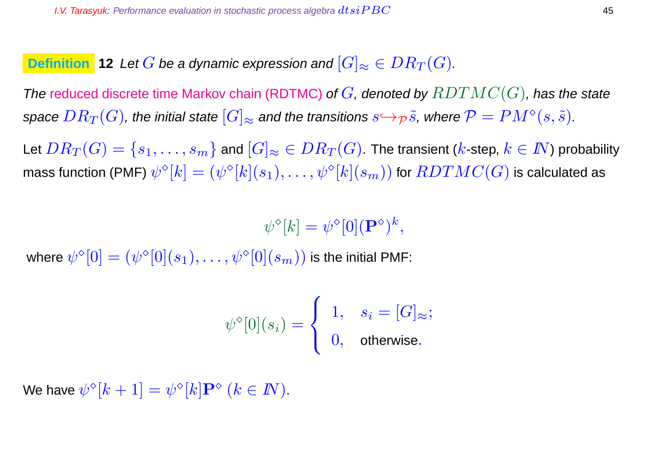**Definition** 12 Let G be a dynamic expression and  $[G]_{\approx} \in DR_T(G)$ .

The reduced discrete time Markov chain (RDTMC) of  $G$ , denoted by  $RDTMC(G)$ , has the state space  $DR_T(G)$ , the initial state  $[G]_{\approx}$  and the transitions  $s{\hookrightarrow_{\mathcal P}} \tilde s$ , where  $\mathcal P=PM^\diamond(s,\tilde s).$ 

Let  $DR_T(G) = \{s_1, \ldots, s_m\}$  and  $[G]_{\approx} \in DR_T(G)$ . The transient (k-step,  $k \in \mathbb{N}$ ) probability mass function (PMF)  $\psi^\diamond[k]=(\psi^\diamond[k](s_1),\ldots,\psi^\diamond[k](s_m))$  for  $RDTMC(G)$  is calculated as

 $\psi^{\diamond}[k] = \psi^{\diamond}[0](\mathbf{P}^{\diamond})^k,$ 

where  $\psi^{\diamond}[0]=(\psi^{\diamond}[0](s_1),\ldots,\psi^{\diamond}[0](s_m))$  is the initial PMF:

$$
\psi^\diamond[0](s_i) = \left\{ \begin{array}{ll} 1, & s_i = [G]_\approx; \\ 0, & \text{otherwise}. \end{array} \right.
$$

We have  $\psi^\diamond [k+1] = \psi^\diamond [k] \mathbf P^\diamond~(k\in I\!\!N)$ .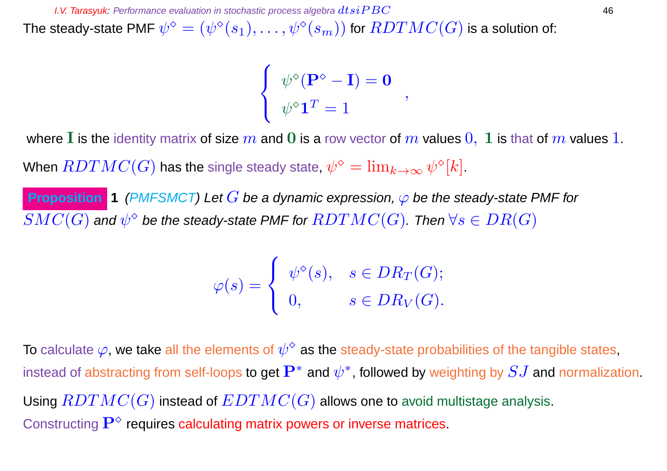**I.V. Tarasyuk:** Performance evaluation in stochastic process algebra  $dtsiPBC$  46

The steady-state PMF  $\psi^\diamond=(\psi^\diamond(s_1),\ldots,\psi^\diamond(s_m))$  for  $RDTMC(G)$  is a solution of:

 $\sqrt{ }$  $\frac{1}{2}$  $\overline{\mathcal{L}}$  $\psi^\diamond({\bf P}^\diamond-{\bf I})={\bf 0}$  $\psi^\diamond \mathbf{1}^T = 1$ 

,

where I is the identity matrix of size m and 0 is a row vector of m values  $0, 1$  is that of m values 1.

When  $RDTMC(G)$  has the single steady state,  $\psi^\diamond = \lim_{k \to \infty} \psi^\diamond [k].$ 

**Proposition 1** (PMFSMCT) Let G be a dynamic expression,  $\varphi$  be the steady-state PMF for  $SMC(G)$  and  $\psi^\diamond$  be the steady-state PMF for  $RDTMC(G)$ . Then  $\forall s\in DR(G)$ 

$$
\varphi(s) = \begin{cases} \psi^{\diamond}(s), & s \in DR_T(G); \\ 0, & s \in DR_V(G). \end{cases}
$$

To calculate  $\varphi$ , we take all the elements of  $\psi^\diamond$  as the steady-state probabilities of the tangible states, instead of abstracting from self-loops to get  $\mathbf{P}^{*}$  and  $\psi^{*}$ , followed by weighting by  $SJ$  and normalization. Using  $RDTMC(G)$  instead of  $EDTMC(G)$  allows one to avoid multistage analysis. Constructing  $\mathbf{P}^{\diamond}$  requires calculating matrix powers or inverse matrices.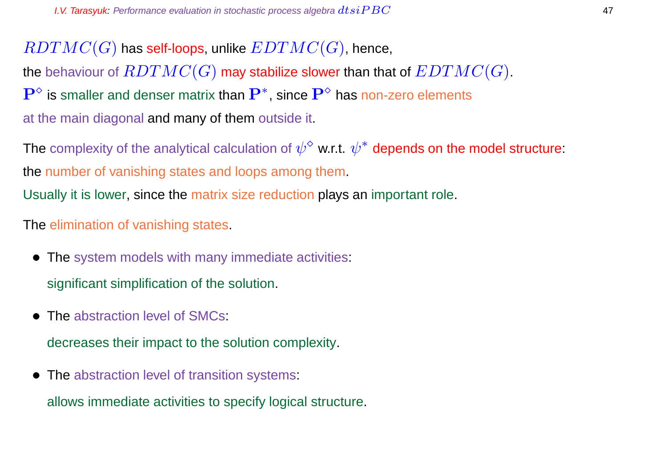$RDTMC(G)$  has self-loops, unlike  $EDTMC(G)$ , hence, the behaviour of  $RDTMC(G)$  may stabilize slower than that of  $EDTMC(G)$ .  $\mathbf{P}^{\diamond}$  is smaller and denser matrix than  $\mathbf{P}^{*}$ , since  $\mathbf{P}^{\diamond}$  has non-zero elements at the main diagonal and many of them outside it.

The complexity of the analytical calculation of  $\psi^\diamond$  w.r.t.  $\psi^*$  depends on the model structure: the number of vanishing states and loops among them.

Usually it is lower, since the matrix size reduction plays an important role.

The elimination of vanishing states.

- The system models with many immediate activities: significant simplification of the solution.
- The abstraction level of SMCs:

decreases their impact to the solution complexity.

• The abstraction level of transition systems:

allows immediate activities to specify logical structure.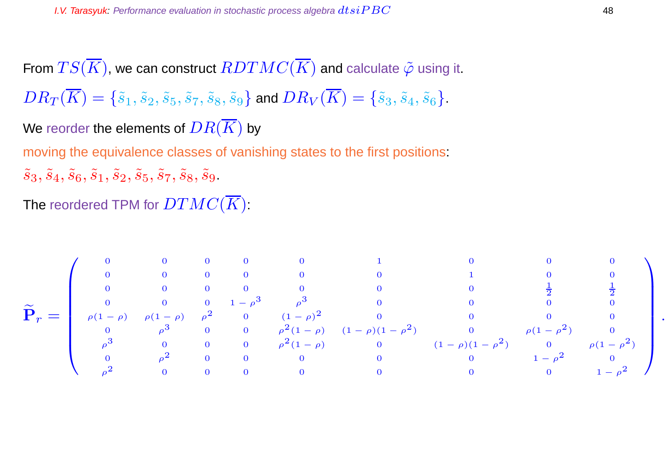From  $TS(\overline{K})$ , we can construct  $RDTMC(\overline{K})$  and calculate  $\tilde{\varphi}$  using it.  $DR_T(\overline{K}) = \{\tilde{s}_1, \tilde{s}_2, \tilde{s}_5, \tilde{s}_7, \tilde{s}_8, \tilde{s}_9\}$  and  $DR_V(\overline{K}) = \{\tilde{s}_3, \tilde{s}_4, \tilde{s}_6\}.$ We reorder the elements of  $DR(\overline{K})$  by moving the equivalence classes of vanishing states to the first positions:  $\tilde{s}_3, \tilde{s}_4, \tilde{s}_6, \tilde{s}_1, \tilde{s}_2, \tilde{s}_5, \tilde{s}_7, \tilde{s}_8, \tilde{s}_9.$ 

The reordered TPM for  $DTMC(K)$ :

$$
\widetilde{\mathbf{P}}_{r} = \left(\begin{array}{cccccccccccc} 0 & 0 & 0 & 0 & 0 & 0 & 1 & 0 & 0 & 0 & 0 \\ 0 & 0 & 0 & 0 & 0 & 0 & 0 & 1 & 0 & 0 \\ 0 & 0 & 0 & 0 & 0 & 0 & 0 & 0 & \frac{1}{2} & \frac{1}{2} \\ 0 & 0 & 0 & 1-\rho^{3} & \rho^{3} & 0 & 0 & 0 & 0 & 0 \\ 0 & \rho^{3} & 0 & 0 & \rho^{2}(1-\rho) & (1-\rho)(1-\rho^{2}) & 0 & \rho(1-\rho^{2}) & 0 \\ \rho^{3} & 0 & 0 & 0 & \rho^{2}(1-\rho) & 0 & (1-\rho)(1-\rho^{2}) & 0 & \rho(1-\rho^{2}) \\ 0 & \rho^{2} & 0 & 0 & 0 & 0 & 0 & 0 & 1-\rho^{2} & 0 \\ \rho^{2} & 0 & 0 & 0 & 0 & 0 & 0 & 0 & 0 & 1-\rho^{2} \end{array}\right)
$$

.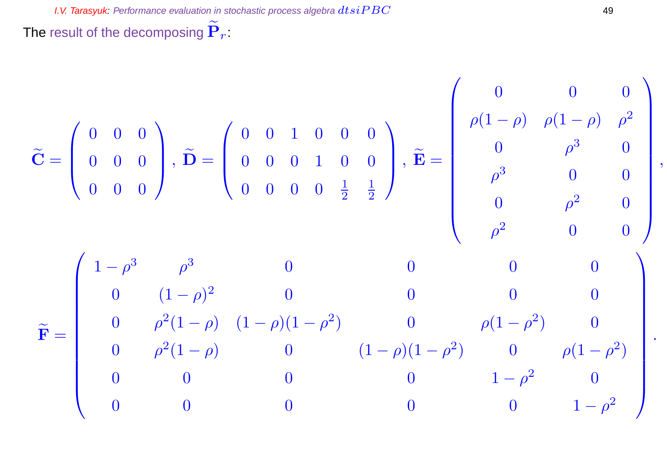The result of the decomposing  $\widetilde{\mathbf{P}}_r$ :

$$
\widetilde{\mathbf{C}} = \begin{pmatrix} 0 & 0 & 0 \\ 0 & 0 & 0 \\ 0 & 0 & 0 \end{pmatrix}, \widetilde{\mathbf{D}} = \begin{pmatrix} 0 & 0 & 1 & 0 & 0 & 0 \\ 0 & 0 & 0 & 1 & 0 & 0 \\ 0 & 0 & 0 & 0 & \frac{1}{2} & \frac{1}{2} \end{pmatrix}, \widetilde{\mathbf{E}} = \begin{pmatrix} 0 & 0 & 0 & 0 & 0 \\ \rho(1-\rho) & \rho(1-\rho) & \rho^2 & 0 & 0 \\ 0 & \rho^3 & 0 & 0 & 0 \\ \rho^3 & 0 & 0 & 0 & 0 \\ 0 & \rho^2 & 0 & 0 & 0 \end{pmatrix}
$$

$$
\widetilde{\mathbf{F}} = \begin{pmatrix} 1-\rho^3 & \rho^3 & 0 & 0 & 0 & 0 \\ 0 & (1-\rho)^2 & 0 & 0 & 0 & 0 \\ 0 & \rho^2(1-\rho) & (1-\rho)(1-\rho^2) & 0 & \rho(1-\rho^2) & 0 \\ 0 & \rho^2(1-\rho) & 0 & (1-\rho)(1-\rho^2) & 0 & \rho(1-\rho^2) \\ 0 & 0 & 0 & 0 & 1-\rho^2 & 0 \\ 0 & 0 & 0 & 0 & 0 & 1-\rho^2 \end{pmatrix}.
$$

,

.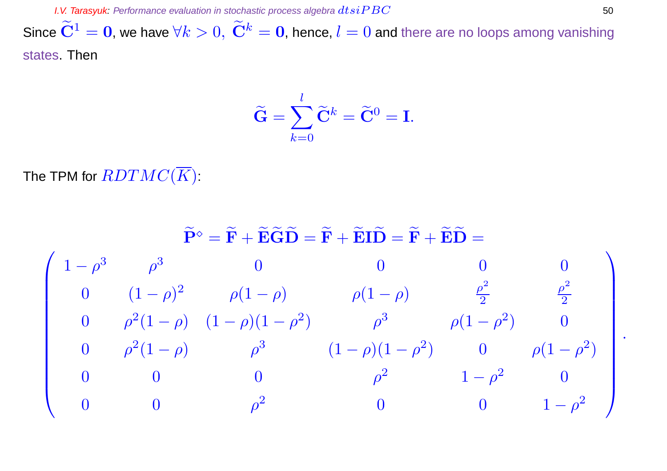Since  $\widetilde{\bf C}^1={\bf 0}$ , we have  $\forall k>0,~\widetilde{\bf C}^k={\bf 0}$ , hence,  $l=0$  and there are no loops among vanishing states. Then

$$
\widetilde{\mathbf{G}} = \sum_{k=0}^{l} \widetilde{\mathbf{C}}^{k} = \widetilde{\mathbf{C}}^{0} = \mathbf{I}.
$$

The TPM for  $\overline{RDTMC}(\overline{K})$ :

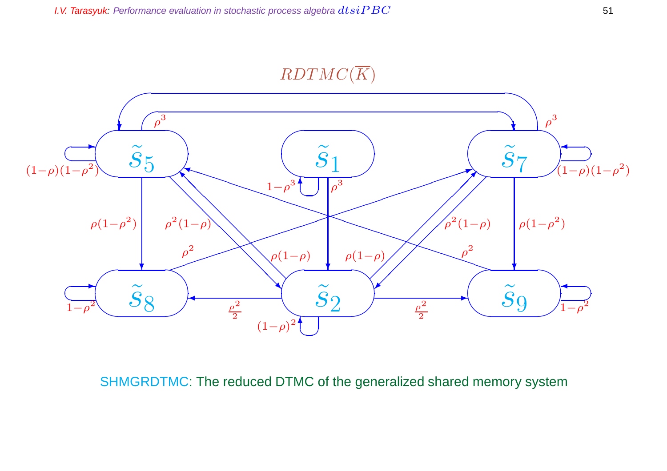$RDTMC(\overline{K})$ 



SHMGRDTMC: The reduced DTMC of the generalized shared memory system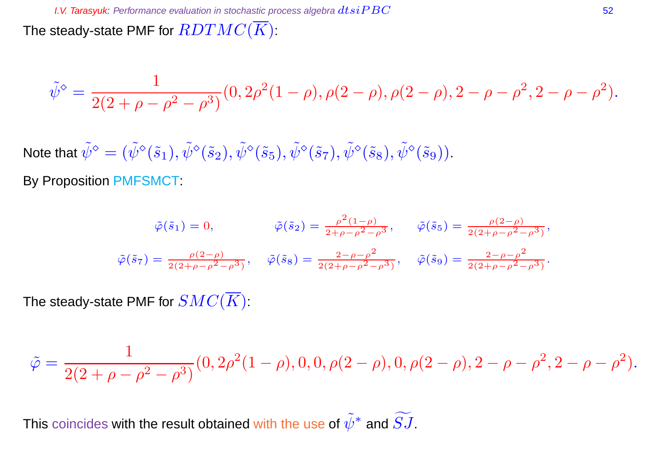The steady-state PMF for  $RDTMC(\overline{K})$ :

$$
\tilde{\psi}^{\diamond} = \frac{1}{2(2+\rho-\rho^2-\rho^3)}(0, 2\rho^2(1-\rho), \rho(2-\rho), \rho(2-\rho), 2-\rho-\rho^2, 2-\rho-\rho^2).
$$

Note that  $\tilde\psi^\diamond=(\tilde\psi^\diamond(\tilde s_1),\tilde\psi^\diamond(\tilde s_2),\tilde\psi^\diamond(\tilde s_5),\tilde\psi^\diamond(\tilde s_7),\tilde\psi^\diamond(\tilde s_8),\tilde\psi^\diamond(\tilde s_9)).$ 

By Proposition PMFSMCT:

$$
\tilde{\varphi}(\tilde{s}_1) = 0, \qquad \tilde{\varphi}(\tilde{s}_2) = \frac{\rho^2 (1 - \rho)}{2 + \rho - \rho^2 - \rho^3}, \qquad \tilde{\varphi}(\tilde{s}_5) = \frac{\rho(2 - \rho)}{2(2 + \rho - \rho^2 - \rho^3)},
$$
  

$$
\tilde{\varphi}(\tilde{s}_7) = \frac{\rho(2 - \rho)}{2(2 + \rho - \rho^2 - \rho^3)}, \qquad \tilde{\varphi}(\tilde{s}_8) = \frac{2 - \rho - \rho^2}{2(2 + \rho - \rho^2 - \rho^3)}, \qquad \tilde{\varphi}(\tilde{s}_9) = \frac{2 - \rho - \rho^2}{2(2 + \rho - \rho^2 - \rho^3)}.
$$

The steady-state PMF for  $SMC(\overline{K})$ :

$$
\tilde{\varphi}=\frac{1}{2(2+\rho-\rho^2-\rho^3)}(0,2\rho^2(1-\rho),0,0,\rho(2-\rho),0,\rho(2-\rho),2-\rho-\rho^2,2-\rho-\rho^2).
$$

This coincides with the result obtained with the use of  $\tilde{\psi}^*$  and  $\widetilde{SJ}.$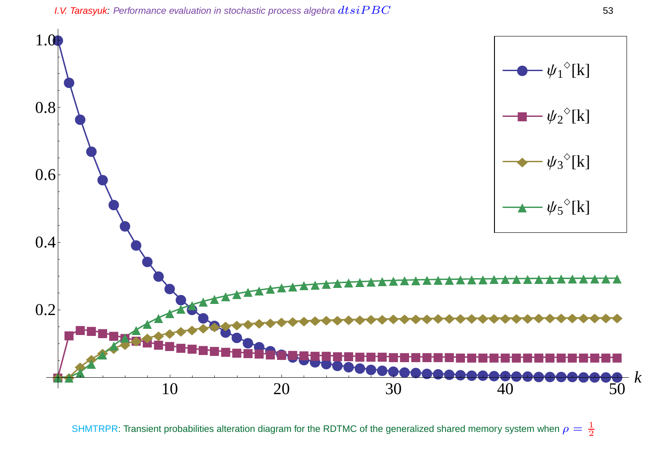

SHMTRPR: Transient probabilities alteration diagram for the RDTMC of the generalized shared memory system when  $\rho=\frac{1}{2}$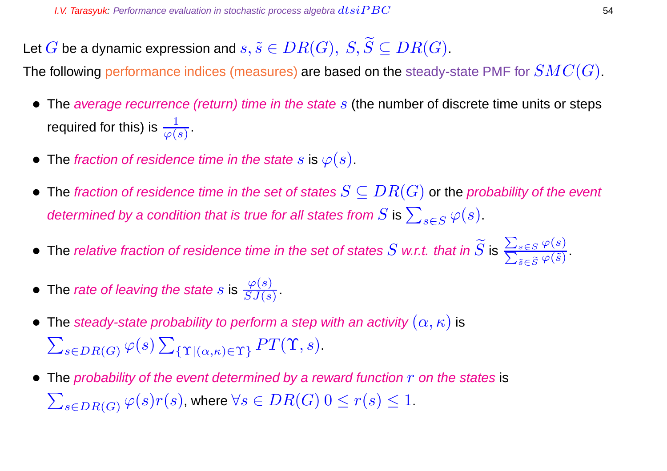Let  $G$  be a dynamic expression and  $s, \tilde{s} \in DR(G), \ S, \widetilde{S} \subseteq DR(G).$ 

The following performance indices (measures) are based on the steady-state PMF for  $SMC(G)$ .

- The average recurrence (return) time in the state  $s$  (the number of discrete time units or steps required for this) is  $\frac{1}{\varphi(s)}$  .
- The fraction of residence time in the state s is  $\varphi(s)$ .
- The fraction of residence time in the set of states  $S \subseteq DR(G)$  or the probability of the event determined by a condition that is true for all states from  $S$  is  $\sum_{s\in S} \varphi(s).$
- $\bullet\,$  The relative fraction of residence time in the set of states  $S$  w.r.t. that in  $S$  is  $\overline{\phantom{0}}$ P  $s\in S$   $\varphi(s)$  $_{\widetilde{s}\in \widetilde{S}}\varphi (\widetilde{s})$ .
- The rate of leaving the state s is  $\frac{\varphi(s)}{SJ(s)}$ .
- The steady-state probability to perform a step with an activity  $(\alpha, \kappa)$  is  $\sum_{s \in DR(G)} \varphi(s) \sum_{\{\Upsilon | (\alpha,\kappa) \in \Upsilon\}} PT(\Upsilon, s).$
- The probability of the event determined by a reward function  $r$  on the states is  $\sum_{s\in DR(G)}\varphi(s)r(s)$ , where  $\forall s\in DR(G)$   $0\leq r(s)\leq 1.$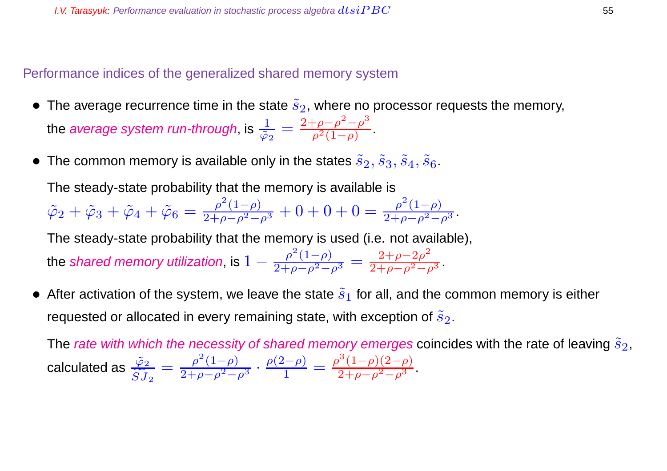# Performance indices of the generalized shared memory system

- The average recurrence time in the state  $\tilde{s}_2$ , where no processor requests the memory, the *average system run-through*, is  $\frac{1}{\tilde{c}}$  $\frac{1}{\tilde{\varphi}_2}=\frac{2+\rho-\rho^2-\rho^3}{\rho^2(1-\rho)}$  $\frac{\rho - \rho - \rho}{\rho^2 (1 - \rho)}$ .
- The common memory is available only in the states  $\tilde{s}_2, \tilde{s}_3, \tilde{s}_4, \tilde{s}_6$ .

The steady-state probability that the memory is available is

 $\tilde{\varphi}_2 + \tilde{\varphi}_3 + \tilde{\varphi}_4 + \tilde{\varphi}_6 = \frac{\rho^2(1-\rho)}{2+\rho-\rho^2-\rho^3} + 0 + 0 + 0 = \frac{\rho^2(1-\rho)}{2+\rho-\rho^2-\rho^3}.$ 

The steady-state probability that the memory is used (i.e. not available),

the shared memory utilization, is  $1-\frac{\rho ^2(1-\rho )}{2+\rho -\rho ^2-\rho ^3}=\frac{2+\rho -2\rho ^2}{2+\rho -\rho ^2-\rho }$  $\frac{2+p-2p}{2+\rho-\rho^2-\rho^3}$ .

• After activation of the system, we leave the state  $\tilde{s}_1$  for all, and the common memory is either requested or allocated in every remaining state, with exception of  $\tilde{s}_2$ .

The rate with which the necessity of shared memory emerges coincides with the rate of leaving  $\tilde{s}_2$ , calculated as  $\frac{\tilde{\varphi}_2}{\tilde{\alpha}$  $SJ_{\it 2}$  $=\frac{\rho^2(1-\rho)}{2+\rho-\rho^2-\rho^3}\cdot\frac{\rho(2-\rho)}{1}$  $\frac{\rho^{2}-\rho)}{1} = \frac{\rho^{3}(1-\rho)(2-\rho)}{2+\rho-\rho^{2}-\rho^{3}}.$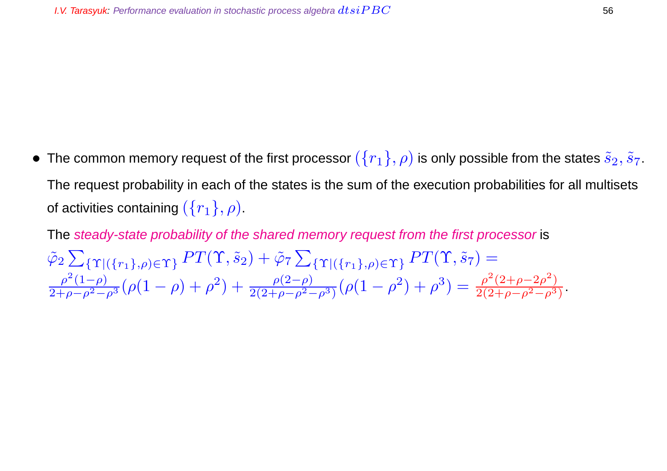• The common memory request of the first processor  $(\{r_1\}, \rho)$  is only possible from the states  $\tilde{s}_2, \tilde{s}_7$ . The request probability in each of the states is the sum of the execution probabilities for all multisets of activities containing  $({r_1}, \rho)$ .

The steady-state probability of the shared memory request from the first processor is  $\tilde{\varphi}_2 \sum_{\{\Upsilon | (\{r_1\}, \rho) \in \Upsilon\}} PT(\Upsilon, \tilde{s}_2) + \tilde{\varphi}_7 \sum_{\{\Upsilon | (\{r_1\}, \rho) \in \Upsilon\}} PT(\Upsilon, \tilde{s}_7) =$  $\frac{\rho^2(1-\rho)}{2+\rho-\rho^2-\rho^3}(\rho(1-\rho)+\rho^2)+\frac{\rho(2-\rho)}{2(2+\rho-\rho^2-\rho^3)}(\rho(1-\rho^2)+\rho^3)=\frac{\rho^2(2+\rho-2\rho^2)}{2(2+\rho-\rho^2-\rho^3)}$  $\frac{\rho (2+\rho-2\rho)}{2(2+\rho-\rho^2-\rho^3)}$ .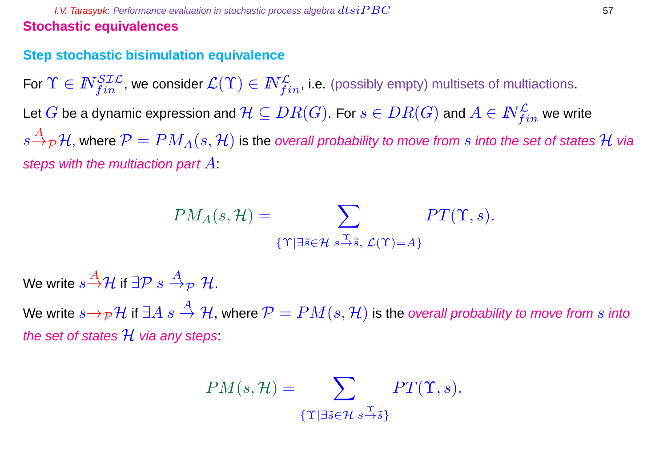**I.V. Tarasyuk:** Performance evaluation in stochastic process algebra  $dtsiPBC$  57 **Stochastic equivalences**

## **Step stochastic bisimulation equivalence**

For  $\Upsilon\in I\!\!N_{fin}^{\mathcal{SIL}}$ , we consider  $\mathcal{L}(\Upsilon)\in I\!\!N_{fin}^{\mathcal{L}}$ , i.e. (possibly empty) multisets of multiactions. Let  $G$  be a dynamic expression and  $\mathcal{H}\subseteq DR(G).$  For  $s\in DR(G)$  and  $A\in N^{\mathcal{L}}_{fin}$  we write  $s{\overset{A}{\rightarrow}}_{\cal P}\mathcal{H}$ , where  ${\cal P}=PM_A(s,\mathcal{H})$  is the overall probability to move from  $s$  into the set of states  $\mathcal H$  via steps with the multiaction part  $A$ :

$$
PM_A(s, \mathcal{H}) = \sum_{\{\Upsilon \mid \exists \tilde{s} \in \mathcal{H} \ s \stackrel{\Upsilon}{\rightarrow} \tilde{s}, \ \mathcal{L}(\Upsilon) = A\}} PT(\Upsilon, s).
$$

We write  $s\overset{A}{\rightarrow}\mathcal{H}$  if  $\exists\mathcal{P}\ s\overset{A}{\rightarrow}_\mathcal{P}\mathcal{H}.$ 

We write  $s\rightarrow_{\mathcal{P}}\mathcal{H}$  if  $\exists A \ s \stackrel{A}{\rightarrow} \mathcal{H}$ , where  $\mathcal{P} = PM(s, \mathcal{H})$  is the overall probability to move from s into the set of states  $\mathcal H$  via any steps:

$$
PM(s, \mathcal{H}) = \sum_{\{\Upsilon \mid \exists \tilde{s} \in \mathcal{H}} \ s \stackrel{\Upsilon}{\to} \tilde{s}\}} PT(\Upsilon, s).
$$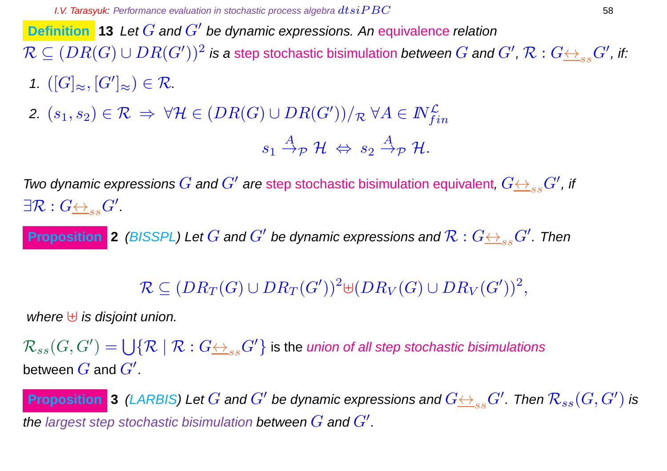**Definition** 13 Let G and G' be dynamic expressions. An equivalence relation  $\mathcal{R}\subseteq (DR(G)\cup DR(G'))^2$  is a step stochastic bisimulation *between*  $G$  *and*  $G'$ *,*  $\mathcal{R}:G {\iff_{ss}} G'$ *, if:* 

- 1.  $([G]_{\approx}, [G']_{\approx}) \in \mathcal{R}$ .
- 2.  $(s_1,s_2) \in \mathcal{R} \ \Rightarrow \ \forall \mathcal{H} \in (DR(G) \cup DR(G'))/\mathcal{R} \ \forall A \in \mathit{N}_{fin}^\mathcal{L}$

$$
s_1 \stackrel{A}{\rightarrow} p \mathcal{H} \Leftrightarrow s_2 \stackrel{A}{\rightarrow} p \mathcal{H}.
$$

Two dynamic expressions  $G$  and  $G'$  are step stochastic bisimulation equivalent,  $G {\leftrightarrow_{ss}} G'$ , if  $\exists \mathcal{R}: G {\underline{\leftrightarrow}}_{ss} G'.$ 

**Proposition** 2 (BISSPL) Let  $G$  and  $G'$  be dynamic expressions and  $\mathcal{R}: G {\leftrightarrow_{_{SS}} G'}$ . Then

# $\mathcal{R}\subseteq (DR_T(G)\cup DR_T(G'))^2$ U $(DR_V(G)\cup DR_V(G'))^2,$

where  $\biguplus$  is disjoint union.

 $\mathcal{R}_{ss}(G, G') = \bigcup \{ \mathcal{R} \mid \mathcal{R} : G {\triangleq}_{ss} G' \}$  is the *union of all step stochastic bisimulations* between  $\overline{G}$  and  $\overline{G}^{\prime}.$ 

**Proposition 3** (LARBIS) Let  $G$  and  $G'$  be dynamic expressions and  $G{\leftrightarrow_{ss}G'}$  . Then  $\mathcal{R}_{ss}(G,G')$  is the largest step stochastic bisimulation between  $G$  and  $G'$ .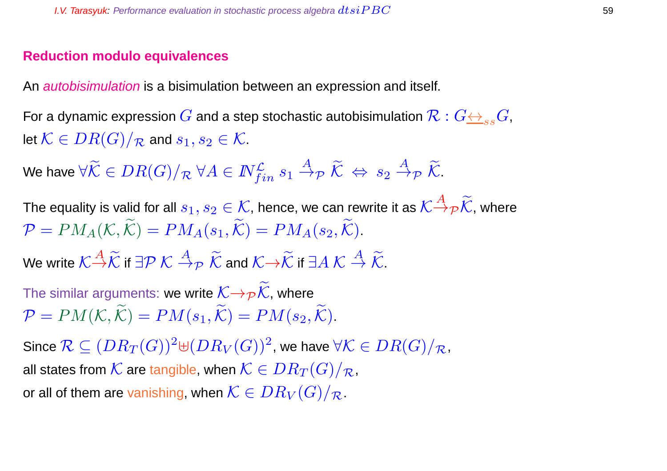# **Reduction modulo equivalences**

An *autobisimulation* is a bisimulation between an expression and itself.

For a dynamic expression  $G$  and a step stochastic autobisimulation  $\mathcal{R}: G \leftrightarrow_{ss} G$ , let  $\mathcal{K} \in DR(G)/_{\mathcal{R}}$  and  $s_1, s_2 \in \mathcal{K}$ .

We have  $\forall \widetilde{\mathcal{K}}\in DR(G)/_{\mathcal{R}}$   $\forall A\in I\!\!N_{fin}^{\mathcal{L}}\ s_1\stackrel{A}{\to}_{\mathcal{P}}\widetilde{\mathcal{K}}\ \Leftrightarrow\ s_2\stackrel{A}{\to}_{\mathcal{P}}\widetilde{\mathcal{K}}.$ 

The equality is valid for all  $s_1,s_2\in\mathcal{K}$ , hence, we can rewrite it as  $\mathcal{K} \! \stackrel{A}{\to} \! \rho \widetilde{\mathcal{K}}$ , where  $\mathcal{P} = PM_A(\mathcal{K}, \widetilde{\mathcal{K}}) = PM_A(s_1, \widetilde{\mathcal{K}}) = PM_A(s_2, \widetilde{\mathcal{K}}).$ 

We write  $\mathcal{K} \mathop{\to}^A \widetilde{\mathcal{K}}$  if  $\exists \mathcal{P} \ \mathcal{K} \stackrel{A}{\to}_\mathcal{P} \ \widetilde{\mathcal{K}}$  and  $\mathcal{K} \mathop{\to}^A \widetilde{\mathcal{K}}$  if  $\exists A \ \mathcal{K} \stackrel{A}{\to} \widetilde{\mathcal{K}}$ .

The similar arguments: we write  $\mathcal{K} \rightarrow_{\mathcal{P}} \mathcal{K}$ , where  $\mathcal{P} = PM(\mathcal{K}, \widetilde{\mathcal{K}}) = PM(s_1, \widetilde{\mathcal{K}}) = PM(s_2, \widetilde{\mathcal{K}}).$ 

Since  $\mathcal{R} \subseteq (DR_T(G))^2$ ⊎ $(DR_V(G))^2$ , we have  $\forall \mathcal{K} \in DR(G)/_{\mathcal{R}}$ , all states from  $\mathcal{K}$  are tangible, when  $\mathcal{K}\in DR_T(G)/_{\mathcal{R}}$ , or all of them are vanishing, when  $\mathcal{K} \in DR_V(G)/_{\mathcal{R}}$ .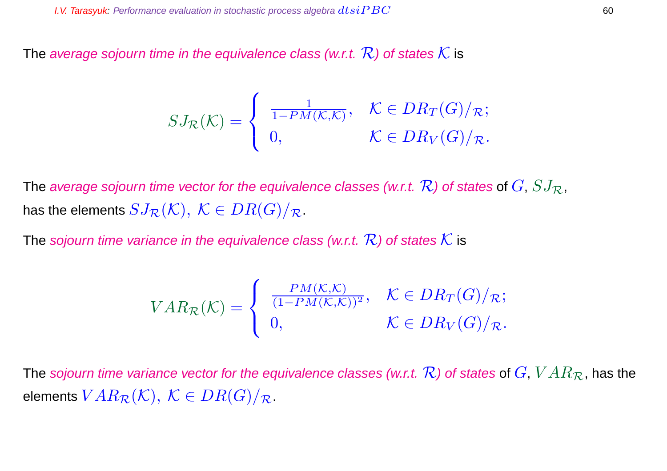The average sojourn time in the equivalence class (w.r.t.  $\mathcal{R}$ ) of states  $\mathcal K$  is

$$
SJ_{\mathcal{R}}(\mathcal{K}) = \begin{cases} \frac{1}{1 - PM(\mathcal{K}, \mathcal{K})}, & \mathcal{K} \in DR_T(G)/_{\mathcal{R}}; \\ 0, & \mathcal{K} \in DR_V(G)/_{\mathcal{R}}. \end{cases}
$$

The average sojourn time vector for the equivalence classes (w.r.t.  $\mathcal{R}$ ) of states of  $G$ ,  $SJ_{\mathcal{R}}$ , has the elements  $SJ_{\mathcal{R}}(\mathcal{K}), \ \mathcal{K} \in DR(G)/_{\mathcal{R}}$ .

The sojourn time variance in the equivalence class (w.r.t.  $\mathcal{R}$ ) of states  $\mathcal K$  is

$$
VAR_{\mathcal{R}}(\mathcal{K}) = \begin{cases} \frac{PM(\mathcal{K}, \mathcal{K})}{(1 - PM(\mathcal{K}, \mathcal{K}))^2}, & \mathcal{K} \in DR_T(G)/_{\mathcal{R}}; \\ 0, & \mathcal{K} \in DR_V(G)/_{\mathcal{R}}. \end{cases}
$$

The sojourn time variance vector for the equivalence classes (w.r.t.  $\mathcal{R}$ ) of states of  $G, VAR_{\mathcal{R}}$ , has the elements  $VAR_{\mathcal{R}}(\mathcal{K}), \ \mathcal{K} \in DR(G)/_{\mathcal{R}}.$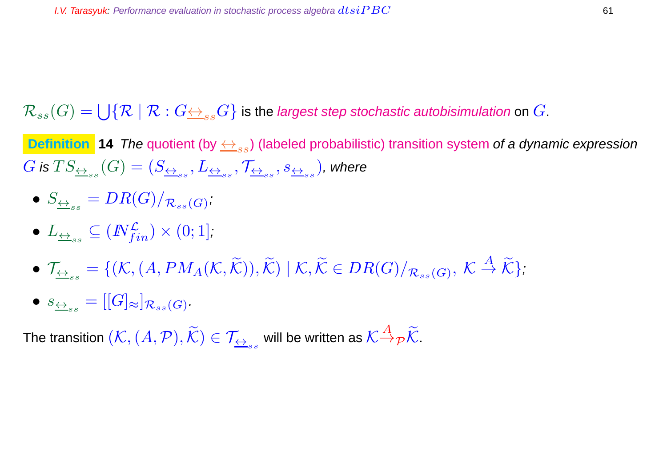$\mathcal{R}_{ss}(G)=\bigcup\{\mathcal{R}\mid \mathcal{R}: G {\iff}_{ss} G\}$  is the *largest step stochastic autobisimulation* on  $G.$ 

**Definition 14** The quotient (by  $\leftrightarrow_{ss}$ ) (labeled probabilistic) transition system of a dynamic expression  $G$  is  $TS_{\underline{\leftrightarrow}_{ss}}(G)=(S_{\underline{\leftrightarrow}_{ss}},L_{\underline{\leftrightarrow}_{ss}},\mathcal{T}_{\underline{\leftrightarrow}_{ss}},s_{\underline{\leftrightarrow}_{ss}})$ , where

• 
$$
S_{\underline{\leftrightarrow}_{ss}} = DR(G)/_{\mathcal{R}_{ss}(G)}
$$
;

- $\bullet$   $L_{\overline{\leftrightarrow}_{ss}}\subseteq (I\!\!N_{fin}^{\mathcal{L}})\times (0;1],$
- $\mathcal{T}_{\underline{\leftrightarrow}_{ss}} = \{(\mathcal{K}, (A, PM_A(\mathcal{K}, \widetilde{\mathcal{K}})), \widetilde{\mathcal{K}}) \mid \mathcal{K}, \widetilde{\mathcal{K}} \in DR(G)/_{\mathcal{R}_{ss}(G)}, \ \mathcal{K} \stackrel{A}{\rightarrow} \widetilde{\mathcal{K}}\},\$
- $\bullet \ \ s_{\underline{\leftrightarrow}_{ss}} = [[G]_{\approx}]_{\mathcal{R}_{ss}(G)}.$

The transition  $(\mathcal{K},(A,\mathcal{P}),\widetilde{\mathcal{K}})\in\mathcal{T}_{\overline{\leftrightarrow}_{ss}}$  will be written as  $\mathcal{K}{\overset{A}{\to}}_{\mathcal{P}}\widetilde{\mathcal{K}}.$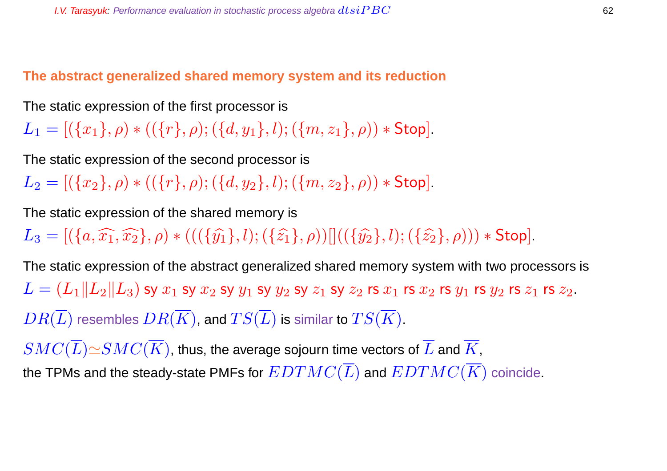**The abstract generalized shared memory system and its reduction**

The static expression of the first processor is

 $L_1 = [(\{x_1\}, \rho) * ((\{r\}, \rho); (\{d, y_1\}, l); (\{m, z_1\}, \rho)) * Stop].$ 

The static expression of the second processor is

 $L_2 = [(\{x_2\}, \rho) * ((\{r\}, \rho); (\{d, y_2\}, l); (\{m, z_2\}, \rho)) * Stop].$ 

The static expression of the shared memory is

 $L_3 = [(\{a,\widehat{x_1},\widehat{x_2}\},\rho) * (((\{\widehat{y_1}\},l);(\{\widehat{z_1}\},\rho))|)((\{\widehat{y_2}\},l);(\{\widehat{z_2}\},\rho))) * Stop].$ 

The static expression of the abstract generalized shared memory system with two processors is  $L = (L_1||L_2||L_3)$  sy  $x_1$  sy  $x_2$  sy  $y_1$  sy  $y_2$  sy  $z_1$  sy  $z_2$  rs  $x_1$  rs  $x_2$  rs  $y_1$  rs  $y_2$  rs  $z_1$  rs  $z_2$ .  $DR(\overline{L})$  resembles  $DR(\overline{K})$ , and  $TS(\overline{L})$  is similar to  $TS(\overline{K})$ .

 $SMC(\overline{L})\simeq SMC(\overline{K})$ , thus, the average sojourn time vectors of  $\overline{L}$  and  $\overline{K}$ , the TPMs and the steady-state PMFs for  $EDTMC(\overline{L})$  and  $EDTMC(\overline{K})$  coincide.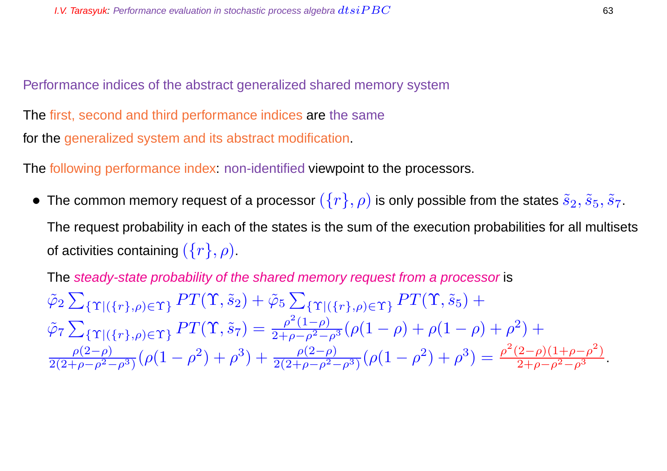Performance indices of the abstract generalized shared memory system

The first, second and third performance indices are the same for the generalized system and its abstract modification.

The following performance index: non-identified viewpoint to the processors.

• The common memory request of a processor  $(\{r\}, \rho)$  is only possible from the states  $\tilde{s}_2, \tilde{s}_5, \tilde{s}_7$ . The request probability in each of the states is the sum of the execution probabilities for all multisets of activities containing  $({r}, \rho)$ .

The steady-state probability of the shared memory request from a processor is  $\tilde{\varphi}_2 \sum_{\{\Upsilon | (\{r\}, \rho) \in \Upsilon\}} PT(\Upsilon, \tilde{s}_2) + \tilde{\varphi}_5 \sum_{\{\Upsilon | (\{r\}, \rho) \in \Upsilon\}} PT(\Upsilon, \tilde{s}_5) +$  $\tilde{\varphi}_7 \sum_{\{\Upsilon \mid (\{r\}, \rho) \in \Upsilon\}} PT(\Upsilon, \tilde{s}_7) = \frac{\rho^2(1-\rho)}{2+\rho-\rho^2-\rho^3} (\rho(1-\rho)+\rho(1-\rho)+\rho^2) +$  $\rho(2-\rho)$  $\frac{\rho(2-\rho)}{2(2+\rho-\rho^2-\rho^3)}(\rho(1-\rho^2)+\rho^3)+\frac{\rho(2-\rho)}{2(2+\rho-\rho^2-\rho^3)}(\rho(1-\rho^2)+\rho^3)=\frac{\rho^2(2-\rho)(1+\rho-\rho^2)}{2+\rho-\rho^2-\rho^3}.$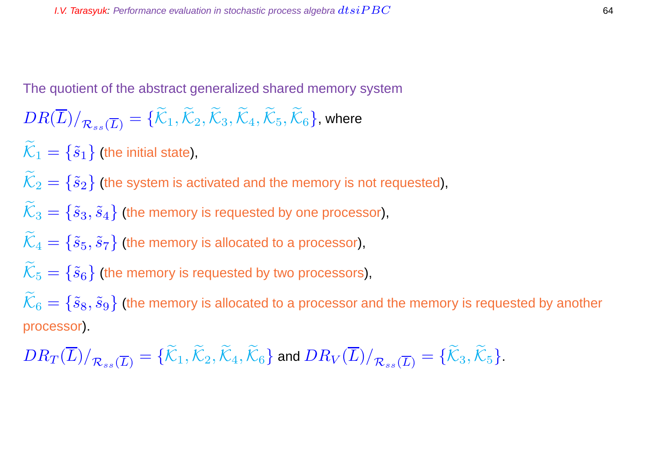The quotient of the abstract generalized shared memory system

$$
DR(\overline{L})/_{\mathcal{R}_{ss}(\overline{L})}=\{\widetilde{\mathcal{K}}_1,\widetilde{\mathcal{K}}_2,\widetilde{\mathcal{K}}_3,\widetilde{\mathcal{K}}_4,\widetilde{\mathcal{K}}_5,\widetilde{\mathcal{K}}_6\},\text{where }
$$

 $\widetilde{\mathcal{K}}_1 = \{\tilde{s}_1\}$  (the initial state),

 $\widetilde{\mathcal{K}}_2 = \{\tilde{s}_2\}$  (the system is activated and the memory is not requested),

 $\widetilde{\mathcal{K}}_3 = \{\tilde{s}_3, \tilde{s}_4\}$  (the memory is requested by one processor),

$$
\tilde{\mathcal{K}}_4 = \{\tilde{s}_5, \tilde{s}_7\}
$$
 (the memory is allocated to a processor),

$$
\mathcal{K}_5 = \{ \tilde{s}_6 \}
$$
 (the memory is requested by two processors),

 $K_6 = \{\tilde{s}_8, \tilde{s}_9\}$  (the memory is allocated to a processor and the memory is requested by another processor).

$$
DR_T(\overline{L})/_{\mathcal{R}_{ss}(\overline{L})} = \{ \widetilde{\mathcal{K}}_1, \widetilde{\mathcal{K}}_2, \widetilde{\mathcal{K}}_4, \widetilde{\mathcal{K}}_6 \} \text{ and } DR_V(\overline{L})/_{\mathcal{R}_{ss}(\overline{L})} = \{ \widetilde{\mathcal{K}}_3, \widetilde{\mathcal{K}}_5 \}.
$$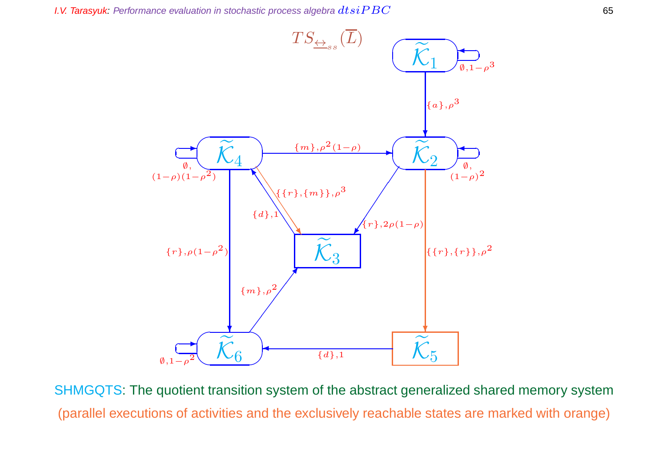

SHMGQTS: The quotient transition system of the abstract generalized shared memory system (parallel executions of activities and the exclusively reachable states are marked with orange)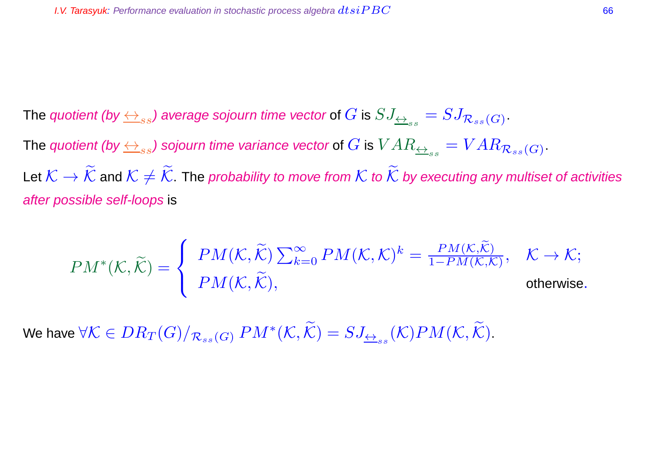The quotient (by  $\leftrightarrow_{ss}$ ) average sojourn time vector of  $G$  is  $SJ_{\leftrightarrow_{ss}}=SJ_{\mathcal{R}_{ss}(G)}.$ The quotient (by  $\leftrightarrow_{ss}$ ) sojourn time variance vector of  $G$  is  $VAR_{\leftrightarrow_{ss}} = VAR_{\mathcal{R}_{ss}(G)}$  . Let  $K \to \widetilde{\mathcal{K}}$  and  $K \neq \widetilde{\mathcal{K}}$ . The probability to move from  $K$  to  $\widetilde{\mathcal{K}}$  by executing any multiset of activities after possible self-loops is

$$
PM^*(\mathcal{K}, \widetilde{\mathcal{K}}) = \left\{ \begin{array}{ll} PM(\mathcal{K}, \widetilde{\mathcal{K}}) \sum_{k=0}^{\infty} PM(\mathcal{K}, \mathcal{K})^k = \frac{PM(\mathcal{K}, \widetilde{\mathcal{K}})}{1 - PM(\mathcal{K}, \mathcal{K})}, & \mathcal{K} \to \mathcal{K}; \\ PM(\mathcal{K}, \widetilde{\mathcal{K}}), & \text{otherwise}. \end{array} \right.
$$

We have  $\forall\mathcal{K}\in DR_T(G)/_{\mathcal{R}_{ss}(G)}PM^*(\mathcal{K},\widetilde{\mathcal{K}})=SJ_{\underline{\leftrightarrow}_{ss}}(\mathcal{K})PM(\mathcal{K},\widetilde{\mathcal{K}}).$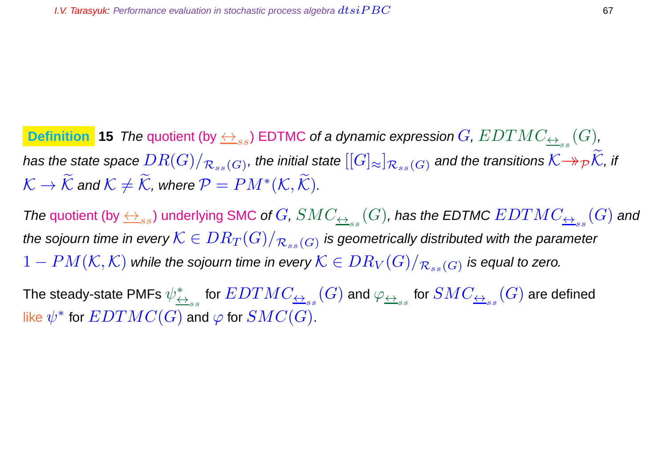**Definition 15** The quotient (by  $\leftrightarrow_{ss}$ ) EDTMC of a dynamic expression  $G$ ,  $EDTMC_{\leftrightarrow_{ss}}(G)$ , has the state space  $DR(G)/_{\mathcal{R}_{ss}(G)}$ , the initial state  $[[G]_\approx]_{\mathcal{R}_{ss}(G)}$  and the transitions  $\mathcal{K}{\to}_\mathcal{P} \mathcal{K}$ , if  $\mathcal{K} \to \widetilde{\mathcal{K}}$  and  $\mathcal{K} \neq \widetilde{\mathcal{K}}$ , where  $\mathcal{P} = PM^*(\mathcal{K}, \widetilde{\mathcal{K}})$ .

The quotient (by  $\leftrightarrow_{ss}$ ) underlying SMC of  $G$ ,  $SMC_{\leftrightarrow_{ss}}(G)$ , has the EDTMC  $EDTMC_{\leftrightarrow_{ss}}(G)$  and the sojourn time in every  $\mathcal{K}\in DR_T(G)/_{\mathcal{R}_{ss}(G)}$  is geometrically distributed with the parameter  $1-PM({\cal K},{\cal K})$  while the sojourn time in every  ${\cal K}\in DR_V(G)/_{\mathcal R_{ss}(G)}$  is equal to zero.

The steady-state PMFs  $\psi_{\leftarrow}^*$  $\stackrel{*}{\leftrightarrow}_{ss}$  for  $EDTMC_{\overline{\leftrightarrow}_{ss}}(G)$  and  $\varphi_{\overline{\leftrightarrow}_{ss}}$  for  $SMC_{\overline{\leftrightarrow}_{ss}}(G)$  are defined like  $\psi^*$  for  $EDTMC(G)$  and  $\varphi$  for  $SMC(G).$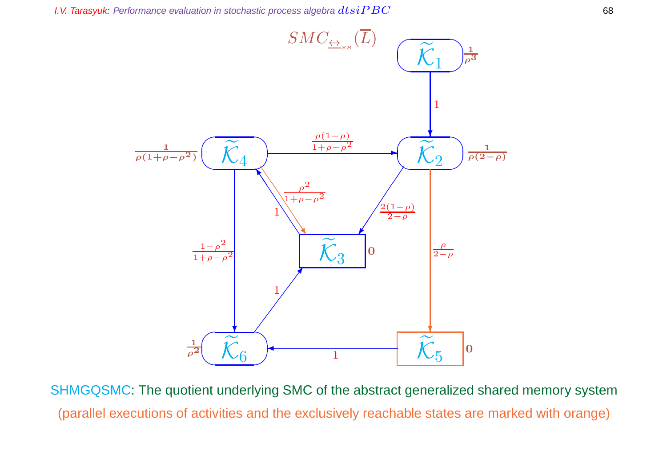

SHMGQSMC: The quotient underlying SMC of the abstract generalized shared memory system (parallel executions of activities and the exclusively reachable states are marked with orange)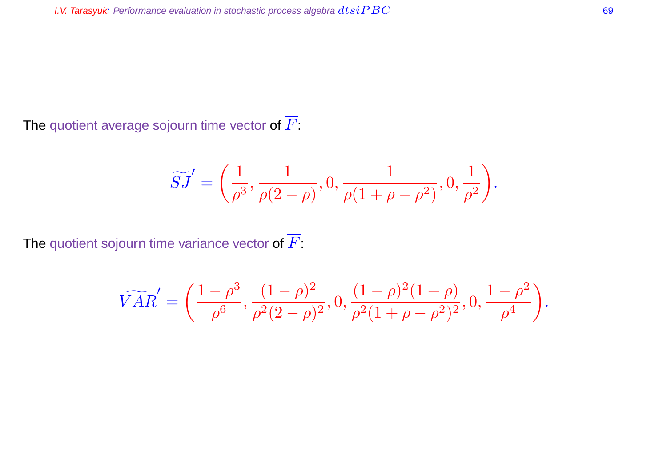The quotient average sojourn time vector of  $\overline{F}$ :

$$
\widetilde{SJ}' = \left(\frac{1}{\rho^3}, \frac{1}{\rho(2-\rho)}, 0, \frac{1}{\rho(1+\rho-\rho^2)}, 0, \frac{1}{\rho^2}\right).
$$

The quotient sojourn time variance vector of  $\overline{F}$ :

$$
\widetilde{VAR}' = \left(\frac{1-\rho^3}{\rho^6}, \frac{(1-\rho)^2}{\rho^2(2-\rho)^2}, 0, \frac{(1-\rho)^2(1+\rho)}{\rho^2(1+\rho-\rho^2)^2}, 0, \frac{1-\rho^2}{\rho^4}\right).
$$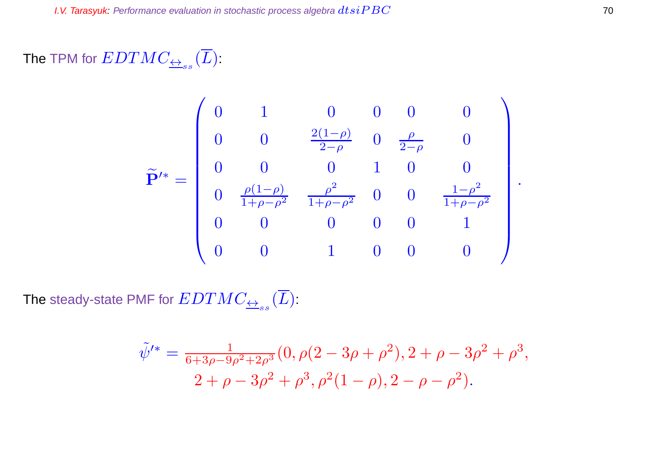The TPM for  $EDTMC_{\overline{\leftrightarrow}_{ss}}(L)$  :

$$
\widetilde{\mathbf{P}}'^{*} = \begin{pmatrix} 0 & 1 & 0 & 0 & 0 & 0 \\ 0 & 0 & \frac{2(1-\rho)}{2-\rho} & 0 & \frac{\rho}{2-\rho} & 0 \\ 0 & 0 & 0 & 1 & 0 & 0 \\ 0 & \frac{\rho(1-\rho)}{1+\rho-\rho^2} & \frac{\rho^2}{1+\rho-\rho^2} & 0 & 0 & \frac{1-\rho^2}{1+\rho-\rho^2} \\ 0 & 0 & 0 & 0 & 0 & 1 \\ 0 & 0 & 0 & 1 & 0 & 0 & 0 \end{pmatrix}.
$$

The steady-state PMF for  $EDTMC_{\overline{\leftrightarrow}_{ss}}(L)$ :

$$
\tilde{\psi}'^* = \frac{1}{6 + 3\rho - 9\rho^2 + 2\rho^3} (0, \rho(2 - 3\rho + \rho^2), 2 + \rho - 3\rho^2 + \rho^3, \n2 + \rho - 3\rho^2 + \rho^3, \rho^2(1 - \rho), 2 - \rho - \rho^2).
$$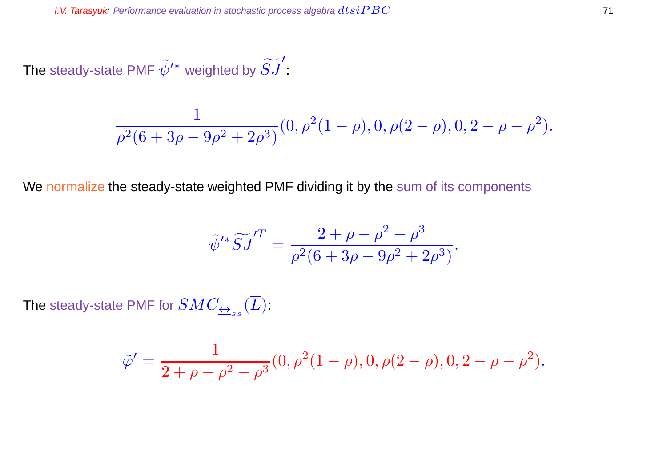The steady-state PMF  $\tilde{\psi}^{\prime*}$  weighted by  $\widetilde{SJ}^{\prime}$ :

$$
\frac{1}{\rho^2(6+3\rho-9\rho^2+2\rho^3)}(0,\rho^2(1-\rho),0,\rho(2-\rho),0,2-\rho-\rho^2).
$$

We normalize the steady-state weighted PMF dividing it by the sum of its components

$$
\tilde{\psi}'^* \widetilde{S} J^{'T} = \frac{2 + \rho - \rho^2 - \rho^3}{\rho^2 (6 + 3\rho - 9\rho^2 + 2\rho^3)}.
$$

The steady-state PMF for  $SMC_{\overline{\leftrightarrow}_{ss}}(L)$ :

$$
\tilde{\varphi}' = \frac{1}{2+\rho-\rho^2-\rho^3}(0,\rho^2(1-\rho),0,\rho(2-\rho),0,2-\rho-\rho^2).
$$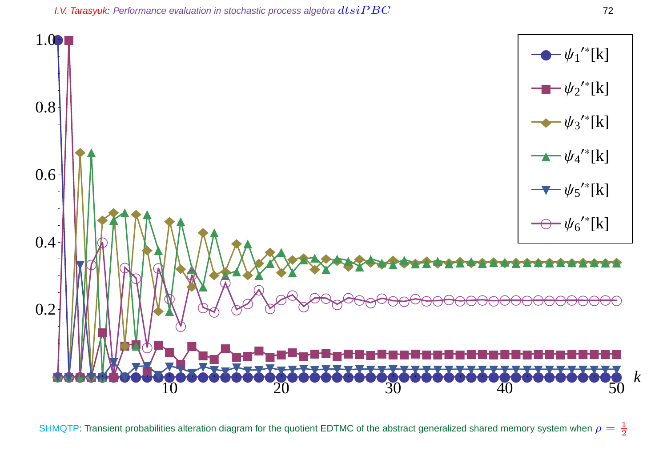

SHMQTP: Transient probabilities alteration diagram for the quotient EDTMC of the abstract generalized shared memory system when  $\rho=\frac{1}{2}$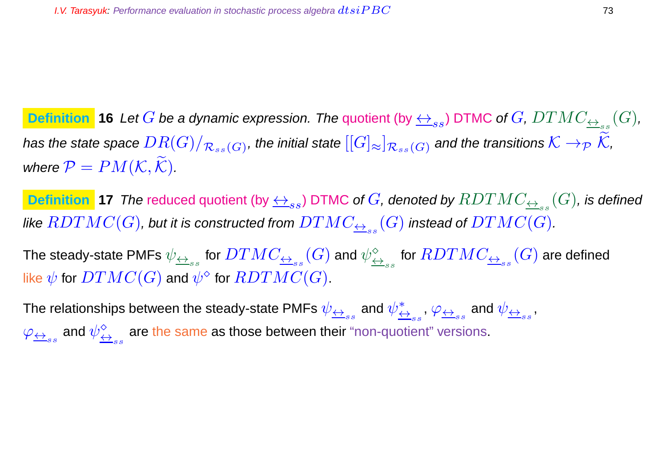**Definition**  $\,$  **16** Let  $G$  be a dynamic expression. The quotient (by  $\leftrightarrow_{ss}$ ) DTMC of  $G$ ,  $DTMC_{\leftrightarrow_{ss}}(G)$ , has the state space  $DR(G)/_{\mathcal{R}_{ss}(G)}$ , the initial state  $[[G]_{\approx}]_{\mathcal{R}_{ss}(G)}$  and the transitions  $\mathcal{K}\to_{\mathcal{P}}\mathcal{K}$ , where  $P = PM(K, \widetilde{K})$ .

 $\bm{\texttt{Definition}}$   $\bm{\texttt{17}}$  The reduced quotient (by  $\leftrightarrow_{ss}$ ) DTMC of  $G$ , denoted by  $RDTMC_{\bm{\leftrightarrow}_{ss}}(G)$ , is defined like  $RDTMC(G)$ , but it is constructed from  $DTMC_{\overline{\leftrightarrow}_{ss}}(G)$  instead of  $DTMC(G).$ 

The steady-state PMFs  $\psi_{\underline{\leftrightarrow}_{ss}}$  for  $DTMC_{\underline{\leftrightarrow}_{ss}}(G)$  and  $\psi_{\underline{\leftarrow}}^{\diamond}$  $\overset{\diamond}{\leftrightarrow}_{_{SS}}$  for  $RDTMC_{\overline{\leftrightarrow}_{_{SS}}}(G)$  are defined like  $\overline{\psi}$  for  $DTMC(G)$  and  $\overline{\psi}^{\otimes}$  for  $\overline{RDTMC(G)}.$ 

The relationships between the steady-state PMFs  $\psi_{\overleftrightarrow{\leftrightarrow}_{ss}}$  and  $\psi_{\overleftrightarrow{\leftstar}}^{*}$  $\overset{*}{\underset{\leftrightarrow}{\leftrightarrow}}_{ss}, \varphi_{\overline{\leftrightarrow}_{ss}}$  and  $\psi_{\overline{\leftrightarrow}_{ss}},$  $\varphi_{\overline{\leftrightarrow}_{ss}}$  and  $\psi_{\overline{\leftrightarrow}}^{\diamond}$  $\leftrightarrow$ <sub>ss</sub> are the same as those between their "non-quotient" versions.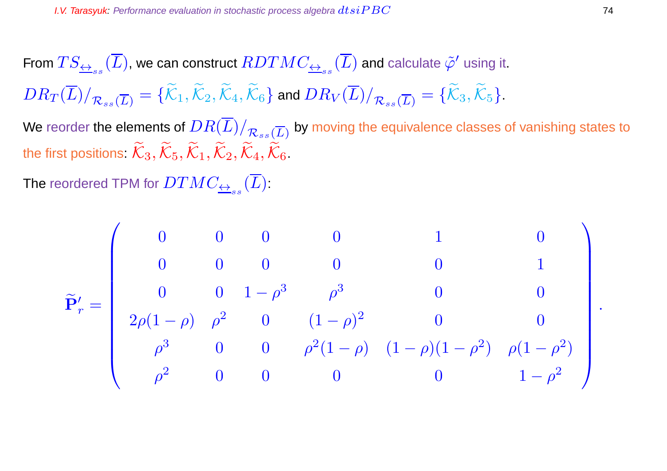From  $TS_{\triangleq_{ss}}(\overline{L})$ , we can construct  $RDTMC_{\triangleq_{ss}}(\overline{L})$  and calculate  $\tilde{\varphi}'$  using it.  $DR_T(\overline{L})/_{\mathcal{R}_{ss}(\overline{L})} = {\{\widetilde{\mathcal{K}}_1,\widetilde{\mathcal{K}}_2,\widetilde{\mathcal{K}}_4,\widetilde{\mathcal{K}}_6\}}$  and  $DR_V(\overline{L})/_{\mathcal{R}_{ss}(\overline{L})} = {\{\widetilde{\mathcal{K}}_3,\widetilde{\mathcal{K}}_5\}}$ .

We reorder the elements of  $DR(L)/_{\mathcal{R}_{ss}(\overline{L})}$  by moving the equivalence classes of vanishing states to the first positions:  $\widetilde{\mathcal{K}}_3, \widetilde{\mathcal{K}}_5, \widetilde{\mathcal{K}}_1, \widetilde{\mathcal{K}}_2, \widetilde{\mathcal{K}}_4, \widetilde{\mathcal{K}}_6$ .

The reordered TPM for  $DTMC_{\overline{\leftrightarrow}_{ss}}(L)$  :

$$
\widetilde{\mathbf{P}}'_r = \left(\begin{array}{ccccccccc} 0 & 0 & 0 & 0 & 1 & 0 \\ 0 & 0 & 0 & 0 & 0 & 1 \\ 0 & 0 & 1-\rho^3 & \rho^3 & 0 & 0 \\ 2\rho(1-\rho) & \rho^2 & 0 & (1-\rho)^2 & 0 & 0 \\ \rho^3 & 0 & 0 & \rho^2(1-\rho) & (1-\rho)(1-\rho^2) & \rho(1-\rho^2) \\ \rho^2 & 0 & 0 & 0 & 0 & 1-\rho^2 \end{array}\right).
$$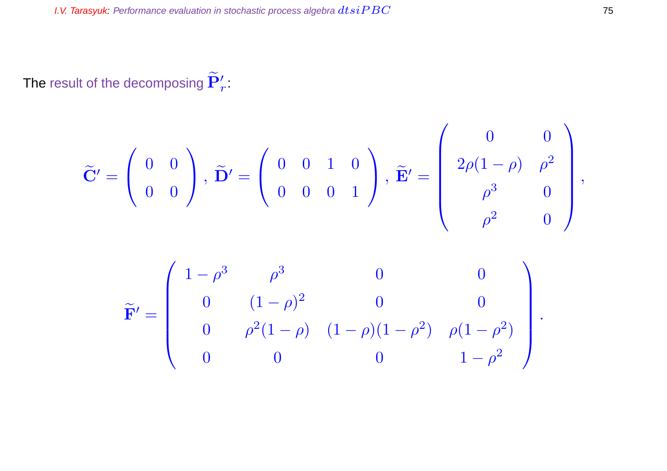The result of the decomposing  $\mathbf{P}'_r$ :

$$
\widetilde{\mathbf{C}}' = \left(\begin{array}{cc} 0 & 0 \\ 0 & 0 \end{array}\right), \; \widetilde{\mathbf{D}}' = \left(\begin{array}{ccc} 0 & 0 & 1 & 0 \\ 0 & 0 & 0 & 1 \end{array}\right), \; \widetilde{\mathbf{E}}' = \left(\begin{array}{ccc} 0 & 0 & 0 \\ 2\rho(1-\rho) & \rho^2 & 0 \\ \rho^3 & 0 & 0 \\ \rho^2 & 0 & 0 \end{array}\right),
$$

$$
\widetilde{\mathbf{F}}' = \begin{pmatrix}\n1 - \rho^3 & \rho^3 & 0 & 0 \\
0 & (1 - \rho)^2 & 0 & 0 \\
0 & \rho^2 (1 - \rho) & (1 - \rho)(1 - \rho^2) & \rho(1 - \rho^2) \\
0 & 0 & 0 & 1 - \rho^2\n\end{pmatrix}.
$$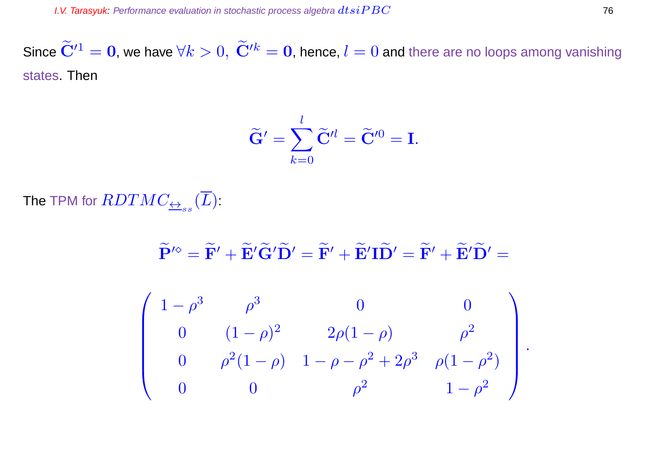Since  $\widetilde{\mathbf{C}}'^{1} = \mathbf{0}$ , we have  $\forall k > 0$ ,  $\widetilde{\mathbf{C}}'^{k} = \mathbf{0}$ , hence,  $l = 0$  and there are no loops among vanishing states. Then

$$
\widetilde{\mathbf{G}}' = \sum_{k=0}^{l} \widetilde{\mathbf{C}}'^{l} = \widetilde{\mathbf{C}}'^{0} = \mathbf{I}.
$$

The TPM for  $RDTMC_{\overline{\leftrightarrow}_{ss}}(L)$  :

$$
\widetilde{\mathbf{P}}^{\prime\diamond} = \widetilde{\mathbf{F}}^{\prime} + \widetilde{\mathbf{E}}^{\prime} \widetilde{\mathbf{G}}^{\prime} \widetilde{\mathbf{D}}^{\prime} = \widetilde{\mathbf{F}}^{\prime} + \widetilde{\mathbf{E}}^{\prime} \mathbf{I} \widetilde{\mathbf{D}}^{\prime} = \widetilde{\mathbf{F}}^{\prime} + \widetilde{\mathbf{E}}^{\prime} \widetilde{\mathbf{D}}^{\prime} =
$$

$$
\left(\begin{array}{cccc} 1-\rho^3 & \rho^3 & 0 & 0 \\ 0 & (1-\rho)^2 & 2\rho(1-\rho) & \rho^2 \\ 0 & \rho^2(1-\rho) & 1-\rho-\rho^2+2\rho^3 & \rho(1-\rho^2) \\ 0 & 0 & \rho^2 & 1-\rho^2 \end{array}\right).
$$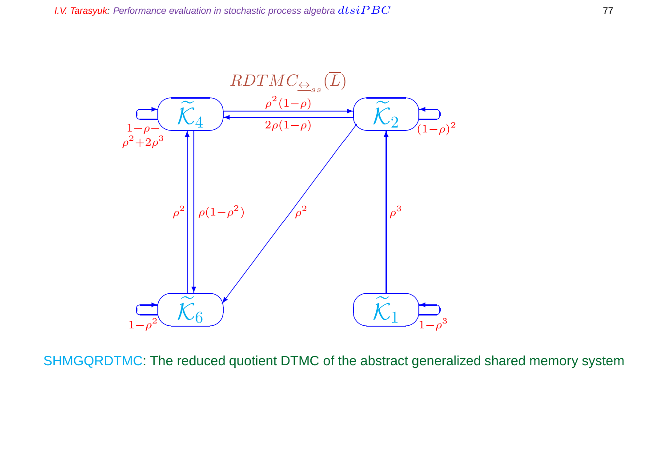

SHMGQRDTMC: The reduced quotient DTMC of the abstract generalized shared memory system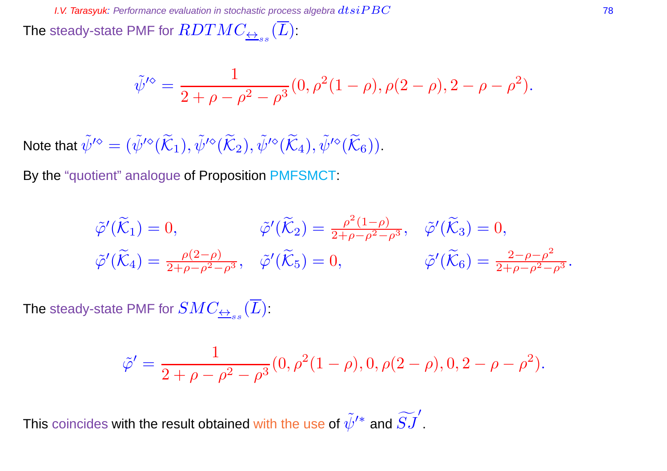The steady-state PMF for  $RDTMC_{\overline{\leftrightarrow}_{ss}}(L)$  :

$$
\tilde{\psi}'^{\diamond} = \frac{1}{2 + \rho - \rho^2 - \rho^3} (0, \rho^2 (1 - \rho), \rho (2 - \rho), 2 - \rho - \rho^2).
$$

Note that  $\tilde{\psi}^{\prime\diamond}=(\tilde{\psi}^{\prime\diamond}(\tilde{\mathcal{K}}_1),\tilde{\psi}^{\prime\diamond}(\tilde{\mathcal{K}}_2),\tilde{\psi}^{\prime\diamond}(\tilde{\mathcal{K}}_4),\tilde{\psi}^{\prime\diamond}(\tilde{\mathcal{K}}_6)).$ 

By the "quotient" analogue of Proposition PMFSMCT:

$$
\tilde{\varphi}'(\tilde{\mathcal{K}}_1) = 0, \qquad \tilde{\varphi}'(\tilde{\mathcal{K}}_2) = \frac{\rho^2 (1-\rho)}{2+\rho-\rho^2-\rho^3}, \quad \tilde{\varphi}'(\tilde{\mathcal{K}}_3) = 0,
$$
  

$$
\tilde{\varphi}'(\tilde{\mathcal{K}}_4) = \frac{\rho(2-\rho)}{2+\rho-\rho^2-\rho^3}, \quad \tilde{\varphi}'(\tilde{\mathcal{K}}_5) = 0, \qquad \tilde{\varphi}'(\tilde{\mathcal{K}}_6) = \frac{2-\rho-\rho^2}{2+\rho-\rho^2-\rho^3}.
$$

The steady-state PMF for  $SMC_{\overline{\leftrightarrow}_{ss}}(L)$ :

$$
\tilde{\varphi}' = \frac{1}{2 + \rho - \rho^2 - \rho^3} (0, \rho^2 (1 - \rho), 0, \rho (2 - \rho), 0, 2 - \rho - \rho^2).
$$

This coincides with the result obtained with the use of  $\tilde{\psi}'^*$  and  $\widetilde{SJ}'$ .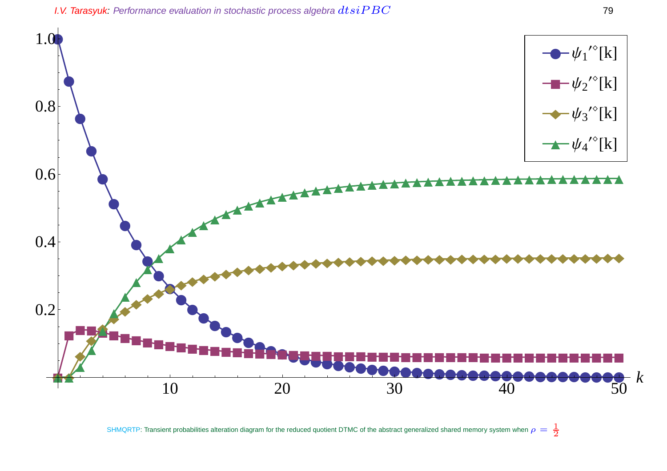

SHMQRTP: Transient probabilities alteration diagram for the reduced quotient DTMC of the abstract generalized shared memory system when  $\rho=\frac{1}{2}$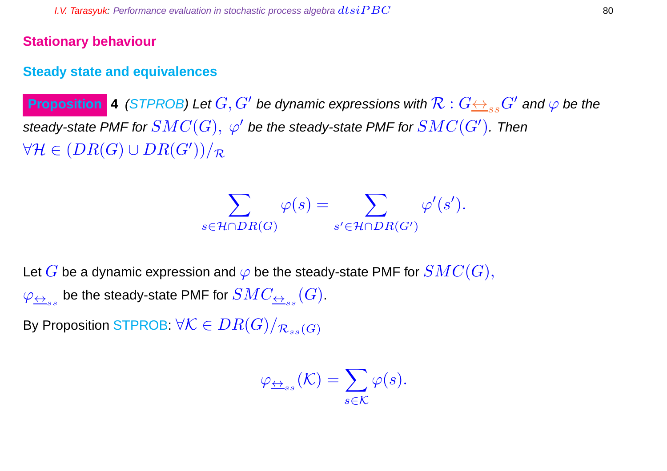### **Stationary behaviour**

### **Steady state and equivalences**

**Proposition 4** (STPROB) Let  $G, G'$  be dynamic expressions with  $\mathcal{R}: G {\leftrightarrow_{ss} G'}$  and  $\varphi$  be the steady-state PMF for  $SMC(G),\ \varphi'$  be the steady-state PMF for  $SMC(G').$  Then  $\forall \mathcal{H} \in (DR(G) \cup DR(G'))/\mathcal{R}$ 

$$
\sum_{s \in \mathcal{H} \cap DR(G)} \varphi(s) = \sum_{s' \in \mathcal{H} \cap DR(G')} \varphi'(s').
$$

Let G be a dynamic expression and  $\varphi$  be the steady-state PMF for  $SMC(G),$  $\varphi_{\overline{\leftrightarrow}_{ss}}$  be the steady-state PMF for  $SMC_{\overline{\leftrightarrow}_{ss}}(G).$ 

By Proposition STPROB:  $\forall \mathcal{K} \in DR(G)/_{\mathcal{R}_{ss}(G)}$ 

$$
\varphi_{\underline{\leftrightarrow}_{ss}}(\mathcal{K}) = \sum_{s \in \mathcal{K}} \varphi(s).
$$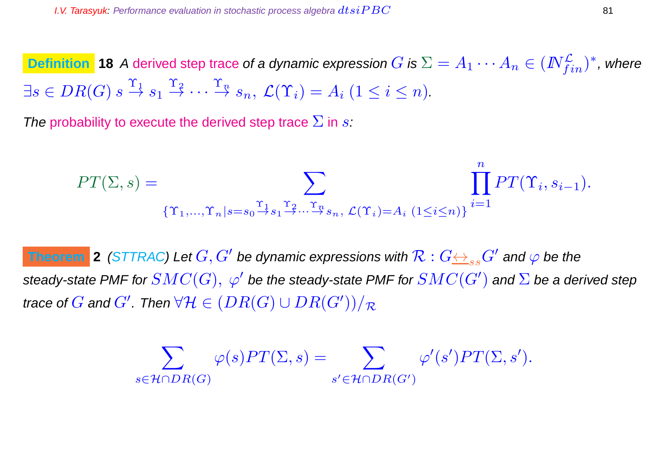**Definition 18** A derived step trace of a dynamic expression  $G$  is  $\Sigma = A_1 \cdots A_n \in (I\!\!N_{fin}^{\mathcal{L}})^*$ , where  $\exists s \in DR(G) \ s \stackrel{\Upsilon_1}{\rightarrow} s_1 \stackrel{\Upsilon_2}{\rightarrow} \cdots \stackrel{\Upsilon_n}{\rightarrow} s_n, \ \mathcal{L}(\Upsilon_i) = A_i \ (1 \leq i \leq n).$ 

The probability to execute the derived step trace  $\Sigma$  in s:

$$
PT(\Sigma, s) = \sum_{\{\Upsilon_1, \dots, \Upsilon_n | s = s_0 \stackrel{\Upsilon_1}{\rightarrow} s_1 \stackrel{\Upsilon_2}{\rightarrow} \dots \stackrel{\Upsilon_n}{\rightarrow} s_n, \, \mathcal{L}(\Upsilon_i) = A_i} \prod_{(1 \le i \le n)\} \overline{P}T(\Upsilon_i, s_{i-1}).
$$

n

**Theorem** 2 (STTRAC) Let  $G, G'$  be dynamic expressions with  $\mathcal{R}: G {\leftrightarrow_{ss} G'}$  and  $\varphi$  be the steady-state PMF for  $SMC(G),\ \varphi'$  be the steady-state PMF for  $SMC(G')$  and  $\Sigma$  be a derived step trace of  $G$  and  $G'$ . Then  $\forall \mathcal{H} \in (DR(G) \cup DR(G'))/\mathcal{R}$ 

$$
\sum_{s \in \mathcal{H} \cap DR(G)} \varphi(s) PT(\Sigma, s) = \sum_{s' \in \mathcal{H} \cap DR(G')} \varphi'(s') PT(\Sigma, s').
$$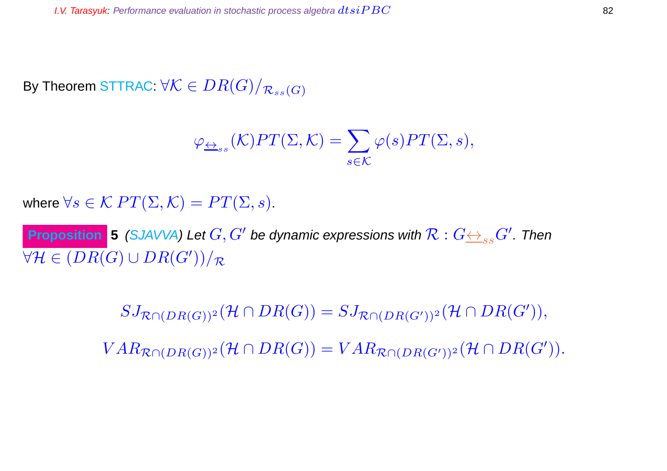By Theorem STTRAC:  $\forall \mathcal{K} \in DR(G)/_{\mathcal{R}_{ss}(G)}$ 

$$
\varphi_{\underline{\leftrightarrow}_{ss}}(\mathcal{K})PT(\Sigma,\mathcal{K})=\sum_{s\in\mathcal{K}}\varphi(s)PT(\Sigma,s),
$$

where  $\forall s \in \mathcal{K} PT(\Sigma, \mathcal{K}) = PT(\Sigma, s)$ .

**Proposition** 5 (SJAVVA) Let  $G, G'$  be dynamic expressions with  $\mathcal{R}: G {\leftrightarrow_{ss} G'}.$  Then  $\forall \mathcal{H} \in (DR(G) \cup DR(G'))/\mathcal{R}$ 

> $SJ_{\mathcal{R}\cap (DR(G))^2}(\mathcal{H}\cap DR(G))=SJ_{\mathcal{R}\cap (DR(G'))^2}(\mathcal{H}\cap DR(G')),$  $VAR_{\mathcal{R}\cap (DR(G))^2}(\mathcal{H}\cap DR(G))=VAR_{\mathcal{R}\cap (DR(G'))^2}(\mathcal{H}\cap DR(G')).$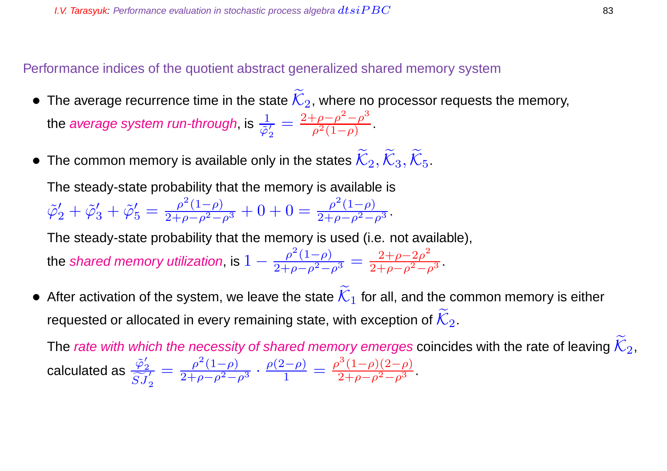Performance indices of the quotient abstract generalized shared memory system

- The average recurrence time in the state  $\widetilde{\mathcal{K}}_2$ , where no processor requests the memory, the *average system run-through*, is  $\frac{1}{\tilde{\varphi}'_2}$ 2  $=\frac{2+\rho-\rho^2-\rho^3}{\rho^2(1-\rho)}$  $\frac{\rho - \rho - \rho}{\rho^2 (1 - \rho)}$ .
- The common memory is available only in the states  $\widetilde{\mathcal{K}}_2, \widetilde{\mathcal{K}}_3, \widetilde{\mathcal{K}}_5$ .

The steady-state probability that the memory is available is  $\tilde{\varphi}'_2 + \tilde{\varphi}'_3 + \tilde{\varphi}'_5 = \frac{\rho^2 (1-\rho)}{2+\rho-\rho^2-\rho^3} + 0 + 0 = \frac{\rho^2 (1-\rho)}{2+\rho-\rho^2-\rho^3}.$ 

The steady-state probability that the memory is used (i.e. not available),

the shared memory utilization, is  $1-\frac{\rho ^2(1-\rho )}{2+\rho -\rho ^2-\rho ^3}=\frac{2+\rho -2\rho ^2}{2+\rho -\rho ^2-\rho }$  $\frac{2+p-2p}{2+\rho-\rho^2-\rho^3}$ .

After activation of the system, we leave the state  $\overline{\mathcal{K}}_1$  for all, and the common memory is either requested or allocated in every remaining state, with exception of  $\widetilde{\mathcal{K}}_2$ .

The rate with which the necessity of shared memory emerges coincides with the rate of leaving  $\mathcal{K}_2$ , calculated as  $\frac{\tilde{\varphi}'_2}{\tilde{\varphi}'_2}$ 2  $\widetilde{SJ}_{2}^{\prime}$  $=\frac{\rho^2(1-\rho)}{2+\rho-\rho^2-\rho^3}\cdot\frac{\rho(2-\rho)}{1}$  $\frac{\rho^{2}-\rho)}{1} = \frac{\rho^{3}(1-\rho)(2-\rho)}{2+\rho-\rho^{2}-\rho^{3}}.$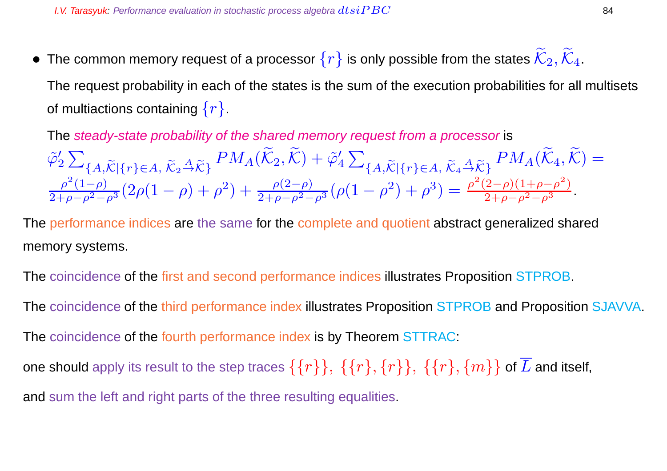• The common memory request of a processor  $\{r\}$  is only possible from the states  $\widetilde{\mathcal{K}}_2, \widetilde{\mathcal{K}}_4$ . The request probability in each of the states is the sum of the execution probabilities for all multisets of multiactions containing  $\{r\}$ .

The steady-state probability of the shared memory request from a processor is

$$
\tilde{\varphi}_2' \sum_{\{A,\widetilde{K}|\{r\}\in A, \ \widetilde{K}_2 \stackrel{A}{\rightarrow} \widetilde{K}\}} PM_A(\widetilde{K}_2, \widetilde{K}) + \tilde{\varphi}_4' \sum_{\{A,\widetilde{K}|\{r\}\in A, \ \widetilde{K}_2 \stackrel{A}{\rightarrow} \widetilde{K}\}} PM_A(\widetilde{K}_4, \widetilde{K}) =
$$
\n
$$
\frac{\rho^2(1-\rho)}{2+\rho-\rho^2-\rho^3}(2\rho(1-\rho)+\rho^2) + \frac{\rho(2-\rho)}{2+\rho-\rho^2-\rho^3}(\rho(1-\rho^2)+\rho^3) = \frac{\rho^2(2-\rho)(1+\rho-\rho^2)}{2+\rho-\rho^2-\rho^3}.
$$

The performance indices are the same for the complete and quotient abstract generalized shared memory systems.

The coincidence of the first and second performance indices illustrates Proposition STPROB.

The coincidence of the third performance index illustrates Proposition STPROB and Proposition SJAVVA. The coincidence of the fourth performance index is by Theorem STTRAC: one should apply its result to the step traces  $\{\{r\}\}, \{\{r\},\{r\}\}, \{\{r\},\{m\}\}\$  of  $\overline{L}$  and itself, and sum the left and right parts of the three resulting equalities.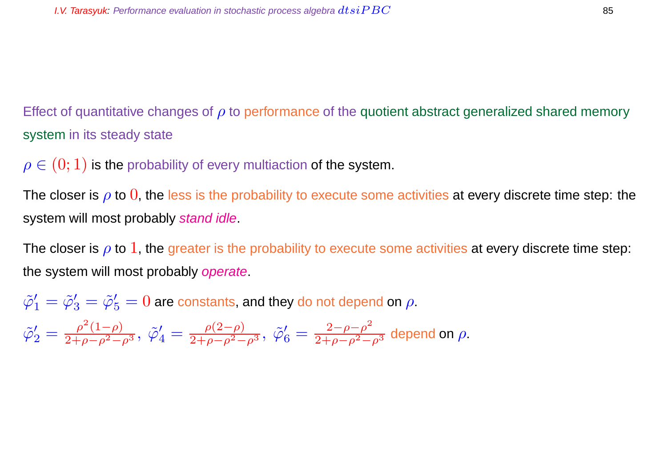Effect of quantitative changes of  $\rho$  to performance of the quotient abstract generalized shared memory system in its steady state

 $\rho \in (0,1)$  is the probability of every multiaction of the system.

The closer is  $\rho$  to  $0$ , the less is the probability to execute some activities at every discrete time step: the system will most probably stand idle.

The closer is  $\rho$  to 1, the greater is the probability to execute some activities at every discrete time step: the system will most probably operate.

$$
\tilde{\varphi}_1' = \tilde{\varphi}_3' = \tilde{\varphi}_5' = 0
$$
 are constants, and they do not depend on  $\rho$ .

$$
\tilde{\varphi}'_2 = \frac{\rho^2 (1 - \rho)}{2 + \rho - \rho^2 - \rho^3}, \; \tilde{\varphi}'_4 = \frac{\rho (2 - \rho)}{2 + \rho - \rho^2 - \rho^3}, \; \tilde{\varphi}'_6 = \frac{2 - \rho - \rho^2}{2 + \rho - \rho^2 - \rho^3} \text{ depend on } \rho.
$$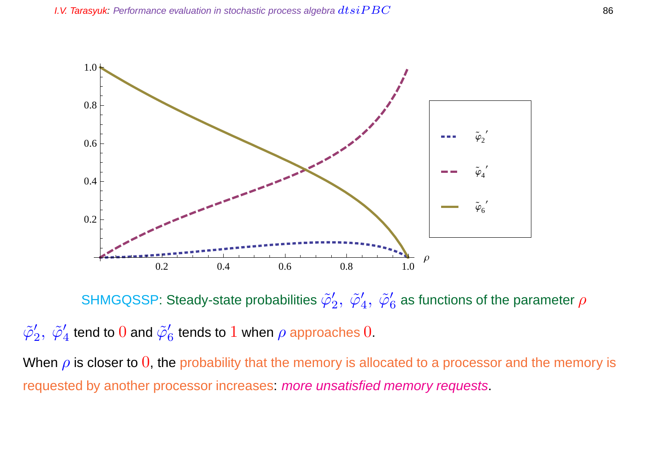

SHMGQSSP: Steady-state probabilities  $\tilde{\varphi}_2'$  $_{2}^{\prime},\ \tilde{\varphi}_{4}^{\prime}$  $_4',\ \tilde{\varphi}_6'$  $_6^{\prime}$  as functions of the parameter  $\rho$ 

 $\tilde{\varphi}_2'$  $_{2}^{\prime},\ \tilde{\varphi}_{4}^{\prime}$  $_4^{\prime}$  tend to  $0$  and  $\tilde{\varphi}_{6}^{\prime}$  $\frac{\prime}{6}$  tends to  $1$  when  $\rho$  approaches  $0.$ 

When  $\rho$  is closer to 0, the probability that the memory is allocated to a processor and the memory is requested by another processor increases: more unsatisfied memory requests.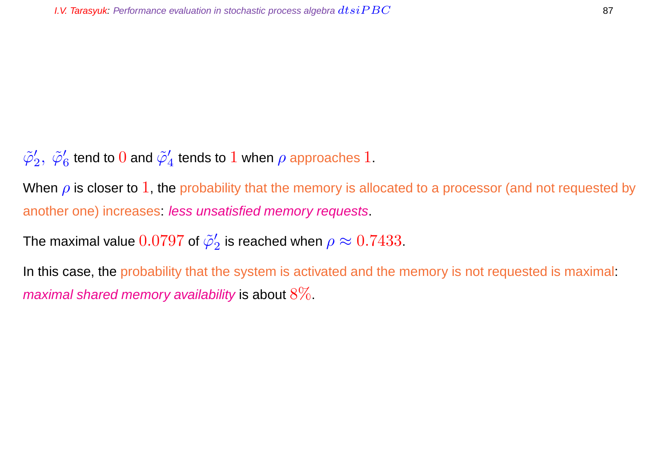$\tilde{\varphi}_2'$  $'_2,\ \tilde\varphi'_6$  $\frac{\prime}{6}$  tend to  $0$  and  $\tilde{\varphi}_4'$  $_4^{\prime}$  tends to  $1$  when  $\rho$  approaches  $1.$ 

When  $\rho$  is closer to 1, the probability that the memory is allocated to a processor (and not requested by another one) increases. less unsatisfied memory requests.

The maximal value  $0.0797$  of  $\tilde{\varphi}_2'$  $_2^{\prime}$  is reached when  $\rho \approx 0.7433.$ 

In this case, the probability that the system is activated and the memory is not requested is maximal: maximal shared memory availability is about  $8\%$ .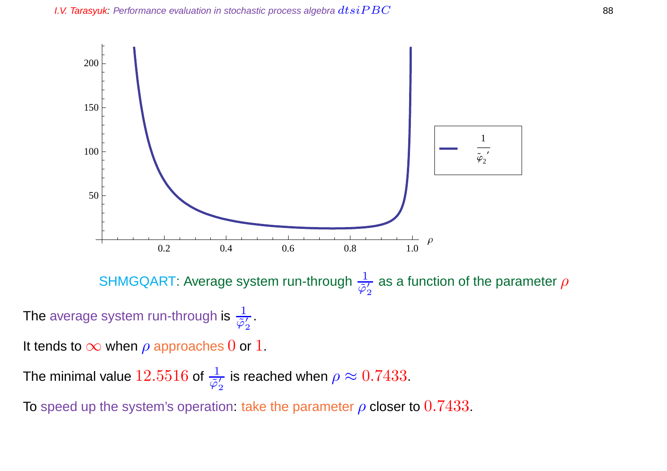

The minimal value  $12.5516$  of  $\frac{1}{\tilde{\varphi}'_2}$ 2 is reached when  $\rho \approx 0.7433.$ 

To speed up the system's operation: take the parameter  $\rho$  closer to 0.7433.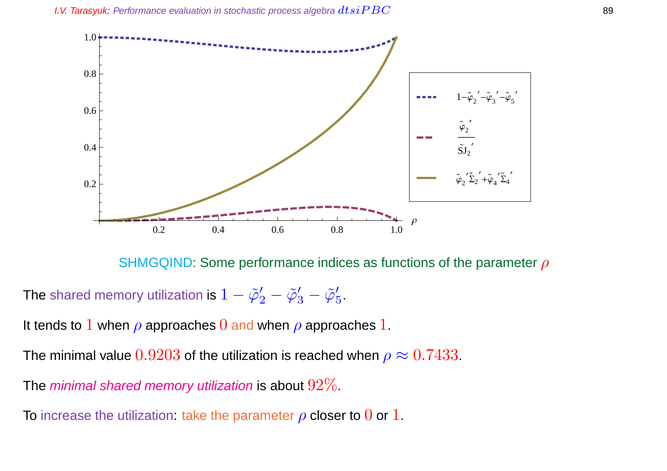

SHMGQIND: Some performance indices as functions of the parameter  $\rho$ 

The shared memory utilization is  $1-\tilde{\varphi}_2'-\tilde{\varphi}_3'-\tilde{\varphi}_5'$  $\frac{7}{5}$ 

It tends to 1 when  $\rho$  approaches 0 and when  $\rho$  approaches 1.

The minimal value  $0.9203$  of the utilization is reached when  $\rho \approx 0.7433$ .

The minimal shared memory utilization is about  $92\%$ .

To increase the utilization: take the parameter  $\rho$  closer to 0 or 1.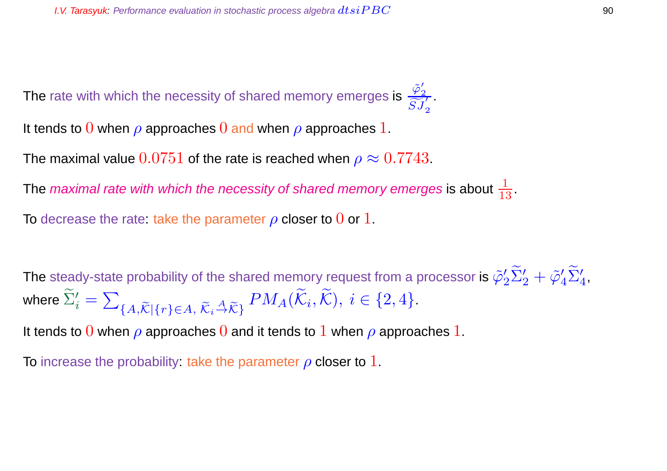The rate with which the necessity of shared memory emerges is  $\frac{\tilde{\varphi}'_2}{\tilde{\varphi}'_1}$ 2  $\frac{\varphi_2}{\widetilde{S}J_2'}$ 2

It tends to 0 when  $\rho$  approaches 0 and when  $\rho$  approaches 1.

The maximal value  $0.0751$  of the rate is reached when  $\rho \approx 0.7743$ .

The *maximal rate with which the necessity of shared memory emerges* is about  $\frac{1}{13}.$ 

To decrease the rate: take the parameter  $\rho$  closer to  $0$  or  $1$ .

The steady-state probability of the shared memory request from a processor is  $\tilde{\varphi}_2' \tilde{\Sigma}_2' + \tilde{\varphi}_4' \tilde{\Sigma}_4'$ , where  $\widetilde{\Sigma}'_i = \sum$  ${A,\widetilde{\mathcal{K}}}\left\{r\right\}\in A,\,\widetilde{\mathcal{K}}_i\stackrel{A}{\rightarrow}\widetilde{\mathcal{K}}_j\,}^{PM_A}(\mathcal{K}_i,\mathcal{K}),\,i\in\{2,4\}.$ 

It tends to 0 when  $\rho$  approaches 0 and it tends to 1 when  $\rho$  approaches 1.

To increase the probability: take the parameter  $\rho$  closer to 1.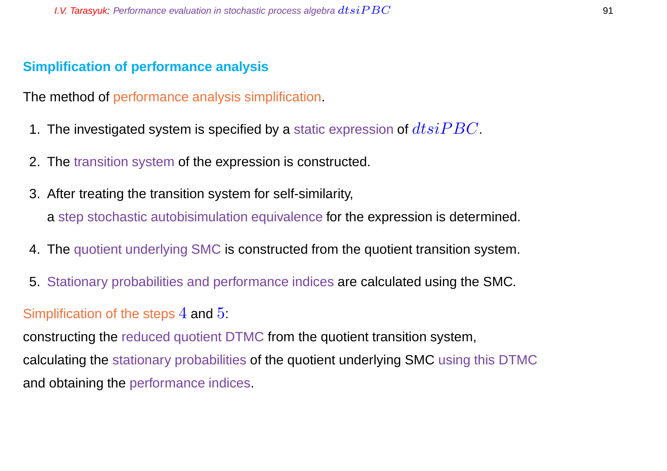### **Simplification of performance analysis**

The method of performance analysis simplification.

- 1. The investigated system is specified by a static expression of  $dtsiPBC$ .
- 2. The transition system of the expression is constructed.
- 3. After treating the transition system for self-similarity, a step stochastic autobisimulation equivalence for the expression is determined.
- 4. The quotient underlying SMC is constructed from the quotient transition system.
- 5. Stationary probabilities and performance indices are calculated using the SMC.

#### Simplification of the steps  $4$  and  $5$ :

constructing the reduced quotient DTMC from the quotient transition system, calculating the stationary probabilities of the quotient underlying SMC using this DTMC and obtaining the performance indices.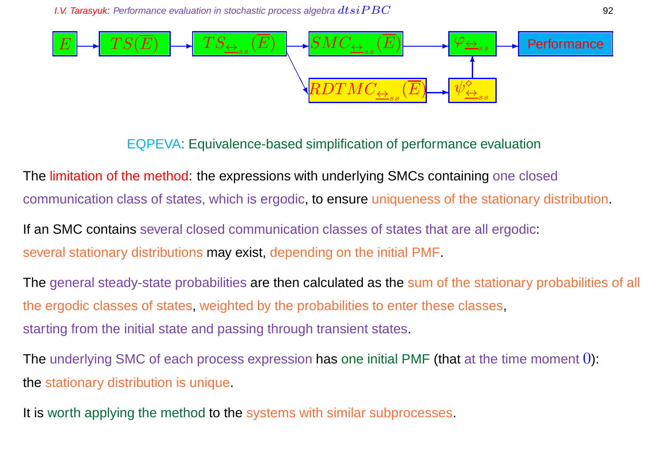

## EQPEVA: Equivalence-based simplification of performance evaluation

The limitation of the method: the expressions with underlying SMCs containing one closed communication class of states, which is ergodic, to ensure uniqueness of the stationary distribution.

If an SMC contains several closed communication classes of states that are all ergodic: several stationary distributions may exist, depending on the initial PMF.

The general steady-state probabilities are then calculated as the sum of the stationary probabilities of all the ergodic classes of states, weighted by the probabilities to enter these classes, starting from the initial state and passing through transient states.

The underlying SMC of each process expression has one initial PMF (that at the time moment  $0$ ): the stationary distribution is unique.

It is worth applying the method to the systems with similar subprocesses.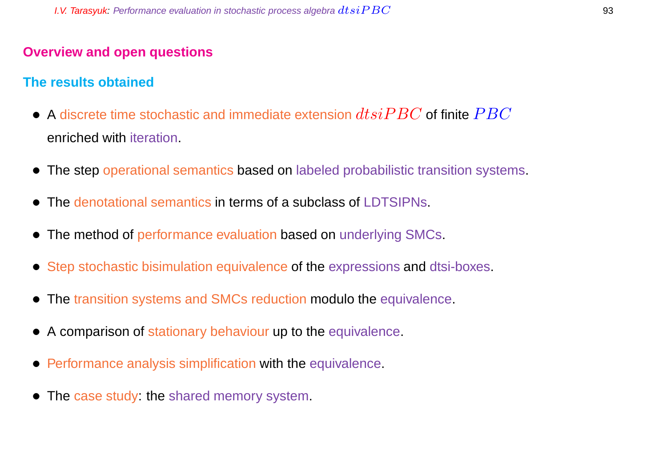## **Overview and open questions**

## **The results obtained**

- $\bullet$  A discrete time stochastic and immediate extension  $dtsiPBC$  of finite  $PBC$ enriched with iteration.
- The step operational semantics based on labeled probabilistic transition systems.
- The denotational semantics in terms of a subclass of LDTSIPNs.
- The method of performance evaluation based on underlying SMCs.
- Step stochastic bisimulation equivalence of the expressions and dtsi-boxes.
- The transition systems and SMCs reduction modulo the equivalence.
- A comparison of stationary behaviour up to the equivalence.
- Performance analysis simplification with the equivalence.
- The case study: the shared memory system.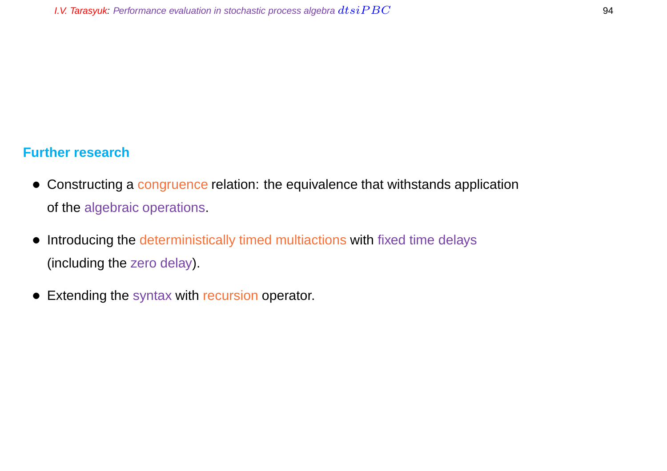## **Further research**

- Constructing a congruence relation: the equivalence that withstands application of the algebraic operations.
- Introducing the deterministically timed multiactions with fixed time delays (including the zero delay).
- Extending the syntax with recursion operator.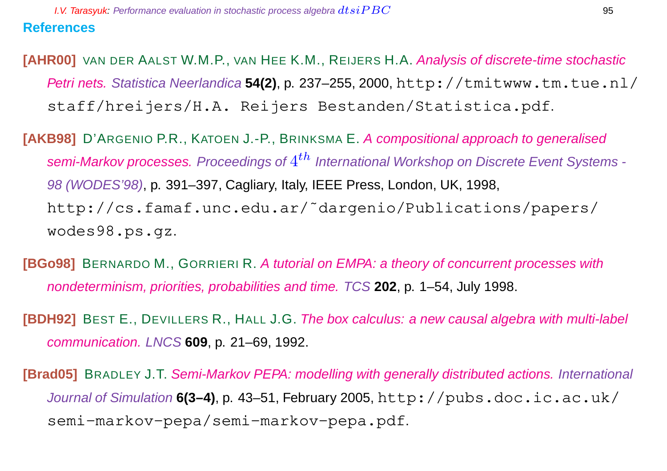**[AHR00]** VAN DER AALST W.M.P., VAN HEE K.M., REIJERS H.A. Analysis of discrete-time stochastic Petri nets. Statistica Neerlandica 54(2), p. 237-255, 2000, http://tmitwww.tm.tue.nl/ staff/hreijers/H.A. Reijers Bestanden/Statistica.pdf.

**[AKB98]** D'ARGENIO P.R., KATOEN J.-P., BRINKSMA E. A compositional approach to generalised semi-Markov processes. Proceedings of  $4^{th}$  International Workshop on Discrete Event Systems -98 (WODES'98), p. 391–397, Cagliary, Italy, IEEE Press, London, UK, 1998, http://cs.famaf.unc.edu.ar/˜dargenio/Publications/papers/ wodes98.ps.gz.

**[BGo98]** BERNARDO M., GORRIERI R. A tutorial on EMPA: a theory of concurrent processes with nondeterminism, priorities, probabilities and time. TCS **202**, p. 1–54, July 1998.

**[BDH92]** BEST E., DEVILLERS R., HALL J.G. The box calculus: a new causal algebra with multi-label communication. LNCS **609**, p. 21–69, 1992.

**[Brad05]** BRADLEY J.T. Semi-Markov PEPA: modelling with generally distributed actions. International Journal of Simulation **6(3–4)**, p. 43–51, February 2005, http://pubs.doc.ic.ac.uk/ semi-markov-pepa/semi-markov-pepa.pdf.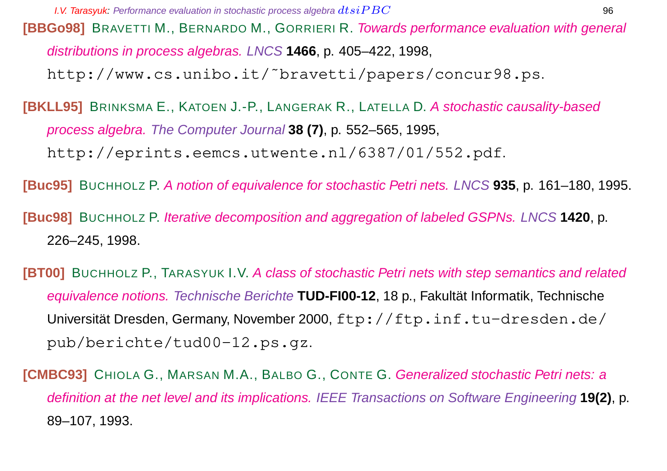**[BBGo98]** BRAVETTI M., BERNARDO M., GORRIERI R. Towards performance evaluation with general distributions in process algebras. LNCS **1466**, p. 405–422, 1998, http://www.cs.unibo.it/˜bravetti/papers/concur98.ps.

**[BKLL95]** BRINKSMA E., KATOEN J.-P., LANGERAK R., LATELLA D. A stochastic causality-based process algebra. The Computer Journal **38 (7)**, p. 552–565, 1995, http://eprints.eemcs.utwente.nl/6387/01/552.pdf.

**[Buc95]** BUCHHOLZ P. A notion of equivalence for stochastic Petri nets. LNCS **935**, p. 161–180, 1995.

**[Buc98]** BUCHHOLZ P. Iterative decomposition and aggregation of labeled GSPNs. LNCS **1420**, p. 226–245, 1998.

**[BT00]** BUCHHOLZ P., TARASYUK I.V. A class of stochastic Petri nets with step semantics and related equivalence notions. Technische Berichte **TUD-FI00-12**, 18 p., Fakultät Informatik, Technische Universität Dresden, Germany, November 2000, ftp://ftp.inf.tu-dresden.de/ pub/berichte/tud00-12.ps.gz.

**[CMBC93]** CHIOLA G., MARSAN M.A., BALBO G., CONTE G. Generalized stochastic Petri nets: a definition at the net level and its implications. IEEE Transactions on Software Engineering **19(2)**, p. 89–107, 1993.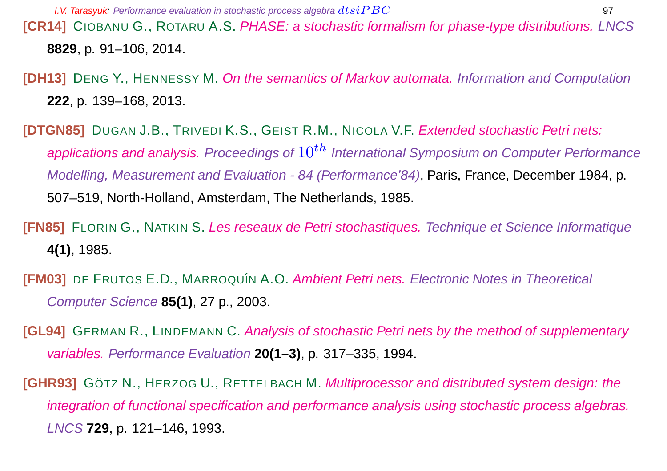**[CR14]** CIOBANU G., ROTARU A.S. PHASE: a stochastic formalism for phase-type distributions. LNCS **8829**, p. 91–106, 2014.

**[DH13]** DENG Y., HENNESSY M. On the semantics of Markov automata. Information and Computation **222**, p. 139–168, 2013.

**[DTGN85]** DUGAN J.B., TRIVEDI K.S., GEIST R.M., NICOLA V.F. Extended stochastic Petri nets: applications and analysis. Proceedings of  $10^{th}$  International Symposium on Computer Performance Modelling, Measurement and Evaluation - 84 (Performance'84), Paris, France, December 1984, p. 507–519, North-Holland, Amsterdam, The Netherlands, 1985.

- **[FN85]** FLORIN G., NATKIN S. Les reseaux de Petri stochastiques. Technique et Science Informatique **4(1)**, 1985.
- **[FM03]** DE FRUTOS E.D., MARROQUÍN A.O. Ambient Petri nets. Electronic Notes in Theoretical Computer Science **85(1)**, 27 p., 2003.
- **[GL94]** GERMAN R., LINDEMANN C. Analysis of stochastic Petri nets by the method of supplementary variables. Performance Evaluation **20(1–3)**, p. 317–335, 1994.
- **[GHR93]** GÖTZ N., HERZOG U., RETTELBACH M. Multiprocessor and distributed system design: the integration of functional specification and performance analysis using stochastic process algebras. LNCS **729**, p. 121–146, 1993.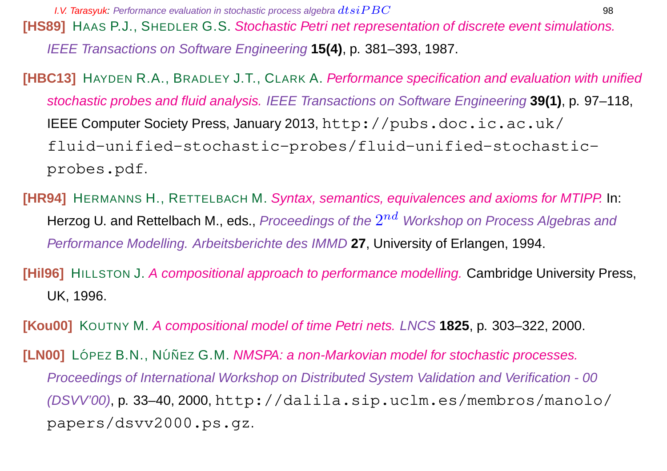**[HS89]** HAAS P.J., SHEDLER G.S. Stochastic Petri net representation of discrete event simulations. IEEE Transactions on Software Engineering **15(4)**, p. 381–393, 1987.

- **[HBC13]** HAYDEN R.A., BRADLEY J.T., CLARK A. Performance specification and evaluation with unified stochastic probes and fluid analysis. IEEE Transactions on Software Engineering **39(1)**, p. 97–118, IEEE Computer Society Press, January 2013, http://pubs.doc.ic.ac.uk/ fluid-unified-stochastic-probes/fluid-unified-stochasticprobes.pdf.
- **[HR94]** HERMANNS H., RETTELBACH M. Syntax, semantics, equivalences and axioms for MTIPP. In: Herzog U. and Rettelbach M., eds., *Proceedings of the*  $2^{nd}\,$  *Workshop on Process Algebras and* Performance Modelling. Arbeitsberichte des IMMD **27**, University of Erlangen, 1994.
- **[Hil96]** HILLSTON J. A compositional approach to performance modelling. Cambridge University Press, UK, 1996.

**[Kou00]** KOUTNY M. A compositional model of time Petri nets. LNCS **1825**, p. 303–322, 2000.

**[LN00]** LÓPEZ B.N., NÚÑEZ G.M. *NMSPA: a non-Markovian model for stochastic processes.* Proceedings of International Workshop on Distributed System Validation and Verification - 00  $(DSVV'00)$ , p. 33–40, 2000, http://dalila.sip.uclm.es/membros/manolo/ papers/dsvv2000.ps.gz.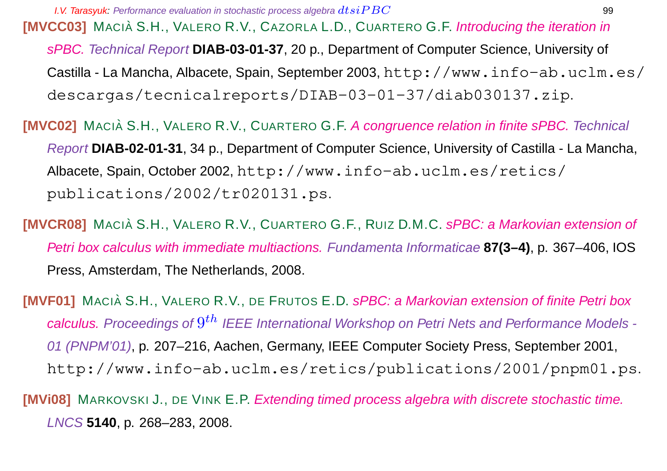**I.V. Tarasyuk:** Performance evaluation in stochastic process algebra  $dtsiPBC$   $\hspace{1cm}$  99 **[MVCC03]** MACIÀ S.H., VALERO R.V., CAZORLA L.D., CUARTERO G.F. Introducing the iteration in sPBC. Technical Report **DIAB-03-01-37**, 20 p., Department of Computer Science, University of Castilla - La Mancha, Albacete, Spain, September 2003, http://www.info-ab.uclm.es/ descargas/tecnicalreports/DIAB-03-01-37/diab030137.zip.

**[MVC02]** MACIA` S.H., VALERO R.V., CUARTERO G.F. A congruence relation in finite sPBC. Technical Report **DIAB-02-01-31**, 34 p., Department of Computer Science, University of Castilla - La Mancha, Albacete, Spain, October 2002, http://www.info-ab.uclm.es/retics/ publications/2002/tr020131.ps.

**[MVCR08]** MACIÀ S.H., VALERO R.V., CUARTERO G.F., RUIZ D.M.C. sPBC: a Markovian extension of Petri box calculus with immediate multiactions. Fundamenta Informaticae **87(3–4)**, p. 367–406, IOS Press, Amsterdam, The Netherlands, 2008.

**[MVF01]** MACIÀ S.H., VALERO R.V., DE FRUTOS E.D. sPBC: a Markovian extension of finite Petri box calculus. Proceedings of  $9^{th}$  IEEE International Workshop on Petri Nets and Performance Models -01 (PNPM'01), p. 207–216, Aachen, Germany, IEEE Computer Society Press, September 2001, http://www.info-ab.uclm.es/retics/publications/2001/pnpm01.ps.

**[MVi08]** MARKOVSKI J., DE VINK E.P. Extending timed process algebra with discrete stochastic time. LNCS **5140**, p. 268–283, 2008.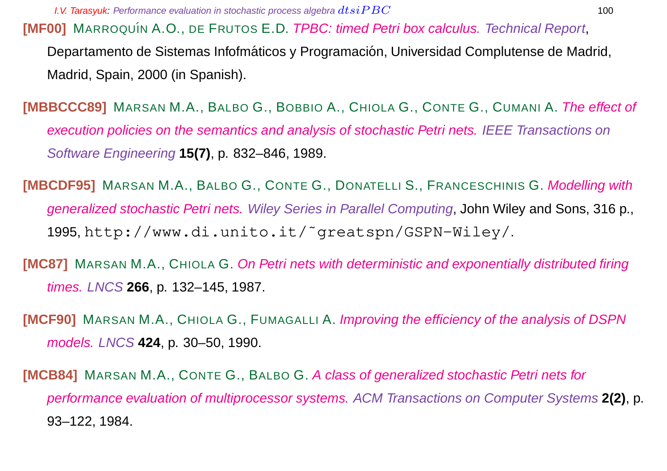**[MF00]** MARROQUÍN A.O., DE FRUTOS E.D. *TPBC: timed Petri box calculus. Technical Report,* Departamento de Sistemas Infofmáticos y Programación, Universidad Complutense de Madrid, Madrid, Spain, 2000 (in Spanish).

**[MBBCCC89]** MARSAN M.A., BALBO G., BOBBIO A., CHIOLA G., CONTE G., CUMANI A. The effect of execution policies on the semantics and analysis of stochastic Petri nets. IEEE Transactions on Software Engineering **15(7)**, p. 832–846, 1989.

**[MBCDF95]** MARSAN M.A., BALBO G., CONTE G., DONATELLI S., FRANCESCHINIS G. Modelling with generalized stochastic Petri nets. Wiley Series in Parallel Computing, John Wiley and Sons, 316 p., 1995, http://www.di.unito.it/˜greatspn/GSPN-Wiley/.

- **[MC87]** MARSAN M.A., CHIOLA G. On Petri nets with deterministic and exponentially distributed firing times. LNCS **266**, p. 132–145, 1987.
- **[MCF90]** MARSAN M.A., CHIOLA G., FUMAGALLI A. *Improving the efficiency of the analysis of DSPN* models. LNCS **424**, p. 30–50, 1990.

**[MCB84]** MARSAN M.A., CONTE G., BALBO G. A class of generalized stochastic Petri nets for performance evaluation of multiprocessor systems. ACM Transactions on Computer Systems **2(2)**, p. 93–122, 1984.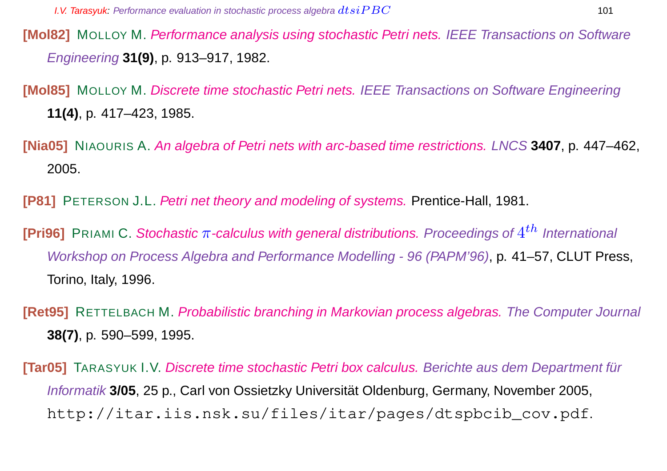- **[Mol82]** MOLLOY M. Performance analysis using stochastic Petri nets. IEEE Transactions on Software Engineering **31(9)**, p. 913–917, 1982.
- **[Mol85]** MOLLOY M. Discrete time stochastic Petri nets. IEEE Transactions on Software Engineering **11(4)**, p. 417–423, 1985.
- **[Nia05]** NIAOURIS A. An algebra of Petri nets with arc-based time restrictions. LNCS **3407**, p. 447–462, 2005.
- **[P81]** PETERSON J.L. Petri net theory and modeling of systems. Prentice-Hall, 1981.
- **[Pri96]** PRIAMI C. Stochastic π-calculus with general distributions. Proceedings of  $4^{th}$  International Workshop on Process Algebra and Performance Modelling - 96 (PAPM'96), p. 41–57, CLUT Press, Torino, Italy, 1996.
- **[Ret95]** RETTELBACH M. Probabilistic branching in Markovian process algebras. The Computer Journal **38(7)**, p. 590–599, 1995.
- **[Tar05]** TARASYUK I.V. Discrete time stochastic Petri box calculus. Berichte aus dem Department für Informatik **3/05**, 25 p., Carl von Ossietzky Universität Oldenburg, Germany, November 2005, http://itar.iis.nsk.su/files/itar/pages/dtspbcib\_cov.pdf.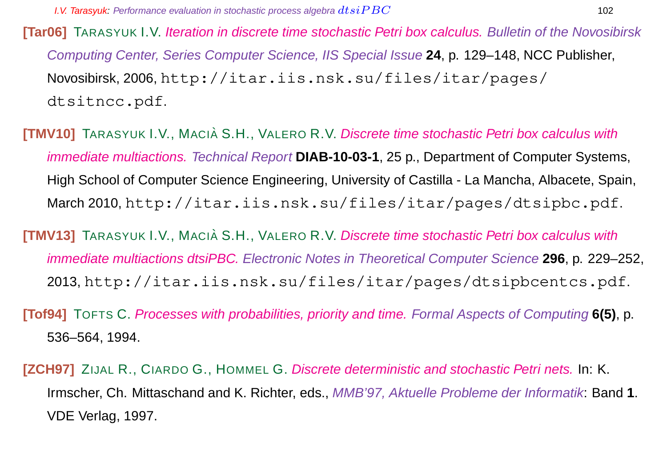**[Tar06]** TARASYUK I.V. Iteration in discrete time stochastic Petri box calculus. Bulletin of the Novosibirsk Computing Center, Series Computer Science, IIS Special Issue **24**, p. 129–148, NCC Publisher, Novosibirsk, 2006, http://itar.iis.nsk.su/files/itar/pages/ dtsitncc.pdf.

**[TMV10]** TARASYUK I.V., MACIÀ S.H., VALERO R.V. Discrete time stochastic Petri box calculus with immediate multiactions. Technical Report **DIAB-10-03-1**, 25 p., Department of Computer Systems, High School of Computer Science Engineering, University of Castilla - La Mancha, Albacete, Spain, March 2010, http://itar.iis.nsk.su/files/itar/pages/dtsipbc.pdf.

**[TMV13]** TARASYUK I.V., MACIÀ S.H., VALERO R.V. Discrete time stochastic Petri box calculus with immediate multiactions dtsiPBC. Electronic Notes in Theoretical Computer Science **296**, p. 229–252, 2013, http://itar.iis.nsk.su/files/itar/pages/dtsipbcentcs.pdf.

**[Tof94]** TOFTS C. Processes with probabilities, priority and time. Formal Aspects of Computing **6(5)**, p. 536–564, 1994.

**[ZCH97]** ZIJAL R., CIARDO G., HOMMEL G. Discrete deterministic and stochastic Petri nets. In: K. Irmscher, Ch. Mittaschand and K. Richter, eds., MMB'97, Aktuelle Probleme der Informatik: Band **1**. VDE Verlag, 1997.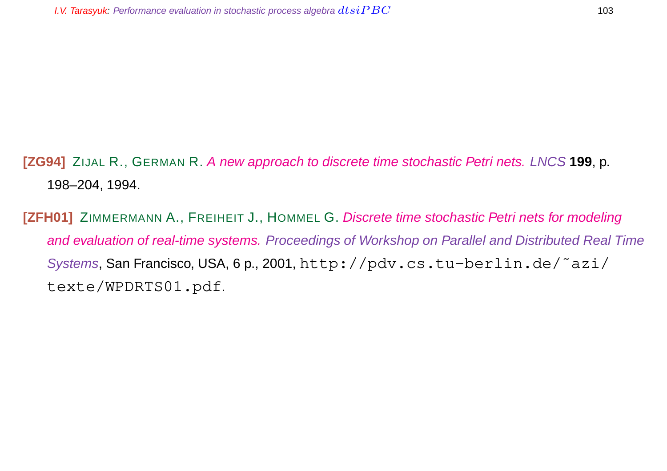**[ZG94]** ZIJAL R., GERMAN R. A new approach to discrete time stochastic Petri nets. LNCS **199**, p. 198–204, 1994.

**[ZFH01]** ZIMMERMANN A., FREIHEIT J., HOMMEL G. Discrete time stochastic Petri nets for modeling and evaluation of real-time systems. Proceedings of Workshop on Parallel and Distributed Real Time Systems, San Francisco, USA, 6 p., 2001, http://pdv.cs.tu-berlin.de/˜azi/ texte/WPDRTS01.pdf.